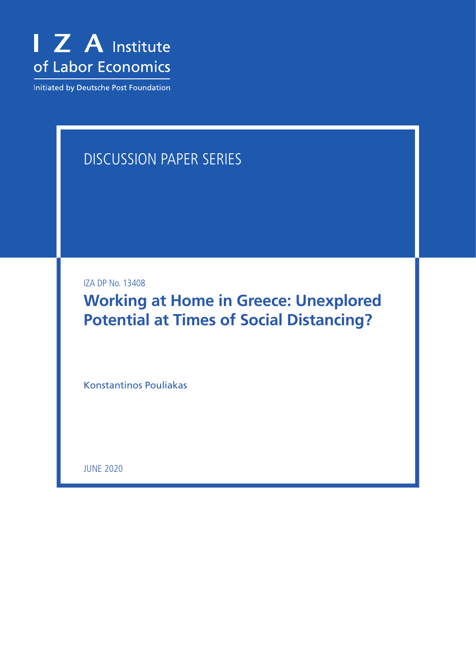

Initiated by Deutsche Post Foundation

# DISCUSSION PAPER SERIES

IZA DP No. 13408

**Working at Home in Greece: Unexplored Potential at Times of Social Distancing?**

Konstantinos Pouliakas

JUNE 2020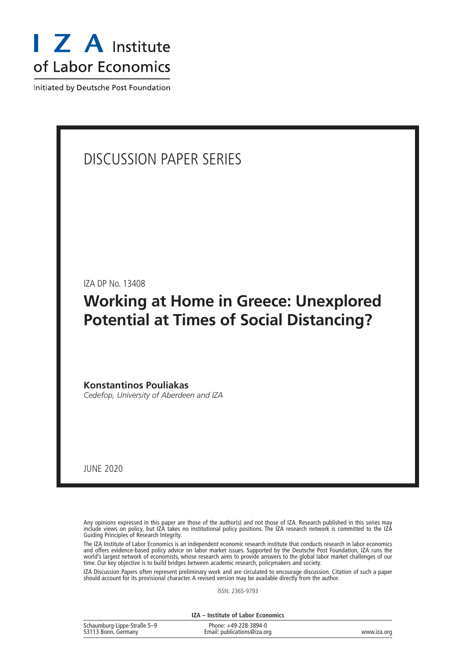

Initiated by Deutsche Post Foundation

# DISCUSSION PAPER SERIES

IZA DP No. 13408

# **Working at Home in Greece: Unexplored Potential at Times of Social Distancing?**

**Konstantinos Pouliakas** *Cedefop, University of Aberdeen and IZA*

JUNE 2020

Any opinions expressed in this paper are those of the author(s) and not those of IZA. Research published in this series may include views on policy, but IZA takes no institutional policy positions. The IZA research network is committed to the IZA Guiding Principles of Research Integrity.

The IZA Institute of Labor Economics is an independent economic research institute that conducts research in labor economics and offers evidence-based policy advice on labor market issues. Supported by the Deutsche Post Foundation, IZA runs the world's largest network of economists, whose research aims to provide answers to the global labor market challenges of our time. Our key objective is to build bridges between academic research, policymakers and society.

IZA Discussion Papers often represent preliminary work and are circulated to encourage discussion. Citation of such a paper should account for its provisional character. A revised version may be available directly from the author.

ISSN: 2365-9793

**IZA – Institute of Labor Economics**

| Schaumburg-Lippe-Straße 5-9 | Phone: +49-228-3894-0       |             |
|-----------------------------|-----------------------------|-------------|
| 53113 Bonn, Germany         | Email: publications@iza.org | www.iza.org |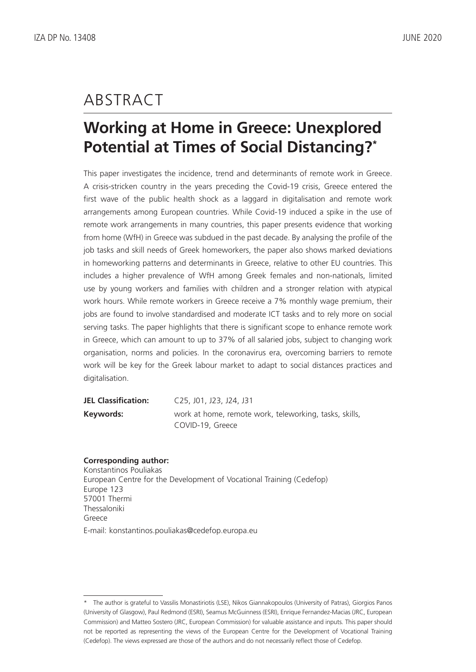# ABSTRACT

# **Working at Home in Greece: Unexplored Potential at Times of Social Distancing?\***

This paper investigates the incidence, trend and determinants of remote work in Greece. A crisis-stricken country in the years preceding the Covid-19 crisis, Greece entered the first wave of the public health shock as a laggard in digitalisation and remote work arrangements among European countries. While Covid-19 induced a spike in the use of remote work arrangements in many countries, this paper presents evidence that working from home (WfH) in Greece was subdued in the past decade. By analysing the profile of the job tasks and skill needs of Greek homeworkers, the paper also shows marked deviations in homeworking patterns and determinants in Greece, relative to other EU countries. This includes a higher prevalence of WfH among Greek females and non-nationals, limited use by young workers and families with children and a stronger relation with atypical work hours. While remote workers in Greece receive a 7% monthly wage premium, their jobs are found to involve standardised and moderate ICT tasks and to rely more on social serving tasks. The paper highlights that there is significant scope to enhance remote work in Greece, which can amount to up to 37% of all salaried jobs, subject to changing work organisation, norms and policies. In the coronavirus era, overcoming barriers to remote work will be key for the Greek labour market to adapt to social distances practices and digitalisation.

| <b>JEL Classification:</b> | C25, J01, J23, J24, J31                                |
|----------------------------|--------------------------------------------------------|
| Keywords:                  | work at home, remote work, teleworking, tasks, skills, |
|                            | COVID-19, Greece                                       |

## **Corresponding author:**

Konstantinos Pouliakas European Centre for the Development of Vocational Training (Cedefop) Europe 123 57001 Thermi Thessaloniki Greece

E-mail: konstantinos.pouliakas@cedefop.europa.eu

<sup>\*</sup> The author is grateful to Vassilis Monastiriotis (LSE), Nikos Giannakopoulos (University of Patras), Giorgios Panos (University of Glasgow), Paul Redmond (ESRI), Seamus McGuinness (ESRI), Enrique Fernandez-Macias (JRC, European Commission) and Matteo Sostero (JRC, European Commission) for valuable assistance and inputs. This paper should not be reported as representing the views of the European Centre for the Development of Vocational Training (Cedefop). The views expressed are those of the authors and do not necessarily reflect those of Cedefop.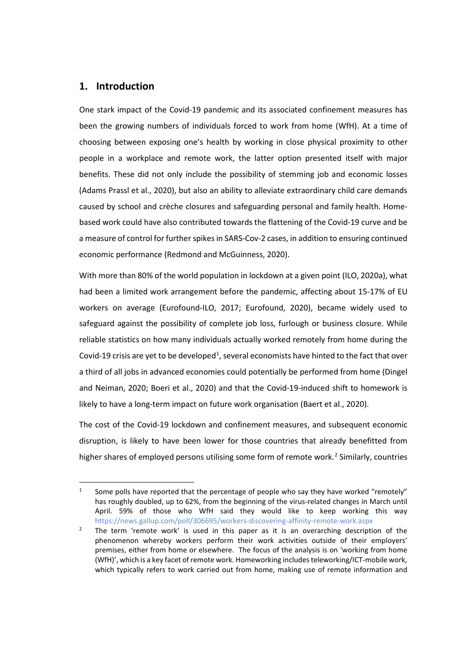# **1. Introduction**

One stark impact of the Covid-19 pandemic and its associated confinement measures has been the growing numbers of individuals forced to work from home (WfH). At a time of choosing between exposing one's health by working in close physical proximity to other people in a workplace and remote work, the latter option presented itself with major benefits. These did not only include the possibility of stemming job and economic losses (Adams Prassl et al., 2020), but also an ability to alleviate extraordinary child care demands caused by school and crèche closures and safeguarding personal and family health. Homebased work could have also contributed towards the flattening of the Covid-19 curve and be a measure of control for further spikes in SARS-Cov-2 cases, in addition to ensuring continued economic performance (Redmond and McGuinness, 2020).

With more than 80% of the world population in lockdown at a given point (ILO, 2020a), what had been a limited work arrangement before the pandemic, affecting about 15-17% of EU workers on average (Eurofound-ILO, 2017; Eurofound, 2020), became widely used to safeguard against the possibility of complete job loss, furlough or business closure. While reliable statistics on how many individuals actually worked remotely from home during the Covid-[1](#page-3-0)9 crisis are yet to be developed<sup>1</sup>, several economists have hinted to the fact that over a third of all jobs in advanced economies could potentially be performed from home (Dingel and Neiman, 2020; Boeri et al., 2020) and that the Covid-19-induced shift to homework is likely to have a long-term impact on future work organisation (Baert et al., 2020).

The cost of the Covid-19 lockdown and confinement measures, and subsequent economic disruption, is likely to have been lower for those countries that already benefitted from higher shares of employed persons utilising some form of remote work.<sup>[2](#page-3-1)</sup> Similarly, countries

<span id="page-3-0"></span><sup>&</sup>lt;sup>1</sup> Some polls have reported that the percentage of people who say they have worked "remotely" has roughly doubled, up to 62%, from the beginning of the virus-related changes in March until April. 59% of those who WfH said they would like to keep working this way <https://news.gallup.com/poll/306695/workers-discovering-affinity-remote-work.aspx>

<span id="page-3-1"></span><sup>&</sup>lt;sup>2</sup> The term 'remote work' is used in this paper as it is an overarching description of the phenomenon whereby workers perform their work activities outside of their employers' premises, either from home or elsewhere. The focus of the analysis is on 'working from home (WfH)', which is a key facet of remote work. Homeworking includes teleworking/ICT-mobile work, which typically refers to work carried out from home, making use of remote information and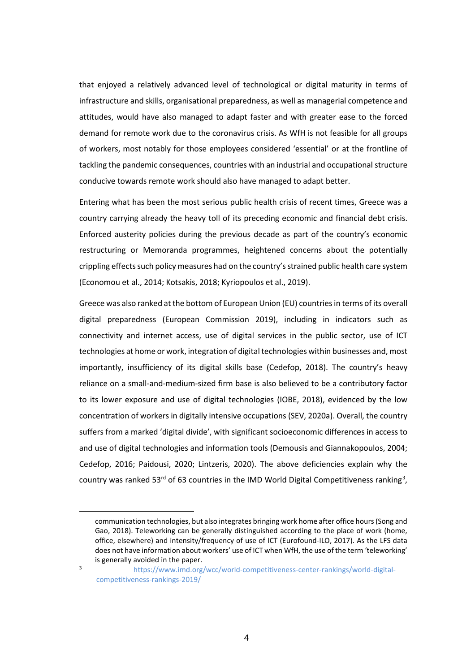that enjoyed a relatively advanced level of technological or digital maturity in terms of infrastructure and skills, organisational preparedness, as well as managerial competence and attitudes, would have also managed to adapt faster and with greater ease to the forced demand for remote work due to the coronavirus crisis. As WfH is not feasible for all groups of workers, most notably for those employees considered 'essential' or at the frontline of tackling the pandemic consequences, countries with an industrial and occupational structure conducive towards remote work should also have managed to adapt better.

Entering what has been the most serious public health crisis of recent times, Greece was a country carrying already the heavy toll of its preceding economic and financial debt crisis. Enforced austerity policies during the previous decade as part of the country's economic restructuring or Memoranda programmes, heightened concerns about the potentially crippling effects such policy measures had on the country's strained public health care system (Economou et al., 2014; Kotsakis, 2018; Kyriopoulos et al., 2019).

Greece was also ranked at the bottom of European Union (EU) countries in terms of its overall digital preparedness (European Commission 2019), including in indicators such as connectivity and internet access, use of digital services in the public sector, use of ICT technologies at home or work, integration of digital technologies within businesses and, most importantly, insufficiency of its digital skills base (Cedefop, 2018). The country's heavy reliance on a small-and-medium-sized firm base is also believed to be a contributory factor to its lower exposure and use of digital technologies (IOBE, 2018), evidenced by the low concentration of workers in digitally intensive occupations (SEV, 2020a). Overall, the country suffers from a marked 'digital divide', with significant socioeconomic differences in access to and use of digital technologies and information tools (Demousis and Giannakopoulos, 2004; Cedefop, 2016; Paidousi, 2020; Lintzeris, 2020). The above deficiencies explain why the country was ranked 5[3](#page-4-0)<sup>rd</sup> of 63 countries in the IMD World Digital Competitiveness ranking<sup>3</sup>,

communication technologies, but also integrates bringing work home after office hours (Song and Gao, 2018). Teleworking can be generally distinguished according to the place of work (home, office, elsewhere) and intensity/frequency of use of ICT (Eurofound-ILO, 2017). As the LFS data does not have information about workers' use of ICT when WfH, the use of the term 'teleworking' is generally avoided in the paper.

<span id="page-4-0"></span><sup>3</sup> [https://www.imd.org/wcc/world-competitiveness-center-rankings/world-digital](https://www.imd.org/wcc/world-competitiveness-center-rankings/world-digital-competitiveness-rankings-2019/)[competitiveness-rankings-2019/](https://www.imd.org/wcc/world-competitiveness-center-rankings/world-digital-competitiveness-rankings-2019/)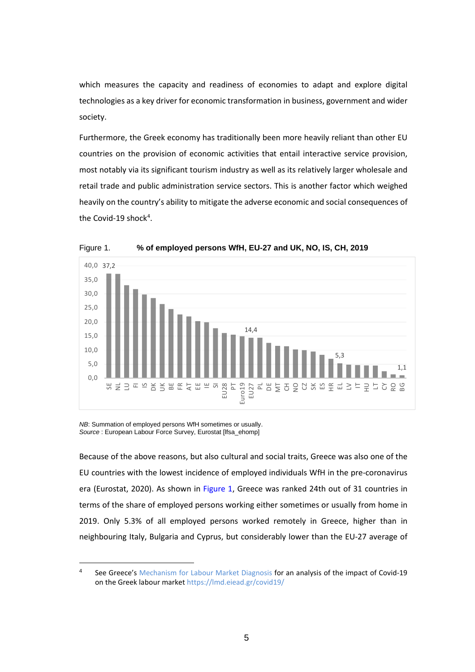which measures the capacity and readiness of economies to adapt and explore digital technologies as a key driver for economic transformation in business, government and wider society.

Furthermore, the Greek economy has traditionally been more heavily reliant than other EU countries on the provision of economic activities that entail interactive service provision, most notably via its significant tourism industry as well as its relatively larger wholesale and retail trade and public administration service sectors. This is another factor which weighed heavily on the country's ability to mitigate the adverse economic and social consequences of the Covid-19 shock<sup>[4](#page-5-0)</sup>.



Figure 1. **% of employed persons WfH, EU-27 and UK, NO, IS, CH, 2019**

*NB*: Summation of employed persons WfH sometimes or usually. *Source* : European Labour Force Survey, Eurostat [lfsa\_ehomp]

Because of the above reasons, but also cultural and social traits, Greece was also one of the EU countries with the lowest incidence of employed individuals WfH in the pre-coronavirus era (Eurostat, 2020). As shown in Figure 1, Greece was ranked 24th out of 31 countries in terms of the share of employed persons working either sometimes or usually from home in 2019. Only 5.3% of all employed persons worked remotely in Greece, higher than in neighbouring Italy, Bulgaria and Cyprus, but considerably lower than the EU-27 average of

<span id="page-5-0"></span><sup>4</sup> See Greece's [Mechanism for Labour Market Diagnosis](https://lmd.eiead.gr/) for an analysis of the impact of Covid-19 on the Greek labour market<https://lmd.eiead.gr/covid19/>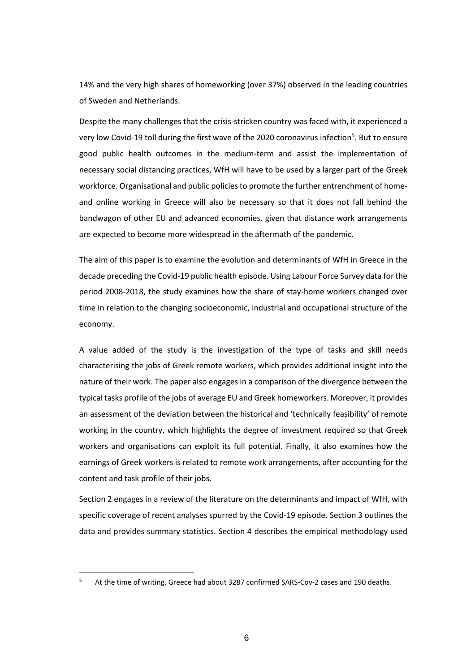14% and the very high shares of homeworking (over 37%) observed in the leading countries of Sweden and Netherlands.

Despite the many challenges that the crisis-stricken country was faced with, it experienced a very low Covid-19 toll during the first wave of the 2020 coronavirus infection<sup>[5](#page-6-0)</sup>. But το ensure good public health outcomes in the medium-term and assist the implementation of necessary social distancing practices, WfH will have to be used by a larger part of the Greek workforce. Organisational and public policies to promote the further entrenchment of homeand online working in Greece will also be necessary so that it does not fall behind the bandwagon of other EU and advanced economies, given that distance work arrangements are expected to become more widespread in the aftermath of the pandemic.

The aim of this paper is to examine the evolution and determinants of WfH in Greece in the decade preceding the Covid-19 public health episode. Using Labour Force Survey data for the period 2008-2018, the study examines how the share of stay-home workers changed over time in relation to the changing socioeconomic, industrial and occupational structure of the economy.

A value added of the study is the investigation of the type of tasks and skill needs characterising the jobs of Greek remote workers, which provides additional insight into the nature of their work. The paper also engages in a comparison of the divergence between the typical tasks profile of the jobs of average EU and Greek homeworkers. Moreover, it provides an assessment of the deviation between the historical and 'technically feasibility' of remote working in the country, which highlights the degree of investment required so that Greek workers and organisations can exploit its full potential. Finally, it also examines how the earnings of Greek workers is related to remote work arrangements, after accounting for the content and task profile of their jobs.

Section 2 engages in a review of the literature on the determinants and impact of WfH, with specific coverage of recent analyses spurred by the Covid-19 episode. Section 3 outlines the data and provides summary statistics. Section 4 describes the empirical methodology used

<span id="page-6-0"></span>At the time of writing, Greece had about 3287 confirmed SARS-Cov-2 cases and 190 deaths.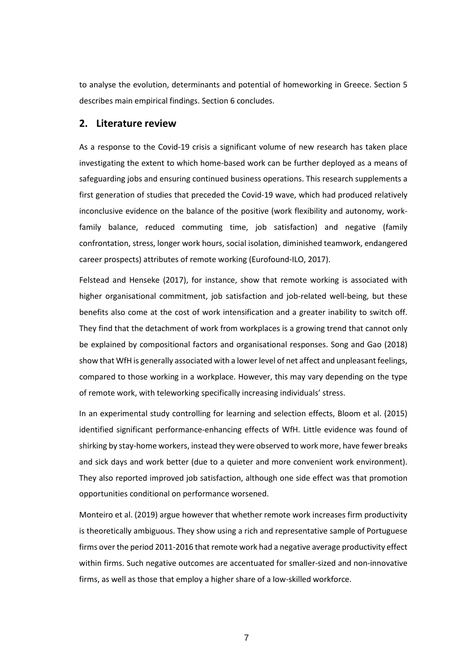to analyse the evolution, determinants and potential of homeworking in Greece. Section 5 describes main empirical findings. Section 6 concludes.

### **2. Literature review**

As a response to the Covid-19 crisis a significant volume of new research has taken place investigating the extent to which home-based work can be further deployed as a means of safeguarding jobs and ensuring continued business operations. This research supplements a first generation of studies that preceded the Covid-19 wave, which had produced relatively inconclusive evidence on the balance of the positive (work flexibility and autonomy, workfamily balance, reduced commuting time, job satisfaction) and negative (family confrontation, stress, longer work hours, social isolation, diminished teamwork, endangered career prospects) attributes of remote working (Eurofound-ILO, 2017).

Felstead and Henseke (2017), for instance, show that remote working is associated with higher organisational commitment, job satisfaction and job-related well-being, but these benefits also come at the cost of work intensification and a greater inability to switch off. They find that the detachment of work from workplaces is a growing trend that cannot only be explained by compositional factors and organisational responses. Song and Gao (2018) show that WfH is generally associated with a lower level of net affect and unpleasant feelings, compared to those working in a workplace. However, this may vary depending on the type of remote work, with teleworking specifically increasing individuals' stress.

In an experimental study controlling for learning and selection effects, Bloom et al. (2015) identified significant performance-enhancing effects of WfH. Little evidence was found of shirking by stay-home workers, instead they were observed to work more, have fewer breaks and sick days and work better (due to a quieter and more convenient work environment). They also reported improved job satisfaction, although one side effect was that promotion opportunities conditional on performance worsened.

Monteiro et al. (2019) argue however that whether remote work increases firm productivity is theoretically ambiguous. They show using a rich and representative sample of Portuguese firms over the period 2011-2016 that remote work had a negative average productivity effect within firms. Such negative outcomes are accentuated for smaller-sized and non-innovative firms, as well as those that employ a higher share of a low-skilled workforce.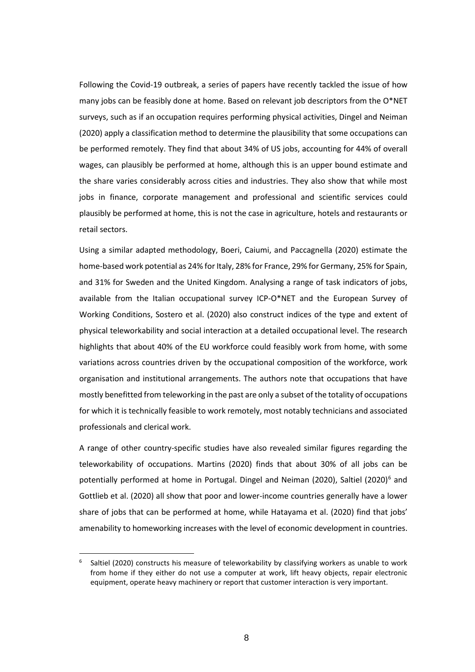Following the Covid-19 outbreak, a series of papers have recently tackled the issue of how many jobs can be feasibly done at home. Based on relevant job descriptors from the O\*NET surveys, such as if an occupation requires performing physical activities, Dingel and Neiman (2020) apply a classification method to determine the plausibility that some occupations can be performed remotely. They find that about 34% of US jobs, accounting for 44% of overall wages, can plausibly be performed at home, although this is an upper bound estimate and the share varies considerably across cities and industries. They also show that while most jobs in finance, corporate management and professional and scientific services could plausibly be performed at home, this is not the case in agriculture, hotels and restaurants or retail sectors.

Using a similar adapted methodology, Boeri, Caiumi, and Paccagnella (2020) estimate the home-based work potential as 24% for Italy, 28% for France, 29% for Germany, 25% for Spain, and 31% for Sweden and the United Kingdom. Analysing a range of task indicators of jobs, available from the Italian occupational survey ICP-O\*NET and the European Survey of Working Conditions, Sostero et al. (2020) also construct indices of the type and extent of physical teleworkability and social interaction at a detailed occupational level. The research highlights that about 40% of the EU workforce could feasibly work from home, with some variations across countries driven by the occupational composition of the workforce, work organisation and institutional arrangements. The authors note that occupations that have mostly benefitted from teleworking in the past are only a subset of the totality of occupations for which it is technically feasible to work remotely, most notably technicians and associated professionals and clerical work.

A range of other country-specific studies have also revealed similar figures regarding the teleworkability of occupations. Martins (2020) finds that about 30% of all jobs can be potentially performed at home in Portugal. Dingel and Neiman (2020), Saltiel (2020)<sup>[6](#page-8-0)</sup> and Gottlieb et al. (2020) all show that poor and lower-income countries generally have a lower share of jobs that can be performed at home, while Hatayama et al. (2020) find that jobs' amenability to homeworking increases with the level of economic development in countries.

<span id="page-8-0"></span><sup>6</sup> Saltiel (2020) constructs his measure of teleworkability by classifying workers as unable to work from home if they either do not use a computer at work, lift heavy objects, repair electronic equipment, operate heavy machinery or report that customer interaction is very important.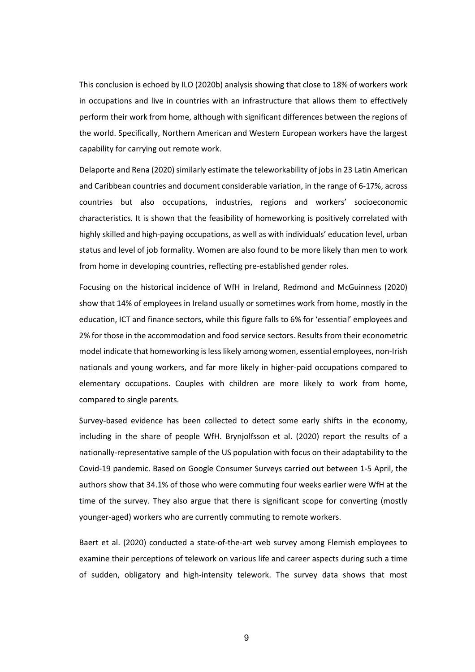This conclusion is echoed by ILO (2020b) analysis showing that close to 18% of workers work in occupations and live in countries with an infrastructure that allows them to effectively perform their work from home, although with significant differences between the regions of the world. Specifically, Northern American and Western European workers have the largest capability for carrying out remote work.

Delaporte and Rena (2020) similarly estimate the teleworkability of jobs in 23 Latin American and Caribbean countries and document considerable variation, in the range of 6-17%, across countries but also occupations, industries, regions and workers' socioeconomic characteristics. It is shown that the feasibility of homeworking is positively correlated with highly skilled and high-paying occupations, as well as with individuals' education level, urban status and level of job formality. Women are also found to be more likely than men to work from home in developing countries, reflecting pre-established gender roles.

Focusing on the historical incidence of WfH in Ireland, Redmond and McGuinness (2020) show that 14% of employees in Ireland usually or sometimes work from home, mostly in the education, ICT and finance sectors, while this figure falls to 6% for 'essential' employees and 2% for those in the accommodation and food service sectors. Results from their econometric model indicate that homeworking is less likely among women, essential employees, non-Irish nationals and young workers, and far more likely in higher-paid occupations compared to elementary occupations. Couples with children are more likely to work from home, compared to single parents.

Survey-based evidence has been collected to detect some early shifts in the economy, including in the share of people WfH. Brynjolfsson et al. (2020) report the results of a nationally-representative sample of the US population with focus on their adaptability to the Covid-19 pandemic. Based on Google Consumer Surveys carried out between 1-5 April, the authors show that 34.1% of those who were commuting four weeks earlier were WfH at the time of the survey. They also argue that there is significant scope for converting (mostly younger-aged) workers who are currently commuting to remote workers.

Baert et al. (2020) conducted a state-of-the-art web survey among Flemish employees to examine their perceptions of telework on various life and career aspects during such a time of sudden, obligatory and high-intensity telework. The survey data shows that most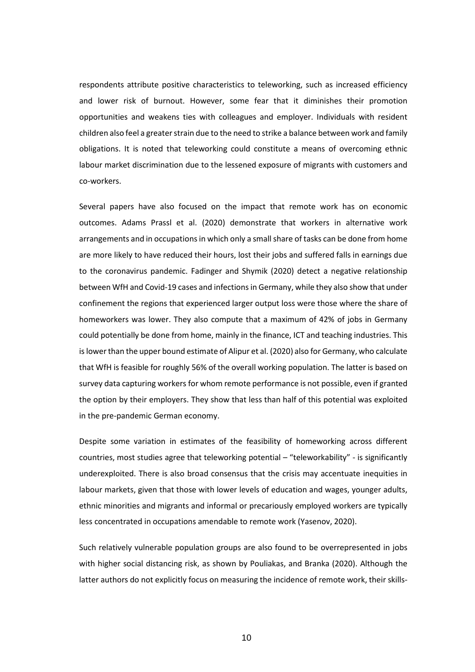respondents attribute positive characteristics to teleworking, such as increased efficiency and lower risk of burnout. However, some fear that it diminishes their promotion opportunities and weakens ties with colleagues and employer. Individuals with resident children also feel a greater strain due to the need to strike a balance between work and family obligations. It is noted that teleworking could constitute a means of overcoming ethnic labour market discrimination due to the lessened exposure of migrants with customers and co-workers.

Several papers have also focused on the impact that remote work has on economic outcomes. Adams Prassl et al. (2020) demonstrate that workers in alternative work arrangements and in occupations in which only a small share of tasks can be done from home are more likely to have reduced their hours, lost their jobs and suffered falls in earnings due to the coronavirus pandemic. Fadinger and Shymik (2020) detect a negative relationship between WfH and Covid-19 cases and infections in Germany, while they also show that under confinement the regions that experienced larger output loss were those where the share of homeworkers was lower. They also compute that a maximum of 42% of jobs in Germany could potentially be done from home, mainly in the finance, ICT and teaching industries. This is lower than the upper bound estimate of Alipur et al. (2020) also for Germany, who calculate that WfH is feasible for roughly 56% of the overall working population. The latter is based on survey data capturing workers for whom remote performance is not possible, even if granted the option by their employers. They show that less than half of this potential was exploited in the pre-pandemic German economy.

Despite some variation in estimates of the feasibility of homeworking across different countries, most studies agree that teleworking potential – "teleworkability" - is significantly underexploited. There is also broad consensus that the crisis may accentuate inequities in labour markets, given that those with lower levels of education and wages, younger adults, ethnic minorities and migrants and informal or precariously employed workers are typically less concentrated in occupations amendable to remote work (Yasenov, 2020).

Such relatively vulnerable population groups are also found to be overrepresented in jobs with higher social distancing risk, as shown by Pouliakas, and Branka (2020). Although the latter authors do not explicitly focus on measuring the incidence of remote work, their skills-

10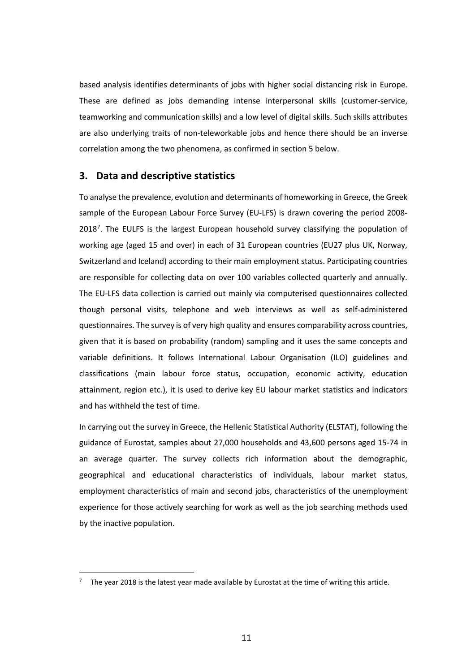based analysis identifies determinants of jobs with higher social distancing risk in Europe. These are defined as jobs demanding intense interpersonal skills (customer-service, teamworking and communication skills) and a low level of digital skills. Such skills attributes are also underlying traits of non-teleworkable jobs and hence there should be an inverse correlation among the two phenomena, as confirmed in section 5 below.

## **3. Data and descriptive statistics**

To analyse the prevalence, evolution and determinants of homeworking in Greece, the Greek sample of the European Labour Force Survey (EU-LFS) is drawn covering the period 2008- 2018<sup>[7](#page-11-0)</sup>. The EULFS is the largest European household survey classifying the population of working age (aged 15 and over) in each of 31 European countries (EU27 plus UK, Norway, Switzerland and Iceland) according to their main employment status. Participating countries are responsible for collecting data on over 100 variables collected quarterly and annually. The EU-LFS data collection is carried out mainly via computerised questionnaires collected though personal visits, telephone and web interviews as well as self-administered questionnaires. The survey is of very high quality and ensures comparability across countries, given that it is based on probability (random) sampling and it uses the same concepts and variable definitions. It follows International Labour Organisation (ILO) guidelines and classifications (main labour force status, occupation, economic activity, education attainment, region etc.), it is used to derive key EU labour market statistics and indicators and has withheld the test of time.

In carrying out the survey in Greece, the Hellenic Statistical Authority (ELSTAT), following the guidance of Eurostat, samples about 27,000 households and 43,600 persons aged 15-74 in an average quarter. The survey collects rich information about the demographic, geographical and educational characteristics of individuals, labour market status, employment characteristics of main and second jobs, characteristics of the unemployment experience for those actively searching for work as well as the job searching methods used by the inactive population.

<span id="page-11-0"></span>The year 2018 is the latest year made available by Eurostat at the time of writing this article.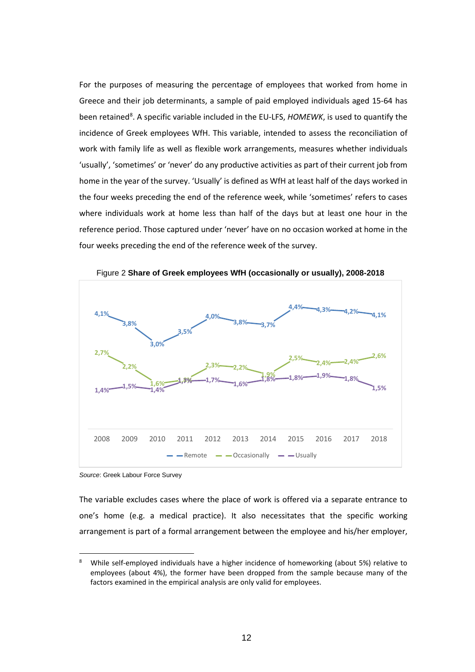For the purposes of measuring the percentage of employees that worked from home in Greece and their job determinants, a sample of paid employed individuals aged 15-64 has been retained<sup>[8](#page-12-0)</sup>. A specific variable included in the EU-LFS, *HOMEWK*, is used to quantify the incidence of Greek employees WfH. This variable, intended to assess the reconciliation of work with family life as well as flexible work arrangements, measures whether individuals 'usually', 'sometimes' or 'never' do any productive activities as part of their current job from home in the year of the survey. 'Usually' is defined as WfH at least half of the days worked in the four weeks preceding the end of the reference week, while 'sometimes' refers to cases where individuals work at home less than half of the days but at least one hour in the reference period. Those captured under 'never' have on no occasion worked at home in the four weeks preceding the end of the reference week of the survey.



Figure 2 **Share of Greek employees WfH (occasionally or usually), 2008-2018**

*Source*: Greek Labour Force Survey

The variable excludes cases where the place of work is offered via a separate entrance to one's home (e.g. a medical practice). It also necessitates that the specific working arrangement is part of a formal arrangement between the employee and his/her employer,

<span id="page-12-0"></span><sup>8</sup> While self-employed individuals have a higher incidence of homeworking (about 5%) relative to employees (about 4%), the former have been dropped from the sample because many of the factors examined in the empirical analysis are only valid for employees.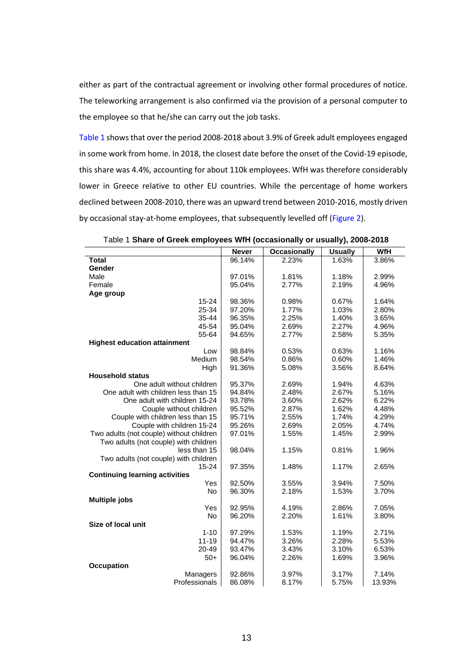either as part of the contractual agreement or involving other formal procedures of notice. The teleworking arrangement is also confirmed via the provision of a personal computer to the employee so that he/she can carry out the job tasks.

Table 1 shows that over the period 2008-2018 about 3.9% of Greek adult employees engaged in some work from home. In 2018, the closest date before the onset of the Covid-19 episode, this share was 4.4%, accounting for about 110k employees. WfH was therefore considerably lower in Greece relative to other EU countries. While the percentage of home workers declined between 2008-2010, there was an upward trend between 2010-2016, mostly driven by occasional stay-at-home employees, that subsequently levelled off (Figure 2).

|                                          | <b>Never</b> | <b>Occasionally</b> | <b>Usually</b> | <b>WfH</b> |
|------------------------------------------|--------------|---------------------|----------------|------------|
| <b>Total</b>                             | 96.14%       | 2.23%               | 1.63%          | 3.86%      |
| Gender                                   |              |                     |                |            |
| Male                                     | 97.01%       | 1.81%               | 1.18%          | 2.99%      |
| Female                                   | 95.04%       | 2.77%               | 2.19%          | 4.96%      |
| Age group                                |              |                     |                |            |
| $15 - 24$                                | 98.36%       | 0.98%               | 0.67%          | 1.64%      |
| 25-34                                    | 97.20%       | 1.77%               | 1.03%          | 2.80%      |
| $35 - 44$                                | 96.35%       | 2.25%               | 1.40%          | 3.65%      |
| 45-54                                    | 95.04%       | 2.69%               | 2.27%          | 4.96%      |
| 55-64                                    | 94.65%       | 2.77%               | 2.58%          | 5.35%      |
| <b>Highest education attainment</b>      |              |                     |                |            |
| Low                                      | 98.84%       | 0.53%               | 0.63%          | 1.16%      |
| Medium                                   | 98.54%       | 0.86%               | 0.60%          | 1.46%      |
| High                                     | 91.36%       | 5.08%               | 3.56%          | 8.64%      |
| <b>Household status</b>                  |              |                     |                |            |
| One adult without children               | 95.37%       | 2.69%               | 1.94%          | 4.63%      |
| One adult with children less than 15     | 94.84%       | 2.48%               | 2.67%          | 5.16%      |
| One adult with children 15-24            | 93.78%       | 3.60%               | 2.62%          | 6.22%      |
| Couple without children                  | 95.52%       | 2.87%               | 1.62%          | 4.48%      |
| Couple with children less than 15        | 95.71%       | 2.55%               | 1.74%          | 4.29%      |
| Couple with children 15-24               | 95.26%       | 2.69%               | 2.05%          | 4.74%      |
| Two adults (not couple) without children | 97.01%       | 1.55%               | 1.45%          | 2.99%      |
| Two adults (not couple) with children    |              |                     |                |            |
| less than 15                             | 98.04%       | 1.15%               | 0.81%          | 1.96%      |
| Two adults (not couple) with children    |              |                     |                |            |
| 15-24                                    | 97.35%       | 1.48%               | 1.17%          | 2.65%      |
| <b>Continuing learning activities</b>    |              |                     |                |            |
| Yes                                      | 92.50%       | 3.55%               | 3.94%          | 7.50%      |
| <b>No</b>                                | 96.30%       | 2.18%               | 1.53%          | 3.70%      |
| <b>Multiple jobs</b>                     |              |                     |                |            |
| Yes                                      | 92.95%       | 4.19%               | 2.86%          | 7.05%      |
| No                                       | 96.20%       | 2.20%               | 1.61%          | 3.80%      |
| Size of local unit                       |              |                     |                |            |
| $1 - 10$                                 | 97.29%       | 1.53%               | 1.19%          | 2.71%      |
| $11 - 19$                                | 94.47%       | 3.26%               | 2.28%          | 5.53%      |
| 20-49                                    | 93.47%       | 3.43%               | 3.10%          | 6.53%      |
| $50+$                                    | 96.04%       | 2.26%               | 1.69%          | 3.96%      |
| <b>Occupation</b>                        |              |                     |                |            |
| Managers                                 | 92.86%       | 3.97%               | 3.17%          | 7.14%      |
| Professionals                            | 86.08%       | 8.17%               | 5.75%          | 13.93%     |

Table 1 **Share of Greek employees WfH (occasionally or usually), 2008-2018**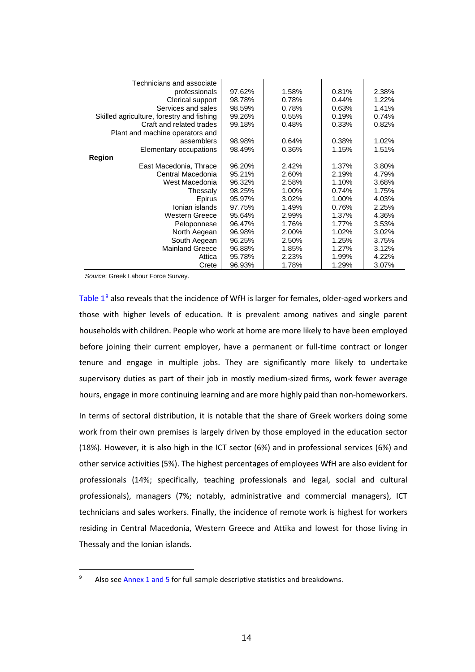| Technicians and associate                 |        |       |       |       |
|-------------------------------------------|--------|-------|-------|-------|
| professionals                             | 97.62% | 1.58% | 0.81% | 2.38% |
| Clerical support                          | 98.78% | 0.78% | 0.44% | 1.22% |
| Services and sales                        | 98.59% | 0.78% | 0.63% | 1.41% |
| Skilled agriculture, forestry and fishing | 99.26% | 0.55% | 0.19% | 0.74% |
| Craft and related trades                  | 99.18% | 0.48% | 0.33% | 0.82% |
| Plant and machine operators and           |        |       |       |       |
| assemblers                                | 98.98% | 0.64% | 0.38% | 1.02% |
| Elementary occupations                    | 98.49% | 0.36% | 1.15% | 1.51% |
| Region                                    |        |       |       |       |
| East Macedonia, Thrace                    | 96.20% | 2.42% | 1.37% | 3.80% |
| Central Macedonia                         | 95.21% | 2.60% | 2.19% | 4.79% |
| West Macedonia                            | 96.32% | 2.58% | 1.10% | 3.68% |
| Thessaly                                  | 98.25% | 1.00% | 0.74% | 1.75% |
| Epirus                                    | 95.97% | 3.02% | 1.00% | 4.03% |
| Ionian islands                            | 97.75% | 1.49% | 0.76% | 2.25% |
| Western Greece                            | 95.64% | 2.99% | 1.37% | 4.36% |
| Peloponnese                               | 96.47% | 1.76% | 1.77% | 3.53% |
| North Aegean                              | 96.98% | 2.00% | 1.02% | 3.02% |
| South Aegean                              | 96.25% | 2.50% | 1.25% | 3.75% |
| <b>Mainland Greece</b>                    | 96.88% | 1.85% | 1.27% | 3.12% |
| Attica                                    | 95.78% | 2.23% | 1.99% | 4.22% |
| Crete                                     | 96.93% | 1.78% | 1.29% | 3.07% |

*Source*: Greek Labour Force Survey.

Table  $1^9$  $1^9$  also reveals that the incidence of WfH is larger for females, older-aged workers and those with higher levels of education. It is prevalent among natives and single parent households with children. People who work at home are more likely to have been employed before joining their current employer, have a permanent or full-time contract or longer tenure and engage in multiple jobs. They are significantly more likely to undertake supervisory duties as part of their job in mostly medium-sized firms, work fewer average hours, engage in more continuing learning and are more highly paid than non-homeworkers.

In terms of sectoral distribution, it is notable that the share of Greek workers doing some work from their own premises is largely driven by those employed in the education sector (18%). However, it is also high in the ICT sector (6%) and in professional services (6%) and other service activities (5%). The highest percentages of employees WfH are also evident for professionals (14%; specifically, teaching professionals and legal, social and cultural professionals), managers (7%; notably, administrative and commercial managers), ICT technicians and sales workers. Finally, the incidence of remote work is highest for workers residing in Central Macedonia, Western Greece and Attika and lowest for those living in Thessaly and the Ionian islands.

<span id="page-14-0"></span><sup>&</sup>lt;sup>9</sup> Also see Annex 1 and 5 for full sample descriptive statistics and breakdowns.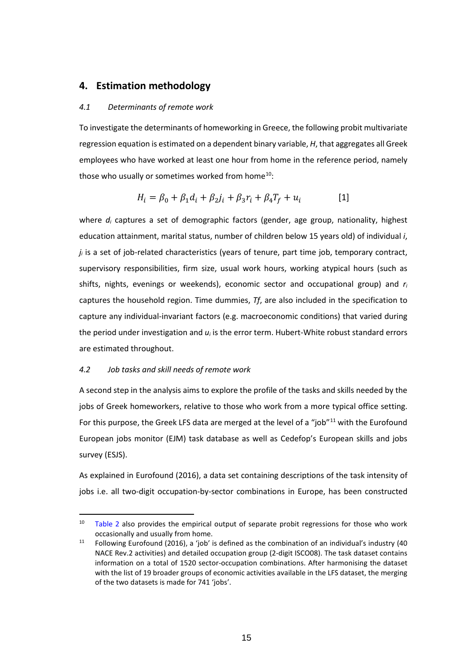## **4. Estimation methodology**

#### *4.1 Determinants of remote work*

To investigate the determinants of homeworking in Greece, the following probit multivariate regression equation is estimated on a dependent binary variable, *H*, that aggregates all Greek employees who have worked at least one hour from home in the reference period, namely those who usually or sometimes worked from home<sup>10</sup>:

$$
H_i = \beta_0 + \beta_1 d_i + \beta_2 j_i + \beta_3 r_i + \beta_4 T_f + u_i
$$
 [1]

where *di* captures a set of demographic factors (gender, age group, nationality, highest education attainment, marital status, number of children below 15 years old) of individual *i*, *ji* is a set of job-related characteristics (years of tenure, part time job, temporary contract, supervisory responsibilities, firm size, usual work hours, working atypical hours (such as shifts, nights, evenings or weekends), economic sector and occupational group) and *ri* captures the household region. Time dummies, *Tf*, are also included in the specification to capture any individual-invariant factors (e.g. macroeconomic conditions) that varied during the period under investigation and *ui* is the error term. Hubert-White robust standard errors are estimated throughout.

#### *4.2 Job tasks and skill needs of remote work*

A second step in the analysis aims to explore the profile of the tasks and skills needed by the jobs of Greek homeworkers, relative to those who work from a more typical office setting. For this purpose, the Greek LFS data are merged at the level of a "job"<sup>[11](#page-15-1)</sup> with the Eurofound European jobs monitor (EJM) task database as well as Cedefop's European skills and jobs survey (ESJS).

As explained in Eurofound (2016), a data set containing descriptions of the task intensity of jobs i.e. all two-digit occupation-by-sector combinations in Europe, has been constructed

<span id="page-15-0"></span> $10$  Table 2 also provides the empirical output of separate probit regressions for those who work occasionally and usually from home.

<span id="page-15-1"></span> $11$  Following Eurofound (2016), a 'job' is defined as the combination of an individual's industry (40 NACE Rev.2 activities) and detailed occupation group (2-digit ISCO08). The task dataset contains information on a total of 1520 sector-occupation combinations. After harmonising the dataset with the list of 19 broader groups of economic activities available in the LFS dataset, the merging of the two datasets is made for 741 'jobs'.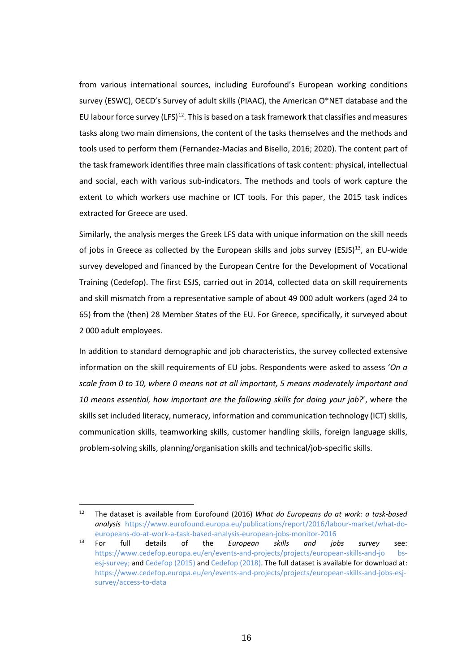from various international sources, including Eurofound's European working conditions survey (ESWC), OECD's Survey of adult skills (PIAAC), the American O\*NET database and the EU labour force survey (LFS)<sup>12</sup>. This is based on a task framework that classifies and measures tasks along two main dimensions, the content of the tasks themselves and the methods and tools used to perform them (Fernandez-Macias and Bisello, 2016; 2020). The content part of the task framework identifies three main classifications of task content: physical, intellectual and social, each with various sub-indicators. The methods and tools of work capture the extent to which workers use machine or ICT tools. For this paper, the 2015 task indices extracted for Greece are used.

Similarly, the analysis merges the Greek LFS data with unique information on the skill needs of jobs in Greece as collected by the European skills and jobs survey (ESJS)<sup>13</sup>, an EU-wide survey developed and financed by the European Centre for the Development of Vocational Training (Cedefop). The first ESJS, carried out in 2014, collected data on skill requirements and skill mismatch from a representative sample of about 49 000 adult workers (aged 24 to 65) from the (then) 28 Member States of the EU. For Greece, specifically, it surveyed about 2 000 adult employees.

In addition to standard demographic and job characteristics, the survey collected extensive information on the skill requirements of EU jobs. Respondents were asked to assess '*On a scale from 0 to 10, where 0 means not at all important, 5 means moderately important and 10 means essential, how important are the following skills for doing your job?*', where the skills set included literacy, numeracy, information and communication technology (ICT) skills, communication skills, teamworking skills, customer handling skills, foreign language skills, problem-solving skills, planning/organisation skills and technical/job-specific skills.

<span id="page-16-0"></span><sup>12</sup> The dataset is available from Eurofound (2016) *What do Europeans do at work: a task-based analysis* [https://www.eurofound.europa.eu/publications/report/2016/labour-market/what-do](https://www.eurofound.europa.eu/publications/report/2016/labour-market/what-do-europeans-do-at-work-a-task-based-analysis-european-jobs-monitor-2016)[europeans-do-at-work-a-task-based-analysis-european-jobs-monitor-2016](https://www.eurofound.europa.eu/publications/report/2016/labour-market/what-do-europeans-do-at-work-a-task-based-analysis-european-jobs-monitor-2016)

<span id="page-16-1"></span><sup>13</sup> For full details of the *European skills and jobs survey* see: [https://www.cedefop.europa.eu/en/events-and-projects/projects/european-skills-and-jo bs](https://www.cedefop.europa.eu/en/events-and-projects/projects/european-skills-and-jo%20bs-esj-survey)[esj-survey;](https://www.cedefop.europa.eu/en/events-and-projects/projects/european-skills-and-jo%20bs-esj-survey) an[d Cedefop \(2015\)](https://www.cedefop.europa.eu/en/publications-and-resources/publications/3072) and [Cedefop \(2018\).](https://www.cedefop.europa.eu/en/publications-and-resources/publications/3075) The full dataset is available for download at: [https://www.cedefop.europa.eu/en/events-and-projects/projects/european-skills-and-jobs-esj](https://www.cedefop.europa.eu/en/events-and-projects/projects/european-skills-and-jobs-esj-survey/access-to-data)[survey/access-to-data](https://www.cedefop.europa.eu/en/events-and-projects/projects/european-skills-and-jobs-esj-survey/access-to-data)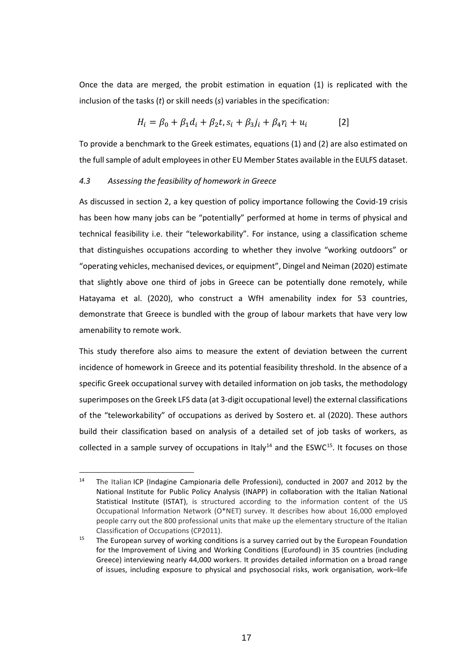Once the data are merged, the probit estimation in equation (1) is replicated with the inclusion of the tasks (*t*) or skill needs (*s*) variables in the specification:

$$
H_i = \beta_0 + \beta_1 d_i + \beta_2 t, s_i + \beta_3 j_i + \beta_4 r_i + u_i
$$
 [2]

To provide a benchmark to the Greek estimates, equations (1) and (2) are also estimated on the full sample of adult employees in other EU Member States available in the EULFS dataset.

#### *4.3 Assessing the feasibility of homework in Greece*

As discussed in section 2, a key question of policy importance following the Covid-19 crisis has been how many jobs can be "potentially" performed at home in terms of physical and technical feasibility i.e. their "teleworkability". For instance, using a classification scheme that distinguishes occupations according to whether they involve "working outdoors" or "operating vehicles, mechanised devices, or equipment", Dingel and Neiman (2020) estimate that slightly above one third of jobs in Greece can be potentially done remotely, while Hatayama et al. (2020), who construct a WfH amenability index for 53 countries, demonstrate that Greece is bundled with the group of labour markets that have very low amenability to remote work.

This study therefore also aims to measure the extent of deviation between the current incidence of homework in Greece and its potential feasibility threshold. In the absence of a specific Greek occupational survey with detailed information on job tasks, the methodology superimposes on the Greek LFS data (at 3-digit occupational level) the external classifications of the "teleworkability" of occupations as derived by Sostero et. al (2020). These authors build their classification based on analysis of a detailed set of job tasks of workers, as collected in a sample survey of occupations in Italy<sup>[14](#page-17-0)</sup> and the ESWC<sup>15</sup>. It focuses on those

<span id="page-17-0"></span><sup>&</sup>lt;sup>14</sup> The Italian ICP (Indagine Campionaria delle Professioni), conducted in 2007 and 2012 by the National Institute for Public Policy Analysis (INAPP) in collaboration with the Italian National Statistical Institute (ISTAT), is structured according to the information content of the US Occupational Information Network (O\*NET) survey. It describes how about 16,000 employed people carry out the 800 professional units that make up the elementary structure of the Italian Classification of Occupations (CP2011).

<span id="page-17-1"></span><sup>&</sup>lt;sup>15</sup> The European survey of working conditions is a survey carried out by the European Foundation for the Improvement of Living and Working Conditions (Eurofound) in 35 countries (including Greece) interviewing nearly 44,000 workers. It provides detailed information on a broad range of issues, including exposure to physical and psychosocial risks, work organisation, work–life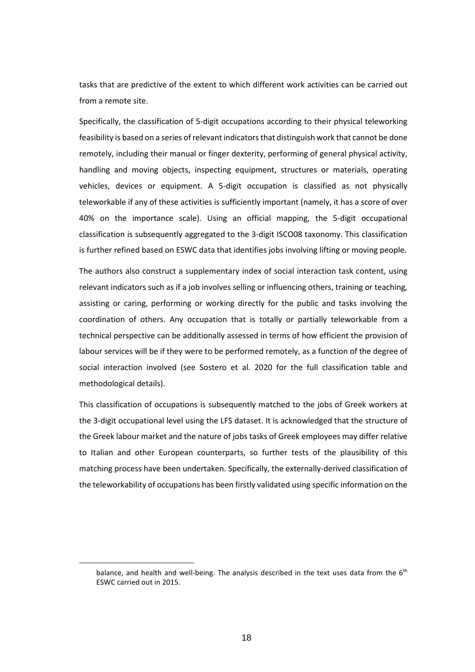tasks that are predictive of the extent to which different work activities can be carried out from a remote site.

Specifically, the classification of 5-digit occupations according to their physical teleworking feasibility is based on a series of relevant indicators that distinguish work that cannot be done remotely, including their manual or finger dexterity, performing of general physical activity, handling and moving objects, inspecting equipment, structures or materials, operating vehicles, devices or equipment. A 5-digit occupation is classified as not physically teleworkable if any of these activities is sufficiently important (namely, it has a score of over 40% on the importance scale). Using an official mapping, the 5-digit occupational classification is subsequently aggregated to the 3-digit ISCO08 taxonomy. This classification is further refined based on ESWC data that identifies jobs involving lifting or moving people.

The authors also construct a supplementary index of social interaction task content, using relevant indicators such as if a job involves selling or influencing others, training or teaching, assisting or caring, performing or working directly for the public and tasks involving the coordination of others. Any occupation that is totally or partially teleworkable from a technical perspective can be additionally assessed in terms of how efficient the provision of labour services will be if they were to be performed remotely, as a function of the degree of social interaction involved (see Sostero et al. 2020 for the full classification table and methodological details).

This classification of occupations is subsequently matched to the jobs of Greek workers at the 3-digit occupational level using the LFS dataset. It is acknowledged that the structure of the Greek labour market and the nature of jobs tasks of Greek employees may differ relative to Italian and other European counterparts, so further tests of the plausibility of this matching process have been undertaken. Specifically, the externally-derived classification of the teleworkability of occupations has been firstly validated using specific information on the

balance, and health and well-being. The analysis described in the text uses data from the 6<sup>th</sup> ESWC carried out in 2015.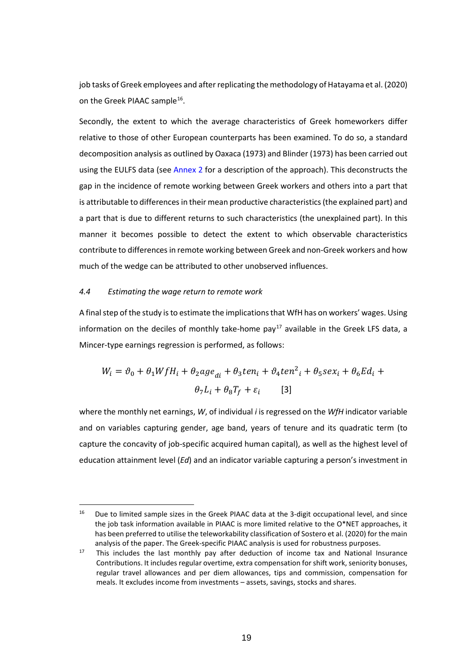job tasks of Greek employees and afterreplicating the methodology of Hatayama et al. (2020) on the Greek PIAAC sample<sup>[16](#page-19-0)</sup>.

Secondly, the extent to which the average characteristics of Greek homeworkers differ relative to those of other European counterparts has been examined. To do so, a standard decomposition analysis as outlined by Oaxaca (1973) and Blinder (1973) has been carried out using the EULFS data (see Annex 2 for a description of the approach). This deconstructs the gap in the incidence of remote working between Greek workers and others into a part that is attributable to differences in their mean productive characteristics (the explained part) and a part that is due to different returns to such characteristics (the unexplained part). In this manner it becomes possible to detect the extent to which observable characteristics contribute to differencesin remote working between Greek and non-Greek workers and how much of the wedge can be attributed to other unobserved influences.

#### *4.4 Estimating the wage return to remote work*

A final step of the study is to estimate the implications that WfH has on workers' wages. Using information on the deciles of monthly take-home pay<sup>[17](#page-19-1)</sup> available in the Greek LFS data, a Mincer-type earnings regression is performed, as follows:

$$
W_i = \vartheta_0 + \theta_1 W f H_i + \theta_2 a g e_{di} + \theta_3 t e n_i + \vartheta_4 t e n^2_i + \theta_5 s e x_i + \theta_6 E d_i +
$$
  

$$
\theta_7 L_i + \theta_8 T_f + \varepsilon_i \qquad [3]
$$

where the monthly net earnings, *W*, of individual *i* is regressed on the *WfH* indicator variable and on variables capturing gender, age band, years of tenure and its quadratic term (to capture the concavity of job-specific acquired human capital), as well as the highest level of education attainment level (*Ed*) and an indicator variable capturing a person's investment in

<span id="page-19-0"></span><sup>&</sup>lt;sup>16</sup> Due to limited sample sizes in the Greek PIAAC data at the 3-digit occupational level, and since the job task information available in PIAAC is more limited relative to the O\*NET approaches, it has been preferred to utilise the teleworkability classification of Sostero et al. (2020) for the main analysis of the paper. The Greek-specific PIAAC analysis is used for robustness purposes.

<span id="page-19-1"></span> $17$  This includes the last monthly pay after deduction of income tax and National Insurance Contributions. It includes regular overtime, extra compensation for shift work, seniority bonuses, regular travel allowances and per diem allowances, tips and commission, compensation for meals. It excludes income from investments – assets, savings, stocks and shares.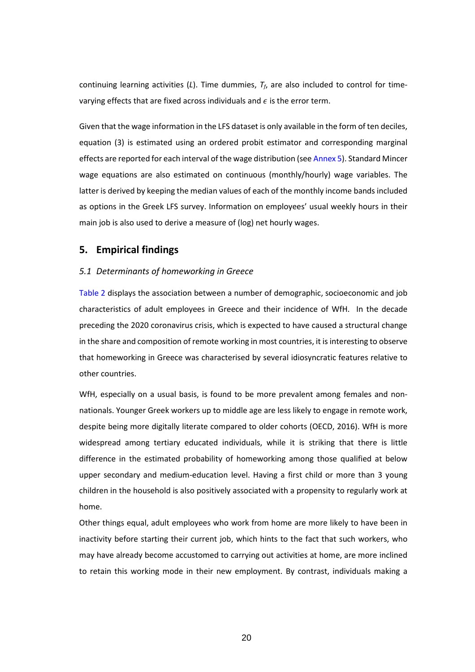continuing learning activities (*L*). Time dummies, *Tf*, are also included to control for timevarying effects that are fixed across individuals and  $\epsilon$  is the error term.

Given that the wage information in the LFS dataset is only available in the form of ten deciles, equation (3) is estimated using an ordered probit estimator and corresponding marginal effects are reported for each interval of the wage distribution (see Annex 5). Standard Mincer wage equations are also estimated on continuous (monthly/hourly) wage variables. The latter is derived by keeping the median values of each of the monthly income bands included as options in the Greek LFS survey. Information on employees' usual weekly hours in their main job is also used to derive a measure of (log) net hourly wages.

## **5. Empirical findings**

### *5.1 Determinants of homeworking in Greece*

Table 2 displays the association between a number of demographic, socioeconomic and job characteristics of adult employees in Greece and their incidence of WfH. In the decade preceding the 2020 coronavirus crisis, which is expected to have caused a structural change in the share and composition of remote working in most countries, it is interesting to observe that homeworking in Greece was characterised by several idiosyncratic features relative to other countries.

WfH, especially on a usual basis, is found to be more prevalent among females and nonnationals. Younger Greek workers up to middle age are less likely to engage in remote work, despite being more digitally literate compared to older cohorts (OECD, 2016). WfH is more widespread among tertiary educated individuals, while it is striking that there is little difference in the estimated probability of homeworking among those qualified at below upper secondary and medium-education level. Having a first child or more than 3 young children in the household is also positively associated with a propensity to regularly work at home.

Other things equal, adult employees who work from home are more likely to have been in inactivity before starting their current job, which hints to the fact that such workers, who may have already become accustomed to carrying out activities at home, are more inclined to retain this working mode in their new employment. By contrast, individuals making a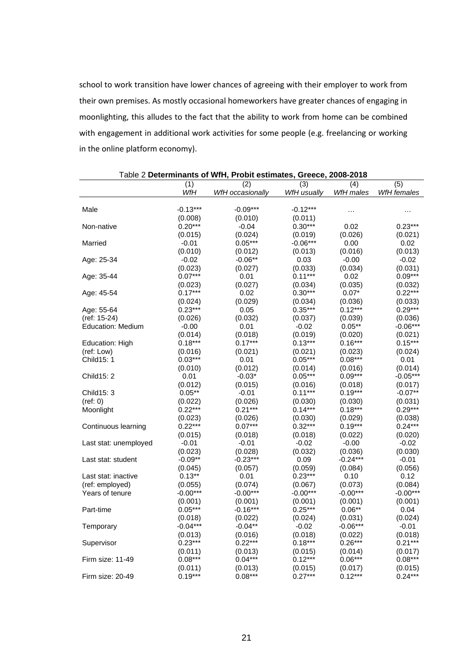school to work transition have lower chances of agreeing with their employer to work from their own premises. As mostly occasional homeworkers have greater chances of engaging in moonlighting, this alludes to the fact that the ability to work from home can be combined with engagement in additional work activities for some people (e.g. freelancing or working in the online platform economy).

| (3)<br>(4)<br>(5)<br>(1)<br>(2)<br>WfH<br>WfH males<br>WfH usually<br>WfH females<br>WfH occasionally<br>$-0.13***$<br>$-0.09***$<br>$-0.12***$<br>Male<br>$\ddotsc$<br>(0.008)<br>(0.010)<br>(0.011)<br>$0.20***$<br>$0.30***$<br>0.02<br>$0.23***$<br>Non-native<br>$-0.04$<br>(0.024)<br>(0.026)<br>(0.015)<br>(0.019)<br>(0.021)<br>$0.05***$<br>$-0.06***$<br>Married<br>$-0.01$<br>0.00<br>0.02<br>(0.010)<br>(0.012)<br>(0.013)<br>(0.016)<br>(0.013)<br>$-0.06**$<br>$-0.02$<br>Age: 25-34<br>$-0.02$<br>0.03<br>$-0.00$<br>(0.023)<br>(0.027)<br>(0.033)<br>(0.034)<br>(0.031)<br>$0.07***$<br>$0.11***$<br>$0.09***$<br>0.01<br>0.02<br>Age: 35-44<br>(0.023)<br>(0.027)<br>(0.034)<br>(0.035)<br>(0.032)<br>$0.17***$<br>$0.30***$<br>$0.22***$<br>0.02<br>$0.07*$<br>Age: 45-54<br>(0.024)<br>(0.029)<br>(0.034)<br>(0.036)<br>(0.033)<br>$0.29***$<br>$0.23***$<br>$0.35***$<br>$0.12***$<br>Age: 55-64<br>0.05<br>(0.026)<br>(0.037)<br>(ref: 15-24)<br>(0.032)<br>(0.039)<br>(0.036)<br>$-0.06***$<br><b>Education: Medium</b><br>$-0.00$<br>0.01<br>$-0.02$<br>$0.05**$<br>(0.014)<br>(0.018)<br>(0.019)<br>(0.020)<br>(0.021)<br>$0.18***$<br>$0.17***$<br>$0.13***$<br>$0.16***$<br>$0.15***$<br>Education: High<br>(0.021)<br>(0.021)<br>(0.023)<br>(0.024)<br>(ref: Low)<br>(0.016)<br>$0.03***$<br>$0.05***$<br>$0.08***$<br><b>Child15: 1</b><br>0.01<br>0.01<br>(0.010)<br>(0.012)<br>(0.014)<br>(0.016)<br>(0.014)<br>$0.05***$<br>$0.09***$<br>Child 15: 2<br>0.01<br>$-0.03*$<br>$-0.05***$<br>(0.012)<br>(0.015)<br>(0.016)<br>(0.017)<br>(0.018)<br>$0.05**$<br>$-0.01$<br>$0.11***$<br>$0.19***$<br>$-0.07**$<br>Child15: 3<br>(ref: 0)<br>(0.022)<br>(0.026)<br>(0.030)<br>(0.030)<br>(0.031)<br>$0.21***$<br>$0.29***$<br>$0.22***$<br>$0.14***$<br>$0.18***$<br>Moonlight<br>(0.023)<br>(0.026)<br>(0.030)<br>(0.029)<br>(0.038)<br>$0.22***$<br>$0.24***$<br>$0.07***$<br>$0.32***$<br>$0.19***$<br>Continuous learning<br>(0.015)<br>(0.018)<br>(0.018)<br>(0.022)<br>(0.020)<br>$-0.01$<br>$-0.01$<br>$-0.02$<br>$-0.00$<br>$-0.02$<br>Last stat: unemployed<br>(0.023)<br>(0.032)<br>(0.036)<br>(0.030)<br>(0.028)<br>$-0.09**$<br>-0.23***<br>0.09<br>$-0.24***$<br>$-0.01$<br>Last stat: student<br>(0.057)<br>(0.084)<br>(0.056)<br>(0.045)<br>(0.059)<br>$0.13**$<br>$0.23***$<br>Last stat: inactive<br>0.01<br>0.10<br>0.12<br>(ref: employed)<br>(0.084)<br>(0.055)<br>(0.074)<br>(0.067)<br>(0.073)<br>$-0.00***$<br>$-0.00***$<br>$-0.00***$<br>$-0.00***$<br>$-0.00***$<br>Years of tenure<br>(0.001)<br>(0.001)<br>(0.001)<br>(0.001)<br>(0.001)<br>$0.05***$<br>$-0.16***$<br>$0.25***$<br>$0.06**$<br>Part-time<br>0.04<br>(0.024)<br>(0.018)<br>(0.022)<br>(0.024)<br>(0.031)<br>$-0.04***$<br>$-0.04**$<br>$-0.02$<br>-0.06***<br>$-0.01$<br>Temporary<br>(0.013)<br>(0.016)<br>(0.018)<br>(0.022)<br>(0.018)<br>$0.23***$<br>$0.22***$<br>$0.26***$<br>$0.21***$<br>$0.18***$<br>Supervisor<br>(0.011)<br>(0.013)<br>(0.014)<br>(0.017)<br>(0.015)<br>Firm size: 11-49<br>$0.08***$<br>$0.04***$<br>$0.12***$<br>$0.06***$<br>$0.08***$<br>(0.011)<br>(0.013)<br>(0.015)<br>(0.017)<br>(0.015)<br>$0.19***$<br>$0.08***$<br>$0.27***$<br>$0.12***$<br>$0.24***$<br>Firm size: 20-49 | Table 2 Determinants of WfH, Probit estimates, Greece, 2008-2018 |  |  |  |  |  |
|-----------------------------------------------------------------------------------------------------------------------------------------------------------------------------------------------------------------------------------------------------------------------------------------------------------------------------------------------------------------------------------------------------------------------------------------------------------------------------------------------------------------------------------------------------------------------------------------------------------------------------------------------------------------------------------------------------------------------------------------------------------------------------------------------------------------------------------------------------------------------------------------------------------------------------------------------------------------------------------------------------------------------------------------------------------------------------------------------------------------------------------------------------------------------------------------------------------------------------------------------------------------------------------------------------------------------------------------------------------------------------------------------------------------------------------------------------------------------------------------------------------------------------------------------------------------------------------------------------------------------------------------------------------------------------------------------------------------------------------------------------------------------------------------------------------------------------------------------------------------------------------------------------------------------------------------------------------------------------------------------------------------------------------------------------------------------------------------------------------------------------------------------------------------------------------------------------------------------------------------------------------------------------------------------------------------------------------------------------------------------------------------------------------------------------------------------------------------------------------------------------------------------------------------------------------------------------------------------------------------------------------------------------------------------------------------------------------------------------------------------------------------------------------------------------------------------------------------------------------------------------------------------------------------------------------------------------------------------------------------------------------------------------------------------------------------------------------------------------------------------------------------------------------------------------------------------------------------------------------------|------------------------------------------------------------------|--|--|--|--|--|
|                                                                                                                                                                                                                                                                                                                                                                                                                                                                                                                                                                                                                                                                                                                                                                                                                                                                                                                                                                                                                                                                                                                                                                                                                                                                                                                                                                                                                                                                                                                                                                                                                                                                                                                                                                                                                                                                                                                                                                                                                                                                                                                                                                                                                                                                                                                                                                                                                                                                                                                                                                                                                                                                                                                                                                                                                                                                                                                                                                                                                                                                                                                                                                                                                                         |                                                                  |  |  |  |  |  |
|                                                                                                                                                                                                                                                                                                                                                                                                                                                                                                                                                                                                                                                                                                                                                                                                                                                                                                                                                                                                                                                                                                                                                                                                                                                                                                                                                                                                                                                                                                                                                                                                                                                                                                                                                                                                                                                                                                                                                                                                                                                                                                                                                                                                                                                                                                                                                                                                                                                                                                                                                                                                                                                                                                                                                                                                                                                                                                                                                                                                                                                                                                                                                                                                                                         |                                                                  |  |  |  |  |  |
|                                                                                                                                                                                                                                                                                                                                                                                                                                                                                                                                                                                                                                                                                                                                                                                                                                                                                                                                                                                                                                                                                                                                                                                                                                                                                                                                                                                                                                                                                                                                                                                                                                                                                                                                                                                                                                                                                                                                                                                                                                                                                                                                                                                                                                                                                                                                                                                                                                                                                                                                                                                                                                                                                                                                                                                                                                                                                                                                                                                                                                                                                                                                                                                                                                         |                                                                  |  |  |  |  |  |
|                                                                                                                                                                                                                                                                                                                                                                                                                                                                                                                                                                                                                                                                                                                                                                                                                                                                                                                                                                                                                                                                                                                                                                                                                                                                                                                                                                                                                                                                                                                                                                                                                                                                                                                                                                                                                                                                                                                                                                                                                                                                                                                                                                                                                                                                                                                                                                                                                                                                                                                                                                                                                                                                                                                                                                                                                                                                                                                                                                                                                                                                                                                                                                                                                                         |                                                                  |  |  |  |  |  |
|                                                                                                                                                                                                                                                                                                                                                                                                                                                                                                                                                                                                                                                                                                                                                                                                                                                                                                                                                                                                                                                                                                                                                                                                                                                                                                                                                                                                                                                                                                                                                                                                                                                                                                                                                                                                                                                                                                                                                                                                                                                                                                                                                                                                                                                                                                                                                                                                                                                                                                                                                                                                                                                                                                                                                                                                                                                                                                                                                                                                                                                                                                                                                                                                                                         |                                                                  |  |  |  |  |  |
|                                                                                                                                                                                                                                                                                                                                                                                                                                                                                                                                                                                                                                                                                                                                                                                                                                                                                                                                                                                                                                                                                                                                                                                                                                                                                                                                                                                                                                                                                                                                                                                                                                                                                                                                                                                                                                                                                                                                                                                                                                                                                                                                                                                                                                                                                                                                                                                                                                                                                                                                                                                                                                                                                                                                                                                                                                                                                                                                                                                                                                                                                                                                                                                                                                         |                                                                  |  |  |  |  |  |
|                                                                                                                                                                                                                                                                                                                                                                                                                                                                                                                                                                                                                                                                                                                                                                                                                                                                                                                                                                                                                                                                                                                                                                                                                                                                                                                                                                                                                                                                                                                                                                                                                                                                                                                                                                                                                                                                                                                                                                                                                                                                                                                                                                                                                                                                                                                                                                                                                                                                                                                                                                                                                                                                                                                                                                                                                                                                                                                                                                                                                                                                                                                                                                                                                                         |                                                                  |  |  |  |  |  |
|                                                                                                                                                                                                                                                                                                                                                                                                                                                                                                                                                                                                                                                                                                                                                                                                                                                                                                                                                                                                                                                                                                                                                                                                                                                                                                                                                                                                                                                                                                                                                                                                                                                                                                                                                                                                                                                                                                                                                                                                                                                                                                                                                                                                                                                                                                                                                                                                                                                                                                                                                                                                                                                                                                                                                                                                                                                                                                                                                                                                                                                                                                                                                                                                                                         |                                                                  |  |  |  |  |  |
|                                                                                                                                                                                                                                                                                                                                                                                                                                                                                                                                                                                                                                                                                                                                                                                                                                                                                                                                                                                                                                                                                                                                                                                                                                                                                                                                                                                                                                                                                                                                                                                                                                                                                                                                                                                                                                                                                                                                                                                                                                                                                                                                                                                                                                                                                                                                                                                                                                                                                                                                                                                                                                                                                                                                                                                                                                                                                                                                                                                                                                                                                                                                                                                                                                         |                                                                  |  |  |  |  |  |
|                                                                                                                                                                                                                                                                                                                                                                                                                                                                                                                                                                                                                                                                                                                                                                                                                                                                                                                                                                                                                                                                                                                                                                                                                                                                                                                                                                                                                                                                                                                                                                                                                                                                                                                                                                                                                                                                                                                                                                                                                                                                                                                                                                                                                                                                                                                                                                                                                                                                                                                                                                                                                                                                                                                                                                                                                                                                                                                                                                                                                                                                                                                                                                                                                                         |                                                                  |  |  |  |  |  |
|                                                                                                                                                                                                                                                                                                                                                                                                                                                                                                                                                                                                                                                                                                                                                                                                                                                                                                                                                                                                                                                                                                                                                                                                                                                                                                                                                                                                                                                                                                                                                                                                                                                                                                                                                                                                                                                                                                                                                                                                                                                                                                                                                                                                                                                                                                                                                                                                                                                                                                                                                                                                                                                                                                                                                                                                                                                                                                                                                                                                                                                                                                                                                                                                                                         |                                                                  |  |  |  |  |  |
|                                                                                                                                                                                                                                                                                                                                                                                                                                                                                                                                                                                                                                                                                                                                                                                                                                                                                                                                                                                                                                                                                                                                                                                                                                                                                                                                                                                                                                                                                                                                                                                                                                                                                                                                                                                                                                                                                                                                                                                                                                                                                                                                                                                                                                                                                                                                                                                                                                                                                                                                                                                                                                                                                                                                                                                                                                                                                                                                                                                                                                                                                                                                                                                                                                         |                                                                  |  |  |  |  |  |
|                                                                                                                                                                                                                                                                                                                                                                                                                                                                                                                                                                                                                                                                                                                                                                                                                                                                                                                                                                                                                                                                                                                                                                                                                                                                                                                                                                                                                                                                                                                                                                                                                                                                                                                                                                                                                                                                                                                                                                                                                                                                                                                                                                                                                                                                                                                                                                                                                                                                                                                                                                                                                                                                                                                                                                                                                                                                                                                                                                                                                                                                                                                                                                                                                                         |                                                                  |  |  |  |  |  |
|                                                                                                                                                                                                                                                                                                                                                                                                                                                                                                                                                                                                                                                                                                                                                                                                                                                                                                                                                                                                                                                                                                                                                                                                                                                                                                                                                                                                                                                                                                                                                                                                                                                                                                                                                                                                                                                                                                                                                                                                                                                                                                                                                                                                                                                                                                                                                                                                                                                                                                                                                                                                                                                                                                                                                                                                                                                                                                                                                                                                                                                                                                                                                                                                                                         |                                                                  |  |  |  |  |  |
|                                                                                                                                                                                                                                                                                                                                                                                                                                                                                                                                                                                                                                                                                                                                                                                                                                                                                                                                                                                                                                                                                                                                                                                                                                                                                                                                                                                                                                                                                                                                                                                                                                                                                                                                                                                                                                                                                                                                                                                                                                                                                                                                                                                                                                                                                                                                                                                                                                                                                                                                                                                                                                                                                                                                                                                                                                                                                                                                                                                                                                                                                                                                                                                                                                         |                                                                  |  |  |  |  |  |
|                                                                                                                                                                                                                                                                                                                                                                                                                                                                                                                                                                                                                                                                                                                                                                                                                                                                                                                                                                                                                                                                                                                                                                                                                                                                                                                                                                                                                                                                                                                                                                                                                                                                                                                                                                                                                                                                                                                                                                                                                                                                                                                                                                                                                                                                                                                                                                                                                                                                                                                                                                                                                                                                                                                                                                                                                                                                                                                                                                                                                                                                                                                                                                                                                                         |                                                                  |  |  |  |  |  |
|                                                                                                                                                                                                                                                                                                                                                                                                                                                                                                                                                                                                                                                                                                                                                                                                                                                                                                                                                                                                                                                                                                                                                                                                                                                                                                                                                                                                                                                                                                                                                                                                                                                                                                                                                                                                                                                                                                                                                                                                                                                                                                                                                                                                                                                                                                                                                                                                                                                                                                                                                                                                                                                                                                                                                                                                                                                                                                                                                                                                                                                                                                                                                                                                                                         |                                                                  |  |  |  |  |  |
|                                                                                                                                                                                                                                                                                                                                                                                                                                                                                                                                                                                                                                                                                                                                                                                                                                                                                                                                                                                                                                                                                                                                                                                                                                                                                                                                                                                                                                                                                                                                                                                                                                                                                                                                                                                                                                                                                                                                                                                                                                                                                                                                                                                                                                                                                                                                                                                                                                                                                                                                                                                                                                                                                                                                                                                                                                                                                                                                                                                                                                                                                                                                                                                                                                         |                                                                  |  |  |  |  |  |
|                                                                                                                                                                                                                                                                                                                                                                                                                                                                                                                                                                                                                                                                                                                                                                                                                                                                                                                                                                                                                                                                                                                                                                                                                                                                                                                                                                                                                                                                                                                                                                                                                                                                                                                                                                                                                                                                                                                                                                                                                                                                                                                                                                                                                                                                                                                                                                                                                                                                                                                                                                                                                                                                                                                                                                                                                                                                                                                                                                                                                                                                                                                                                                                                                                         |                                                                  |  |  |  |  |  |
|                                                                                                                                                                                                                                                                                                                                                                                                                                                                                                                                                                                                                                                                                                                                                                                                                                                                                                                                                                                                                                                                                                                                                                                                                                                                                                                                                                                                                                                                                                                                                                                                                                                                                                                                                                                                                                                                                                                                                                                                                                                                                                                                                                                                                                                                                                                                                                                                                                                                                                                                                                                                                                                                                                                                                                                                                                                                                                                                                                                                                                                                                                                                                                                                                                         |                                                                  |  |  |  |  |  |
|                                                                                                                                                                                                                                                                                                                                                                                                                                                                                                                                                                                                                                                                                                                                                                                                                                                                                                                                                                                                                                                                                                                                                                                                                                                                                                                                                                                                                                                                                                                                                                                                                                                                                                                                                                                                                                                                                                                                                                                                                                                                                                                                                                                                                                                                                                                                                                                                                                                                                                                                                                                                                                                                                                                                                                                                                                                                                                                                                                                                                                                                                                                                                                                                                                         |                                                                  |  |  |  |  |  |
|                                                                                                                                                                                                                                                                                                                                                                                                                                                                                                                                                                                                                                                                                                                                                                                                                                                                                                                                                                                                                                                                                                                                                                                                                                                                                                                                                                                                                                                                                                                                                                                                                                                                                                                                                                                                                                                                                                                                                                                                                                                                                                                                                                                                                                                                                                                                                                                                                                                                                                                                                                                                                                                                                                                                                                                                                                                                                                                                                                                                                                                                                                                                                                                                                                         |                                                                  |  |  |  |  |  |
|                                                                                                                                                                                                                                                                                                                                                                                                                                                                                                                                                                                                                                                                                                                                                                                                                                                                                                                                                                                                                                                                                                                                                                                                                                                                                                                                                                                                                                                                                                                                                                                                                                                                                                                                                                                                                                                                                                                                                                                                                                                                                                                                                                                                                                                                                                                                                                                                                                                                                                                                                                                                                                                                                                                                                                                                                                                                                                                                                                                                                                                                                                                                                                                                                                         |                                                                  |  |  |  |  |  |
|                                                                                                                                                                                                                                                                                                                                                                                                                                                                                                                                                                                                                                                                                                                                                                                                                                                                                                                                                                                                                                                                                                                                                                                                                                                                                                                                                                                                                                                                                                                                                                                                                                                                                                                                                                                                                                                                                                                                                                                                                                                                                                                                                                                                                                                                                                                                                                                                                                                                                                                                                                                                                                                                                                                                                                                                                                                                                                                                                                                                                                                                                                                                                                                                                                         |                                                                  |  |  |  |  |  |
|                                                                                                                                                                                                                                                                                                                                                                                                                                                                                                                                                                                                                                                                                                                                                                                                                                                                                                                                                                                                                                                                                                                                                                                                                                                                                                                                                                                                                                                                                                                                                                                                                                                                                                                                                                                                                                                                                                                                                                                                                                                                                                                                                                                                                                                                                                                                                                                                                                                                                                                                                                                                                                                                                                                                                                                                                                                                                                                                                                                                                                                                                                                                                                                                                                         |                                                                  |  |  |  |  |  |
|                                                                                                                                                                                                                                                                                                                                                                                                                                                                                                                                                                                                                                                                                                                                                                                                                                                                                                                                                                                                                                                                                                                                                                                                                                                                                                                                                                                                                                                                                                                                                                                                                                                                                                                                                                                                                                                                                                                                                                                                                                                                                                                                                                                                                                                                                                                                                                                                                                                                                                                                                                                                                                                                                                                                                                                                                                                                                                                                                                                                                                                                                                                                                                                                                                         |                                                                  |  |  |  |  |  |
|                                                                                                                                                                                                                                                                                                                                                                                                                                                                                                                                                                                                                                                                                                                                                                                                                                                                                                                                                                                                                                                                                                                                                                                                                                                                                                                                                                                                                                                                                                                                                                                                                                                                                                                                                                                                                                                                                                                                                                                                                                                                                                                                                                                                                                                                                                                                                                                                                                                                                                                                                                                                                                                                                                                                                                                                                                                                                                                                                                                                                                                                                                                                                                                                                                         |                                                                  |  |  |  |  |  |
|                                                                                                                                                                                                                                                                                                                                                                                                                                                                                                                                                                                                                                                                                                                                                                                                                                                                                                                                                                                                                                                                                                                                                                                                                                                                                                                                                                                                                                                                                                                                                                                                                                                                                                                                                                                                                                                                                                                                                                                                                                                                                                                                                                                                                                                                                                                                                                                                                                                                                                                                                                                                                                                                                                                                                                                                                                                                                                                                                                                                                                                                                                                                                                                                                                         |                                                                  |  |  |  |  |  |
|                                                                                                                                                                                                                                                                                                                                                                                                                                                                                                                                                                                                                                                                                                                                                                                                                                                                                                                                                                                                                                                                                                                                                                                                                                                                                                                                                                                                                                                                                                                                                                                                                                                                                                                                                                                                                                                                                                                                                                                                                                                                                                                                                                                                                                                                                                                                                                                                                                                                                                                                                                                                                                                                                                                                                                                                                                                                                                                                                                                                                                                                                                                                                                                                                                         |                                                                  |  |  |  |  |  |
|                                                                                                                                                                                                                                                                                                                                                                                                                                                                                                                                                                                                                                                                                                                                                                                                                                                                                                                                                                                                                                                                                                                                                                                                                                                                                                                                                                                                                                                                                                                                                                                                                                                                                                                                                                                                                                                                                                                                                                                                                                                                                                                                                                                                                                                                                                                                                                                                                                                                                                                                                                                                                                                                                                                                                                                                                                                                                                                                                                                                                                                                                                                                                                                                                                         |                                                                  |  |  |  |  |  |
|                                                                                                                                                                                                                                                                                                                                                                                                                                                                                                                                                                                                                                                                                                                                                                                                                                                                                                                                                                                                                                                                                                                                                                                                                                                                                                                                                                                                                                                                                                                                                                                                                                                                                                                                                                                                                                                                                                                                                                                                                                                                                                                                                                                                                                                                                                                                                                                                                                                                                                                                                                                                                                                                                                                                                                                                                                                                                                                                                                                                                                                                                                                                                                                                                                         |                                                                  |  |  |  |  |  |
|                                                                                                                                                                                                                                                                                                                                                                                                                                                                                                                                                                                                                                                                                                                                                                                                                                                                                                                                                                                                                                                                                                                                                                                                                                                                                                                                                                                                                                                                                                                                                                                                                                                                                                                                                                                                                                                                                                                                                                                                                                                                                                                                                                                                                                                                                                                                                                                                                                                                                                                                                                                                                                                                                                                                                                                                                                                                                                                                                                                                                                                                                                                                                                                                                                         |                                                                  |  |  |  |  |  |
|                                                                                                                                                                                                                                                                                                                                                                                                                                                                                                                                                                                                                                                                                                                                                                                                                                                                                                                                                                                                                                                                                                                                                                                                                                                                                                                                                                                                                                                                                                                                                                                                                                                                                                                                                                                                                                                                                                                                                                                                                                                                                                                                                                                                                                                                                                                                                                                                                                                                                                                                                                                                                                                                                                                                                                                                                                                                                                                                                                                                                                                                                                                                                                                                                                         |                                                                  |  |  |  |  |  |
|                                                                                                                                                                                                                                                                                                                                                                                                                                                                                                                                                                                                                                                                                                                                                                                                                                                                                                                                                                                                                                                                                                                                                                                                                                                                                                                                                                                                                                                                                                                                                                                                                                                                                                                                                                                                                                                                                                                                                                                                                                                                                                                                                                                                                                                                                                                                                                                                                                                                                                                                                                                                                                                                                                                                                                                                                                                                                                                                                                                                                                                                                                                                                                                                                                         |                                                                  |  |  |  |  |  |
|                                                                                                                                                                                                                                                                                                                                                                                                                                                                                                                                                                                                                                                                                                                                                                                                                                                                                                                                                                                                                                                                                                                                                                                                                                                                                                                                                                                                                                                                                                                                                                                                                                                                                                                                                                                                                                                                                                                                                                                                                                                                                                                                                                                                                                                                                                                                                                                                                                                                                                                                                                                                                                                                                                                                                                                                                                                                                                                                                                                                                                                                                                                                                                                                                                         |                                                                  |  |  |  |  |  |
|                                                                                                                                                                                                                                                                                                                                                                                                                                                                                                                                                                                                                                                                                                                                                                                                                                                                                                                                                                                                                                                                                                                                                                                                                                                                                                                                                                                                                                                                                                                                                                                                                                                                                                                                                                                                                                                                                                                                                                                                                                                                                                                                                                                                                                                                                                                                                                                                                                                                                                                                                                                                                                                                                                                                                                                                                                                                                                                                                                                                                                                                                                                                                                                                                                         |                                                                  |  |  |  |  |  |
|                                                                                                                                                                                                                                                                                                                                                                                                                                                                                                                                                                                                                                                                                                                                                                                                                                                                                                                                                                                                                                                                                                                                                                                                                                                                                                                                                                                                                                                                                                                                                                                                                                                                                                                                                                                                                                                                                                                                                                                                                                                                                                                                                                                                                                                                                                                                                                                                                                                                                                                                                                                                                                                                                                                                                                                                                                                                                                                                                                                                                                                                                                                                                                                                                                         |                                                                  |  |  |  |  |  |
|                                                                                                                                                                                                                                                                                                                                                                                                                                                                                                                                                                                                                                                                                                                                                                                                                                                                                                                                                                                                                                                                                                                                                                                                                                                                                                                                                                                                                                                                                                                                                                                                                                                                                                                                                                                                                                                                                                                                                                                                                                                                                                                                                                                                                                                                                                                                                                                                                                                                                                                                                                                                                                                                                                                                                                                                                                                                                                                                                                                                                                                                                                                                                                                                                                         |                                                                  |  |  |  |  |  |
|                                                                                                                                                                                                                                                                                                                                                                                                                                                                                                                                                                                                                                                                                                                                                                                                                                                                                                                                                                                                                                                                                                                                                                                                                                                                                                                                                                                                                                                                                                                                                                                                                                                                                                                                                                                                                                                                                                                                                                                                                                                                                                                                                                                                                                                                                                                                                                                                                                                                                                                                                                                                                                                                                                                                                                                                                                                                                                                                                                                                                                                                                                                                                                                                                                         |                                                                  |  |  |  |  |  |
|                                                                                                                                                                                                                                                                                                                                                                                                                                                                                                                                                                                                                                                                                                                                                                                                                                                                                                                                                                                                                                                                                                                                                                                                                                                                                                                                                                                                                                                                                                                                                                                                                                                                                                                                                                                                                                                                                                                                                                                                                                                                                                                                                                                                                                                                                                                                                                                                                                                                                                                                                                                                                                                                                                                                                                                                                                                                                                                                                                                                                                                                                                                                                                                                                                         |                                                                  |  |  |  |  |  |
|                                                                                                                                                                                                                                                                                                                                                                                                                                                                                                                                                                                                                                                                                                                                                                                                                                                                                                                                                                                                                                                                                                                                                                                                                                                                                                                                                                                                                                                                                                                                                                                                                                                                                                                                                                                                                                                                                                                                                                                                                                                                                                                                                                                                                                                                                                                                                                                                                                                                                                                                                                                                                                                                                                                                                                                                                                                                                                                                                                                                                                                                                                                                                                                                                                         |                                                                  |  |  |  |  |  |
|                                                                                                                                                                                                                                                                                                                                                                                                                                                                                                                                                                                                                                                                                                                                                                                                                                                                                                                                                                                                                                                                                                                                                                                                                                                                                                                                                                                                                                                                                                                                                                                                                                                                                                                                                                                                                                                                                                                                                                                                                                                                                                                                                                                                                                                                                                                                                                                                                                                                                                                                                                                                                                                                                                                                                                                                                                                                                                                                                                                                                                                                                                                                                                                                                                         |                                                                  |  |  |  |  |  |
|                                                                                                                                                                                                                                                                                                                                                                                                                                                                                                                                                                                                                                                                                                                                                                                                                                                                                                                                                                                                                                                                                                                                                                                                                                                                                                                                                                                                                                                                                                                                                                                                                                                                                                                                                                                                                                                                                                                                                                                                                                                                                                                                                                                                                                                                                                                                                                                                                                                                                                                                                                                                                                                                                                                                                                                                                                                                                                                                                                                                                                                                                                                                                                                                                                         |                                                                  |  |  |  |  |  |
|                                                                                                                                                                                                                                                                                                                                                                                                                                                                                                                                                                                                                                                                                                                                                                                                                                                                                                                                                                                                                                                                                                                                                                                                                                                                                                                                                                                                                                                                                                                                                                                                                                                                                                                                                                                                                                                                                                                                                                                                                                                                                                                                                                                                                                                                                                                                                                                                                                                                                                                                                                                                                                                                                                                                                                                                                                                                                                                                                                                                                                                                                                                                                                                                                                         |                                                                  |  |  |  |  |  |
|                                                                                                                                                                                                                                                                                                                                                                                                                                                                                                                                                                                                                                                                                                                                                                                                                                                                                                                                                                                                                                                                                                                                                                                                                                                                                                                                                                                                                                                                                                                                                                                                                                                                                                                                                                                                                                                                                                                                                                                                                                                                                                                                                                                                                                                                                                                                                                                                                                                                                                                                                                                                                                                                                                                                                                                                                                                                                                                                                                                                                                                                                                                                                                                                                                         |                                                                  |  |  |  |  |  |
|                                                                                                                                                                                                                                                                                                                                                                                                                                                                                                                                                                                                                                                                                                                                                                                                                                                                                                                                                                                                                                                                                                                                                                                                                                                                                                                                                                                                                                                                                                                                                                                                                                                                                                                                                                                                                                                                                                                                                                                                                                                                                                                                                                                                                                                                                                                                                                                                                                                                                                                                                                                                                                                                                                                                                                                                                                                                                                                                                                                                                                                                                                                                                                                                                                         |                                                                  |  |  |  |  |  |
|                                                                                                                                                                                                                                                                                                                                                                                                                                                                                                                                                                                                                                                                                                                                                                                                                                                                                                                                                                                                                                                                                                                                                                                                                                                                                                                                                                                                                                                                                                                                                                                                                                                                                                                                                                                                                                                                                                                                                                                                                                                                                                                                                                                                                                                                                                                                                                                                                                                                                                                                                                                                                                                                                                                                                                                                                                                                                                                                                                                                                                                                                                                                                                                                                                         |                                                                  |  |  |  |  |  |
|                                                                                                                                                                                                                                                                                                                                                                                                                                                                                                                                                                                                                                                                                                                                                                                                                                                                                                                                                                                                                                                                                                                                                                                                                                                                                                                                                                                                                                                                                                                                                                                                                                                                                                                                                                                                                                                                                                                                                                                                                                                                                                                                                                                                                                                                                                                                                                                                                                                                                                                                                                                                                                                                                                                                                                                                                                                                                                                                                                                                                                                                                                                                                                                                                                         |                                                                  |  |  |  |  |  |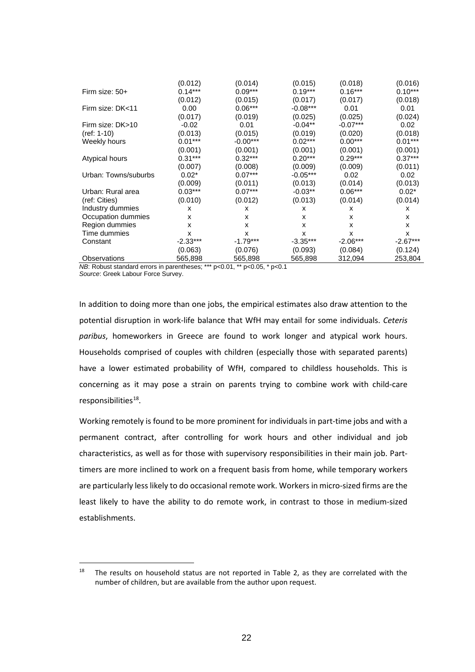|                      | (0.012)    | (0.014)    | (0.015)    | (0.018)    | (0.016)    |
|----------------------|------------|------------|------------|------------|------------|
| Firm size: 50+       | $0.14***$  | $0.09***$  | $0.19***$  | $0.16***$  | $0.10***$  |
|                      | (0.012)    | (0.015)    | (0.017)    | (0.017)    | (0.018)    |
| Firm size: DK<11     | 0.00       | $0.06***$  | $-0.08***$ | 0.01       | 0.01       |
|                      | (0.017)    | (0.019)    | (0.025)    | (0.025)    | (0.024)    |
| Firm size: DK>10     | $-0.02$    | 0.01       | $-0.04**$  | $-0.07***$ | 0.02       |
| $(ref: 1-10)$        | (0.013)    | (0.015)    | (0.019)    | (0.020)    | (0.018)    |
| Weekly hours         | $0.01***$  | $-0.00***$ | $0.02***$  | $0.00***$  | $0.01***$  |
|                      | (0.001)    | (0.001)    | (0.001)    | (0.001)    | (0.001)    |
| Atypical hours       | $0.31***$  | $0.32***$  | $0.20***$  | $0.29***$  | $0.37***$  |
|                      | (0.007)    | (0.008)    | (0.009)    | (0.009)    | (0.011)    |
| Urban: Towns/suburbs | $0.02*$    | $0.07***$  | $-0.05***$ | 0.02       | 0.02       |
|                      | (0.009)    | (0.011)    | (0.013)    | (0.014)    | (0.013)    |
| Urban: Rural area    | $0.03***$  | $0.07***$  | $-0.03**$  | $0.06***$  | $0.02*$    |
| (ref: Cities)        | (0.010)    | (0.012)    | (0.013)    | (0.014)    | (0.014)    |
| Industry dummies     | x          | x          | x          | x          | X          |
| Occupation dummies   | x          | X          | x          | x          | X          |
| Region dummies       | x          | X          | x          | x          | X          |
| Time dummies         | x          | X          | X          | x          | X          |
| Constant             | $-2.33***$ | $-1.79***$ | $-3.35***$ | $-2.06***$ | $-2.67***$ |
|                      | (0.063)    | (0.076)    | (0.093)    | (0.084)    | (0.124)    |
| <b>Observations</b>  | 565,898    | 565,898    | 565,898    | 312,094    | 253,804    |

*NB*: Robust standard errors in parentheses; \*\*\* p<0.01, \*\* p<0.05, \* p<0.1 *Source*: Greek Labour Force Survey.

In addition to doing more than one jobs, the empirical estimates also draw attention to the potential disruption in work-life balance that WfH may entail for some individuals. *Ceteris paribus*, homeworkers in Greece are found to work longer and atypical work hours. Households comprised of couples with children (especially those with separated parents) have a lower estimated probability of WfH, compared to childless households. This is concerning as it may pose a strain on parents trying to combine work with child-care responsibilities<sup>18</sup>.

Working remotely is found to be more prominent for individuals in part-time jobs and with a permanent contract, after controlling for work hours and other individual and job characteristics, as well as for those with supervisory responsibilities in their main job. Parttimers are more inclined to work on a frequent basis from home, while temporary workers are particularly less likely to do occasional remote work. Workers in micro-sized firms are the least likely to have the ability to do remote work, in contrast to those in medium-sized establishments.

<span id="page-22-0"></span> $18$  The results on household status are not reported in Table 2, as they are correlated with the number of children, but are available from the author upon request.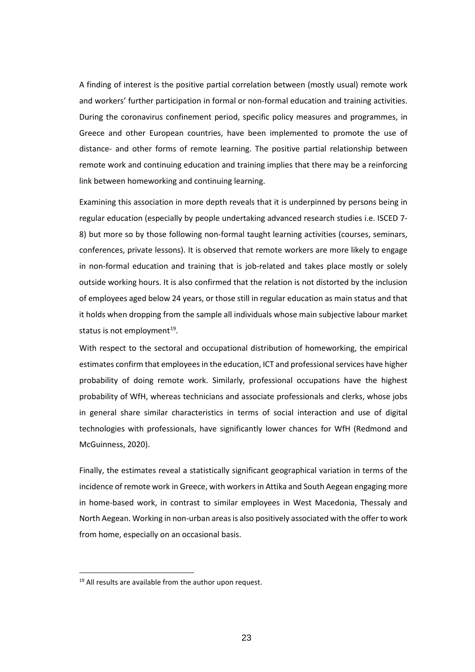A finding of interest is the positive partial correlation between (mostly usual) remote work and workers' further participation in formal or non-formal education and training activities. During the coronavirus confinement period, specific policy measures and programmes, in Greece and other European countries, have been implemented to promote the use of distance- and other forms of remote learning. The positive partial relationship between remote work and continuing education and training implies that there may be a reinforcing link between homeworking and continuing learning.

Examining this association in more depth reveals that it is underpinned by persons being in regular education (especially by people undertaking advanced research studies i.e. ISCED 7- 8) but more so by those following non-formal taught learning activities (courses, seminars, conferences, private lessons). It is observed that remote workers are more likely to engage in non-formal education and training that is job-related and takes place mostly or solely outside working hours. It is also confirmed that the relation is not distorted by the inclusion of employees aged below 24 years, or those still in regular education as main status and that it holds when dropping from the sample all individuals whose main subjective labour market status is not employment $19$ .

With respect to the sectoral and occupational distribution of homeworking, the empirical estimates confirm that employees in the education, ICT and professional services have higher probability of doing remote work. Similarly, professional occupations have the highest probability of WfH, whereas technicians and associate professionals and clerks, whose jobs in general share similar characteristics in terms of social interaction and use of digital technologies with professionals, have significantly lower chances for WfH (Redmond and McGuinness, 2020).

Finally, the estimates reveal a statistically significant geographical variation in terms of the incidence of remote work in Greece, with workers in Attika and South Aegean engaging more in home-based work, in contrast to similar employees in West Macedonia, Thessaly and North Aegean. Working in non-urban areas is also positively associated with the offer to work from home, especially on an occasional basis.

<span id="page-23-0"></span><sup>&</sup>lt;sup>19</sup> All results are available from the author upon request.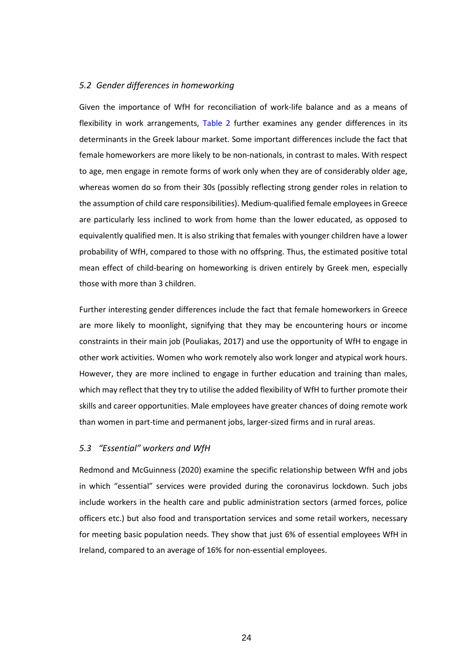#### *5.2 Gender differences in homeworking*

Given the importance of WfH for reconciliation of work-life balance and as a means of flexibility in work arrangements, Table 2 further examines any gender differences in its determinants in the Greek labour market. Some important differences include the fact that female homeworkers are more likely to be non-nationals, in contrast to males. With respect to age, men engage in remote forms of work only when they are of considerably older age, whereas women do so from their 30s (possibly reflecting strong gender roles in relation to the assumption of child care responsibilities). Medium-qualified female employees in Greece are particularly less inclined to work from home than the lower educated, as opposed to equivalently qualified men. It is also striking that females with younger children have a lower probability of WfH, compared to those with no offspring. Thus, the estimated positive total mean effect of child-bearing on homeworking is driven entirely by Greek men, especially those with more than 3 children.

Further interesting gender differences include the fact that female homeworkers in Greece are more likely to moonlight, signifying that they may be encountering hours or income constraints in their main job (Pouliakas, 2017) and use the opportunity of WfH to engage in other work activities. Women who work remotely also work longer and atypical work hours. However, they are more inclined to engage in further education and training than males, which may reflect that they try to utilise the added flexibility of WfH to further promote their skills and career opportunities. Male employees have greater chances of doing remote work than women in part-time and permanent jobs, larger-sized firms and in rural areas.

#### *5.3 "Essential" workers and WfH*

Redmond and McGuinness (2020) examine the specific relationship between WfH and jobs in which "essential" services were provided during the coronavirus lockdown. Such jobs include workers in the health care and public administration sectors (armed forces, police officers etc.) but also food and transportation services and some retail workers, necessary for meeting basic population needs. They show that just 6% of essential employees WfH in Ireland, compared to an average of 16% for non-essential employees.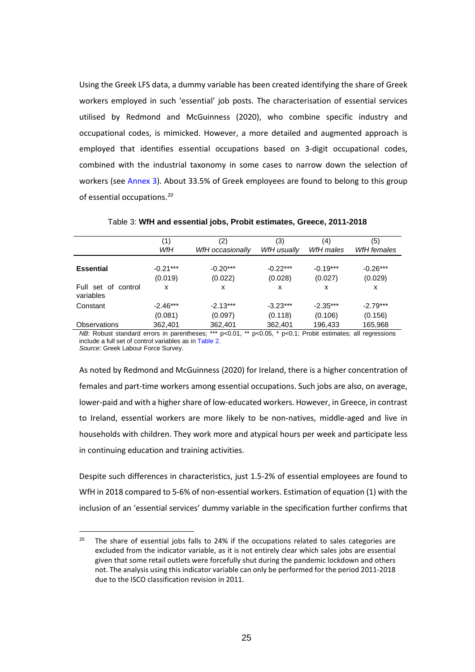Using the Greek LFS data, a dummy variable has been created identifying the share of Greek workers employed in such 'essential' job posts. The characterisation of essential services utilised by Redmond and McGuinness (2020), who combine specific industry and occupational codes, is mimicked. However, a more detailed and augmented approach is employed that identifies essential occupations based on 3-digit occupational codes, combined with the industrial taxonomy in some cases to narrow down the selection of workers (see Annex 3). About 33.5% of Greek employees are found to belong to this group of essential occupations. [20](#page-25-0)

|                                  | (1)<br>WfH            | (2)<br>WfH occasionally | (3)<br>WfH usually    | (4)<br>WfH males      | (5)<br>WfH females    |
|----------------------------------|-----------------------|-------------------------|-----------------------|-----------------------|-----------------------|
| <b>Essential</b>                 | $-0.21***$<br>(0.019) | $-0.20***$<br>(0.022)   | $-0.22***$<br>(0.028) | $-0.19***$<br>(0.027) | $-0.26***$<br>(0.029) |
| Full set of control<br>variables | x                     | x                       | x                     | x                     | х                     |
| Constant                         | $-2.46***$            | $-2.13***$              | $-3.23***$            | $-2.35***$            | $-2.79***$            |
|                                  | (0.081)               | (0.097)                 | (0.118)               | (0.106)               | (0.156)               |
| <b>Observations</b>              | 362,401               | 362,401                 | 362,401               | 196,433               | 165,968               |

Table 3: **WfH and essential jobs, Probit estimates, Greece, 2011-2018**

*NB*: Robust standard errors in parentheses; \*\*\* p<0.01, \*\* p<0.05, \* p<0.1; Probit estimates; all regressions include a full set of control variables as in Table 2. *Source*: Greek Labour Force Survey.

As noted by Redmond and McGuinness (2020) for Ireland, there is a higher concentration of females and part-time workers among essential occupations. Such jobs are also, on average, lower-paid and with a higher share of low-educated workers. However, in Greece, in contrast to Ireland, essential workers are more likely to be non-natives, middle-aged and live in households with children. They work more and atypical hours per week and participate less in continuing education and training activities.

Despite such differences in characteristics, just 1.5-2% of essential employees are found to WfH in 2018 compared to 5-6% of non-essential workers. Estimation of equation (1) with the inclusion of an 'essential services' dummy variable in the specification further confirms that

<span id="page-25-0"></span><sup>&</sup>lt;sup>20</sup> The share of essential jobs falls to 24% if the occupations related to sales categories are excluded from the indicator variable, as it is not entirely clear which sales jobs are essential given that some retail outlets were forcefully shut during the pandemic lockdown and others not. The analysis using this indicator variable can only be performed for the period 2011-2018 due to the ISCO classification revision in 2011.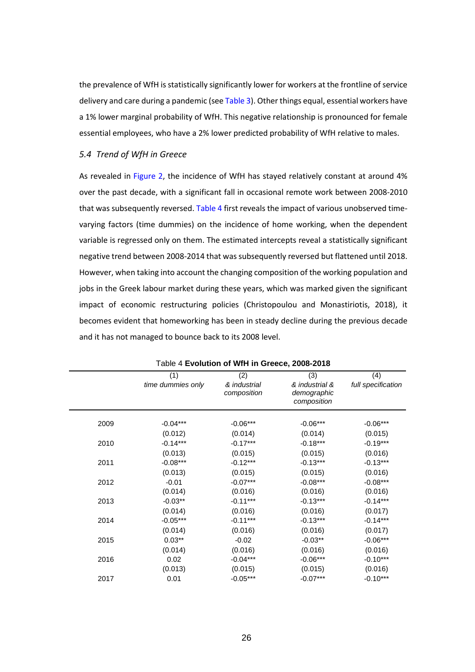the prevalence of WfH is statistically significantly lower for workers at the frontline of service delivery and care during a pandemic (see Table 3). Other things equal, essential workers have a 1% lower marginal probability of WfH. This negative relationship is pronounced for female essential employees, who have a 2% lower predicted probability of WfH relative to males.

#### *5.4 Trend of WfH in Greece*

As revealed in Figure 2, the incidence of WfH has stayed relatively constant at around 4% over the past decade, with a significant fall in occasional remote work between 2008-2010 that was subsequently reversed. Table 4 first reveals the impact of various unobserved timevarying factors (time dummies) on the incidence of home working, when the dependent variable is regressed only on them. The estimated intercepts reveal a statistically significant negative trend between 2008-2014 that was subsequently reversed but flattened until 2018. However, when taking into account the changing composition of the working population and jobs in the Greek labour market during these years, which was marked given the significant impact of economic restructuring policies (Christopoulou and Monastiriotis, 2018), it becomes evident that homeworking has been in steady decline during the previous decade and it has not managed to bounce back to its 2008 level.

|      |                   | $\tau$ Lyonalion of Will in Orcecc, 2000-2010 |                                              |                    |
|------|-------------------|-----------------------------------------------|----------------------------------------------|--------------------|
|      | (1)               | (2)                                           | (3)                                          | (4)                |
|      | time dummies only | & industrial<br>composition                   | & industrial &<br>demographic<br>composition | full specification |
| 2009 | $-0.04***$        | $-0.06***$                                    | $-0.06***$                                   | $-0.06***$         |
|      | (0.012)           | (0.014)                                       | (0.014)                                      | (0.015)            |
| 2010 | $-0.14***$        | $-0.17***$                                    | $-0.18***$                                   | $-0.19***$         |
|      | (0.013)           | (0.015)                                       | (0.015)                                      | (0.016)            |
| 2011 | $-0.08***$        | $-0.12***$                                    | $-0.13***$                                   | $-0.13***$         |
|      | (0.013)           | (0.015)                                       | (0.015)                                      | (0.016)            |
| 2012 | $-0.01$           | $-0.07***$                                    | $-0.08***$                                   | $-0.08***$         |
|      | (0.014)           | (0.016)                                       | (0.016)                                      | (0.016)            |
| 2013 | $-0.03**$         | $-0.11***$                                    | $-0.13***$                                   | $-0.14***$         |
|      | (0.014)           | (0.016)                                       | (0.016)                                      | (0.017)            |
| 2014 | $-0.05***$        | $-0.11***$                                    | $-0.13***$                                   | $-0.14***$         |
|      | (0.014)           | (0.016)                                       | (0.016)                                      | (0.017)            |
| 2015 | $0.03**$          | $-0.02$                                       | $-0.03**$                                    | $-0.06***$         |
|      | (0.014)           | (0.016)                                       | (0.016)                                      | (0.016)            |
| 2016 | 0.02              | $-0.04***$                                    | $-0.06***$                                   | $-0.10***$         |
|      | (0.013)           | (0.015)                                       | (0.015)                                      | (0.016)            |
| 2017 | 0.01              | $-0.05***$                                    | $-0.07***$                                   | $-0.10***$         |

#### Table 4 **Evolution of WfH in Greece, 2008-2018**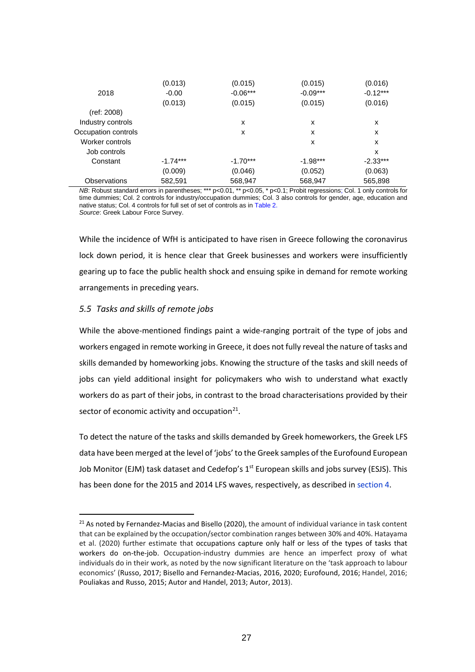|                     | (0.013)    | (0.015)    | (0.015)    | (0.016)    |
|---------------------|------------|------------|------------|------------|
| 2018                | $-0.00$    | $-0.06***$ | $-0.09***$ | $-0.12***$ |
|                     | (0.013)    | (0.015)    | (0.015)    | (0.016)    |
| (ref: 2008)         |            |            |            |            |
| Industry controls   |            | X          | x          | x          |
| Occupation controls |            | X          | x          | x          |
| Worker controls     |            |            | x          | x          |
| Job controls        |            |            |            | x          |
| Constant            | $-1.74***$ | $-1.70***$ | $-1.98***$ | $-2.33***$ |
|                     | (0.009)    | (0.046)    | (0.052)    | (0.063)    |
| Observations        | 582,591    | 568,947    | 568,947    | 565,898    |

*NB*: Robust standard errors in parentheses; \*\*\* p<0.01, \*\* p<0.05, \* p<0.1; Probit regressions; Col. 1 only controls for time dummies; Col. 2 controls for industry/occupation dummies; Col. 3 also controls for gender, age, education and native status; Col. 4 controls for full set of set of controls as in Table 2. *Source*: Greek Labour Force Survey.

While the incidence of WfH is anticipated to have risen in Greece following the coronavirus lock down period, it is hence clear that Greek businesses and workers were insufficiently gearing up to face the public health shock and ensuing spike in demand for remote working arrangements in preceding years.

#### *5.5 Tasks and skills of remote jobs*

While the above-mentioned findings paint a wide-ranging portrait of the type of jobs and workers engaged in remote working in Greece, it does not fully reveal the nature of tasks and skills demanded by homeworking jobs. Knowing the structure of the tasks and skill needs of jobs can yield additional insight for policymakers who wish to understand what exactly workers do as part of their jobs, in contrast to the broad characterisations provided by their sector of economic activity and occupation $21$ .

To detect the nature of the tasks and skills demanded by Greek homeworkers, the Greek LFS data have been merged at the level of 'jobs' to the Greek samples of the Eurofound European Job Monitor (EJM) task dataset and Cedefop's  $1<sup>st</sup>$  European skills and jobs survey (ESJS). This has been done for the 2015 and 2014 LFS waves, respectively, as described in section 4.

<span id="page-27-0"></span><sup>&</sup>lt;sup>21</sup> As noted by Fernandez-Macias and Bisello (2020), the amount of individual variance in task content that can be explained by the occupation/sector combination ranges between 30% and 40%. Hatayama et al. (2020) further estimate that occupations capture only half or less of the types of tasks that workers do on-the-job. Occupation-industry dummies are hence an imperfect proxy of what individuals do in their work, as noted by the now significant literature on the 'task approach to labour economics' (Russo, 2017; Bisello and Fernandez-Macias, 2016, 2020; Eurofound, 2016; Handel, 2016; Pouliakas and Russo, 2015; Autor and Handel, 2013; Autor, 2013).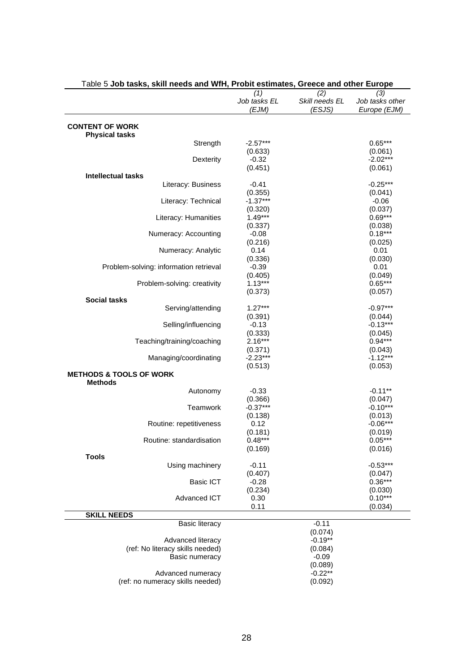| Table 5 Job tasks, skill needs and WfH, Probit estimates, Greece and other Europe |                                 |                                 |                                        |
|-----------------------------------------------------------------------------------|---------------------------------|---------------------------------|----------------------------------------|
|                                                                                   | (1)<br>Job tasks EL<br>(EJM)    | (2)<br>Skill needs EL<br>(ESJS) | (3)<br>Job tasks other<br>Europe (EJM) |
| <b>CONTENT OF WORK</b><br><b>Physical tasks</b>                                   |                                 |                                 |                                        |
| Strength                                                                          | $-2.57***$<br>(0.633)           |                                 | $0.65***$<br>(0.061)                   |
| Dexterity                                                                         | $-0.32$<br>(0.451)              |                                 | $-2.02***$<br>(0.061)                  |
| <b>Intellectual tasks</b>                                                         |                                 |                                 |                                        |
| Literacy: Business                                                                | $-0.41$<br>(0.355)              |                                 | $-0.25***$<br>(0.041)                  |
| Literacy: Technical                                                               | $-1.37***$<br>(0.320)           |                                 | $-0.06$<br>(0.037)                     |
| Literacy: Humanities                                                              | $1.49***$<br>(0.337)            |                                 | $0.69***$<br>(0.038)                   |
| Numeracy: Accounting                                                              | $-0.08$<br>(0.216)              |                                 | $0.18***$<br>(0.025)                   |
| Numeracy: Analytic                                                                | 0.14                            |                                 | 0.01                                   |
| Problem-solving: information retrieval                                            | (0.336)<br>$-0.39$              |                                 | (0.030)<br>0.01                        |
| Problem-solving: creativity                                                       | (0.405)<br>$1.13***$<br>(0.373) |                                 | (0.049)<br>$0.65***$<br>(0.057)        |
| <b>Social tasks</b>                                                               |                                 |                                 |                                        |
| Serving/attending                                                                 | $1.27***$                       |                                 | $-0.97***$                             |
| Selling/influencing                                                               | (0.391)<br>$-0.13$              |                                 | (0.044)<br>$-0.13***$                  |
| Teaching/training/coaching                                                        | (0.333)<br>$2.16***$            |                                 | (0.045)<br>$0.94***$                   |
| Managing/coordinating                                                             | (0.371)<br>$-2.23***$           |                                 | (0.043)<br>$-1.12***$                  |
|                                                                                   | (0.513)                         |                                 | (0.053)                                |
| <b>METHODS &amp; TOOLS OF WORK</b>                                                |                                 |                                 |                                        |
| <b>Methods</b>                                                                    | $-0.33$                         |                                 | $-0.11**$                              |
| Autonomy                                                                          | (0.366)                         |                                 | (0.047)                                |
| Teamwork                                                                          | $-0.37***$                      |                                 | $-0.10***$                             |
|                                                                                   | (0.138)                         |                                 | (0.013)                                |
| Routine: repetitiveness                                                           | 0.12                            |                                 | $-0.06***$                             |
|                                                                                   | (0.181)                         |                                 | (0.019)                                |
| Routine: standardisation                                                          | $0.48***$                       |                                 | $0.05***$                              |
|                                                                                   | (0.169)                         |                                 | (0.016)                                |
| <b>Tools</b>                                                                      |                                 |                                 |                                        |
| Using machinery                                                                   | $-0.11$                         |                                 | $-0.53***$                             |
|                                                                                   | (0.407)                         |                                 | (0.047)                                |
| <b>Basic ICT</b>                                                                  | $-0.28$                         |                                 | $0.36***$                              |
|                                                                                   |                                 |                                 |                                        |
|                                                                                   | (0.234)                         |                                 | (0.030)<br>$0.10***$                   |
| Advanced ICT                                                                      | 0.30                            |                                 |                                        |
| <b>SKILL NEEDS</b>                                                                | 0.11                            |                                 | (0.034)                                |
|                                                                                   |                                 | $-0.11$                         |                                        |
| <b>Basic literacy</b>                                                             |                                 |                                 |                                        |
|                                                                                   |                                 | (0.074)<br>$-0.19**$            |                                        |
| Advanced literacy                                                                 |                                 |                                 |                                        |
| (ref: No literacy skills needed)                                                  |                                 | (0.084)                         |                                        |
| Basic numeracy                                                                    |                                 | $-0.09$                         |                                        |
|                                                                                   |                                 | (0.089)                         |                                        |
| Advanced numeracy                                                                 |                                 | $-0.22**$                       |                                        |
| (ref: no numeracy skills needed)                                                  |                                 | (0.092)                         |                                        |

## Table 5 **Job tasks, skill needs and WfH, Probit estimates, Greece and other Europe**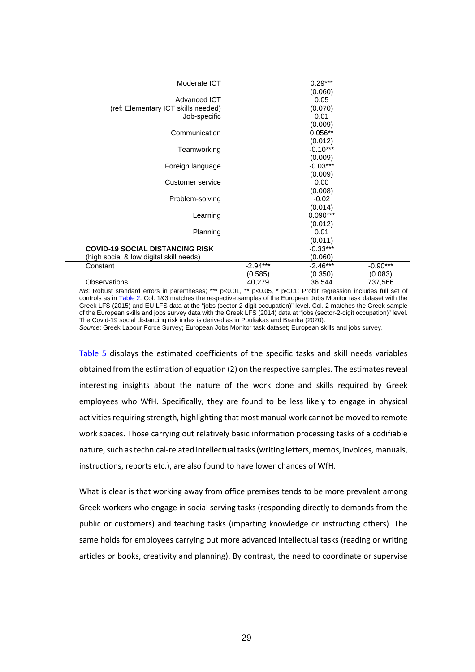| Moderate ICT                            |            | $0.29***$       |            |
|-----------------------------------------|------------|-----------------|------------|
| Advanced ICT                            |            | (0.060)<br>0.05 |            |
| (ref: Elementary ICT skills needed)     |            | (0.070)         |            |
| Job-specific                            |            | 0.01            |            |
|                                         |            | (0.009)         |            |
| Communication                           |            | $0.056**$       |            |
|                                         |            | (0.012)         |            |
| Teamworking                             |            | $-0.10***$      |            |
|                                         |            | (0.009)         |            |
| Foreign language                        |            | $-0.03***$      |            |
|                                         |            | (0.009)         |            |
| Customer service                        |            | 0.00            |            |
|                                         |            | (0.008)         |            |
| Problem-solving                         |            | $-0.02$         |            |
|                                         |            | (0.014)         |            |
| Learning                                |            | $0.090***$      |            |
|                                         |            | (0.012)         |            |
| Planning                                |            | 0.01            |            |
|                                         |            | (0.011)         |            |
| <b>COVID-19 SOCIAL DISTANCING RISK</b>  |            | $-0.33***$      |            |
| (high social & low digital skill needs) |            | (0.060)         |            |
| Constant                                | $-2.94***$ | $-2.46***$      | $-0.90***$ |
|                                         | (0.585)    | (0.350)         | (0.083)    |
| Observations                            | 40,279     | 36,544          | 737,566    |

*NB*: Robust standard errors in parentheses; \*\*\* p<0.01, \*\* p<0.05, \* p<0.1; Probit regression includes full set of controls as in Table 2. Col. 1&3 matches the respective samples of the European Jobs Monitor task dataset with the Greek LFS (2015) and EU LFS data at the "jobs (sector-2-digit occupation)" level. Col. 2 matches the Greek sample of the European skills and jobs survey data with the Greek LFS (2014) data at "jobs (sector-2-digit occupation)" level. The Covid-19 social distancing risk index is derived as in Pouliakas and Branka (2020).

*Source*: Greek Labour Force Survey; European Jobs Monitor task dataset; European skills and jobs survey.

Table 5 displays the estimated coefficients of the specific tasks and skill needs variables obtained from the estimation of equation (2) on the respective samples. The estimates reveal interesting insights about the nature of the work done and skills required by Greek employees who WfH. Specifically, they are found to be less likely to engage in physical activities requiring strength, highlighting that most manual work cannot be moved to remote work spaces. Those carrying out relatively basic information processing tasks of a codifiable nature, such as technical-related intellectual tasks (writing letters, memos, invoices, manuals, instructions, reports etc.), are also found to have lower chances of WfH.

What is clear is that working away from office premises tends to be more prevalent among Greek workers who engage in social serving tasks (responding directly to demands from the public or customers) and teaching tasks (imparting knowledge or instructing others). The same holds for employees carrying out more advanced intellectual tasks (reading or writing articles or books, creativity and planning). By contrast, the need to coordinate or supervise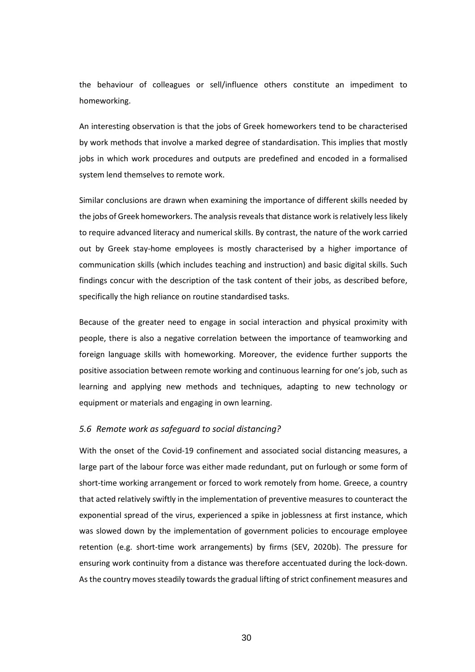the behaviour of colleagues or sell/influence others constitute an impediment to homeworking.

An interesting observation is that the jobs of Greek homeworkers tend to be characterised by work methods that involve a marked degree of standardisation. This implies that mostly jobs in which work procedures and outputs are predefined and encoded in a formalised system lend themselves to remote work.

Similar conclusions are drawn when examining the importance of different skills needed by the jobs of Greek homeworkers. The analysis reveals that distance work is relatively less likely to require advanced literacy and numerical skills. By contrast, the nature of the work carried out by Greek stay-home employees is mostly characterised by a higher importance of communication skills (which includes teaching and instruction) and basic digital skills. Such findings concur with the description of the task content of their jobs, as described before, specifically the high reliance on routine standardised tasks.

Because of the greater need to engage in social interaction and physical proximity with people, there is also a negative correlation between the importance of teamworking and foreign language skills with homeworking. Moreover, the evidence further supports the positive association between remote working and continuous learning for one's job, such as learning and applying new methods and techniques, adapting to new technology or equipment or materials and engaging in own learning.

#### *5.6 Remote work as safeguard to social distancing?*

With the onset of the Covid-19 confinement and associated social distancing measures, a large part of the labour force was either made redundant, put on furlough or some form of short-time working arrangement or forced to work remotely from home. Greece, a country that acted relatively swiftly in the implementation of preventive measures to counteract the exponential spread of the virus, experienced a spike in joblessness at first instance, which was slowed down by the implementation of government policies to encourage employee retention (e.g. short-time work arrangements) by firms (SEV, 2020b). The pressure for ensuring work continuity from a distance was therefore accentuated during the lock-down. As the country moves steadily towards the gradual lifting of strict confinement measures and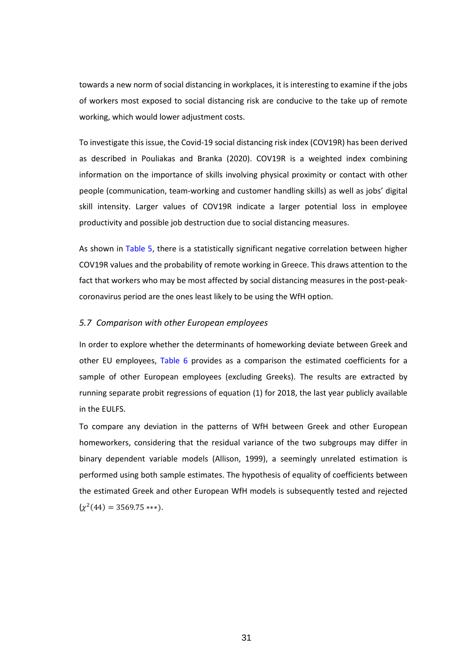towards a new norm of social distancing in workplaces, it is interesting to examine if the jobs of workers most exposed to social distancing risk are conducive to the take up of remote working, which would lower adjustment costs.

To investigate this issue, the Covid-19 social distancing risk index (COV19R) has been derived as described in Pouliakas and Branka (2020). COV19R is a weighted index combining information on the importance of skills involving physical proximity or contact with other people (communication, team-working and customer handling skills) as well as jobs' digital skill intensity. Larger values of COV19R indicate a larger potential loss in employee productivity and possible job destruction due to social distancing measures.

As shown in Table 5, there is a statistically significant negative correlation between higher COV19R values and the probability of remote working in Greece. This draws attention to the fact that workers who may be most affected by social distancing measures in the post-peakcoronavirus period are the ones least likely to be using the WfH option.

#### *5.7 Comparison with other European employees*

In order to explore whether the determinants of homeworking deviate between Greek and other EU employees, Table 6 provides as a comparison the estimated coefficients for a sample of other European employees (excluding Greeks). The results are extracted by running separate probit regressions of equation (1) for 2018, the last year publicly available in the EULFS.

To compare any deviation in the patterns of WfH between Greek and other European homeworkers, considering that the residual variance of the two subgroups may differ in binary dependent variable models (Allison, 1999), a seemingly unrelated estimation is performed using both sample estimates. The hypothesis of equality of coefficients between the estimated Greek and other European WfH models is subsequently tested and rejected  $(\chi^2(44) = 3569.75$ \*\*\*).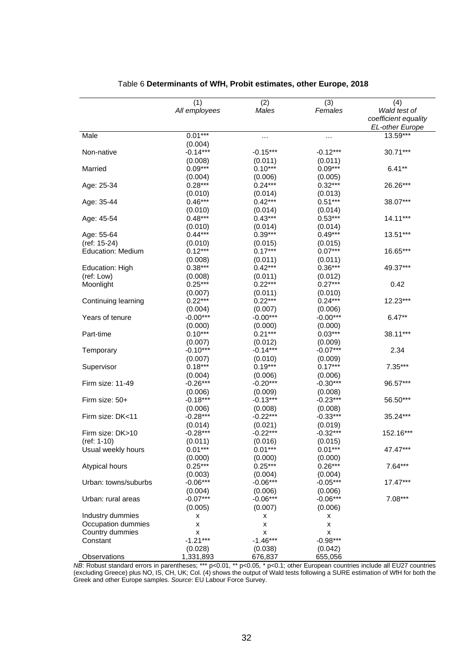|                          | (1)           | (2)        | (3)        | (4)                    |
|--------------------------|---------------|------------|------------|------------------------|
|                          | All employees | Males      | Females    | Wald test of           |
|                          |               |            |            | coefficient equality   |
|                          |               |            |            | <b>EL-other Europe</b> |
| Male                     | $0.01***$     | $\cdots$   | $\cdots$   | 13.59***               |
|                          | (0.004)       |            |            |                        |
| Non-native               | $-0.14***$    | $-0.15***$ | $-0.12***$ | 30.71***               |
|                          | (0.008)       | (0.011)    | (0.011)    |                        |
| Married                  | $0.09***$     | $0.10***$  | $0.09***$  | $6.41**$               |
|                          |               |            |            |                        |
|                          | (0.004)       | (0.006)    | (0.005)    |                        |
| Age: 25-34               | $0.28***$     | $0.24***$  | $0.32***$  | 26.26***               |
|                          | (0.010)       | (0.014)    | (0.013)    |                        |
| Age: 35-44               | $0.46***$     | $0.42***$  | $0.51***$  | 38.07***               |
|                          | (0.010)       | (0.014)    | (0.014)    |                        |
| Age: 45-54               | $0.48***$     | $0.43***$  | $0.53***$  | $14.11***$             |
|                          | (0.010)       | (0.014)    | (0.014)    |                        |
| Age: 55-64               | $0.44***$     | $0.39***$  | $0.49***$  | 13.51***               |
| (ref: 15-24)             | (0.010)       | (0.015)    | (0.015)    |                        |
| <b>Education: Medium</b> | $0.12***$     | $0.17***$  | $0.07***$  | 16.65***               |
|                          |               |            |            |                        |
|                          | (0.008)       | (0.011)    | (0.011)    |                        |
| Education: High          | $0.38***$     | $0.42***$  | $0.36***$  | 49.37***               |
| (ref: Low)               | (0.008)       | (0.011)    | (0.012)    |                        |
| Moonlight                | $0.25***$     | $0.22***$  | $0.27***$  | 0.42                   |
|                          | (0.007)       | (0.011)    | (0.010)    |                        |
| Continuing learning      | $0.22***$     | $0.22***$  | $0.24***$  | 12.23***               |
|                          | (0.004)       | (0.007)    | (0.006)    |                        |
| Years of tenure          | $-0.00***$    | $-0.00***$ | $-0.00***$ | $6.47**$               |
|                          | (0.000)       | (0.000)    | (0.000)    |                        |
| Part-time                | $0.10***$     | $0.21***$  | $0.03***$  | 38.11***               |
|                          | (0.007)       | (0.012)    | (0.009)    |                        |
|                          | $-0.10***$    | $-0.14***$ | $-0.07***$ |                        |
| Temporary                |               |            |            | 2.34                   |
|                          | (0.007)       | (0.010)    | (0.009)    |                        |
| Supervisor               | $0.18***$     | $0.19***$  | $0.17***$  | $7.35***$              |
|                          | (0.004)       | (0.006)    | (0.006)    |                        |
| Firm size: 11-49         | $-0.26***$    | $-0.20***$ | $-0.30***$ | 96.57***               |
|                          | (0.006)       | (0.009)    | (0.008)    |                        |
| Firm size: 50+           | $-0.18***$    | $-0.13***$ | $-0.23***$ | 56.50***               |
|                          | (0.006)       | (0.008)    | (0.008)    |                        |
| Firm size: DK<11         | $-0.28***$    | $-0.22***$ | $-0.33***$ | 35.24***               |
|                          | (0.014)       | (0.021)    | (0.019)    |                        |
| Firm size: DK>10         | $-0.28***$    | $-0.22***$ | $-0.32***$ | 152.16***              |
|                          |               |            |            |                        |
| (ref: 1-10)              | (0.011)       | (0.016)    | (0.015)    |                        |
| Usual weekly hours       | $0.01***$     | $0.01***$  | $0.01***$  | 47.47***               |
|                          | (0.000)       | (0.000)    | (0.000)    |                        |
| Atypical hours           | $0.25***$     | $0.25***$  | $0.26***$  | $7.64***$              |
|                          | (0.003)       | (0.004)    | (0.004)    |                        |
| Urban: towns/suburbs     | $-0.06***$    | $-0.06***$ | $-0.05***$ | 17.47***               |
|                          | (0.004)       | (0.006)    | (0.006)    |                        |
| Urban: rural areas       | $-0.07***$    | $-0.06***$ | $-0.06***$ | $7.08***$              |
|                          | (0.005)       | (0.007)    | (0.006)    |                        |
| Industry dummies         | х             | х          | x          |                        |
| Occupation dummies       |               |            |            |                        |
|                          | x             | x          | x          |                        |
| Country dummies          | x             | x          | х          |                        |
| Constant                 | $-1.21***$    | $-1.46***$ | $-0.98***$ |                        |
|                          | (0.028)       | (0.038)    | (0.042)    |                        |
| Observations             | 1,331,893     | 676,837    | 655,056    |                        |

## Table 6 **Determinants of WfH, Probit estimates, other Europe, 2018**

*NB*: Robust standard errors in parentheses; \*\*\* p<0.01, \*\* p<0.05, \* p<0.1; other European countries include all EU27 countries (excluding Greece) plus NO, IS, CH, UK; Col. (4) shows the output of Wald tests following a SURE estimation of WfH for both the Greek and other Europe samples. *Source*: EU Labour Force Survey.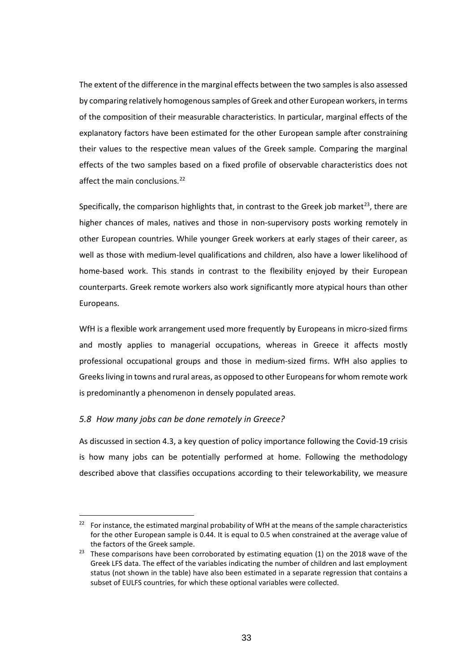The extent of the difference in the marginal effects between the two samples is also assessed by comparing relatively homogenous samples of Greek and other European workers, in terms of the composition of their measurable characteristics. In particular, marginal effects of the explanatory factors have been estimated for the other European sample after constraining their values to the respective mean values of the Greek sample. Comparing the marginal effects of the two samples based on a fixed profile of observable characteristics does not affect the main conclusions.<sup>[22](#page-33-0)</sup>

Specifically, the comparison highlights that, in contrast to the Greek job market<sup>[23](#page-33-1)</sup>, there are higher chances of males, natives and those in non-supervisory posts working remotely in other European countries. While younger Greek workers at early stages of their career, as well as those with medium-level qualifications and children, also have a lower likelihood of home-based work. This stands in contrast to the flexibility enjoyed by their European counterparts. Greek remote workers also work significantly more atypical hours than other Europeans.

WfH is a flexible work arrangement used more frequently by Europeans in micro-sized firms and mostly applies to managerial occupations, whereas in Greece it affects mostly professional occupational groups and those in medium-sized firms. WfH also applies to Greeks living in towns and rural areas, as opposed to other Europeans for whom remote work is predominantly a phenomenon in densely populated areas.

#### *5.8 How many jobs can be done remotely in Greece?*

As discussed in section 4.3, a key question of policy importance following the Covid-19 crisis is how many jobs can be potentially performed at home. Following the methodology described above that classifies occupations according to their teleworkability, we measure

<span id="page-33-0"></span><sup>&</sup>lt;sup>22</sup> For instance, the estimated marginal probability of WfH at the means of the sample characteristics for the other European sample is 0.44. It is equal to 0.5 when constrained at the average value of the factors of the Greek sample.

<span id="page-33-1"></span><sup>&</sup>lt;sup>23</sup> These comparisons have been corroborated by estimating equation (1) on the 2018 wave of the Greek LFS data. The effect of the variables indicating the number of children and last employment status (not shown in the table) have also been estimated in a separate regression that contains a subset of EULFS countries, for which these optional variables were collected.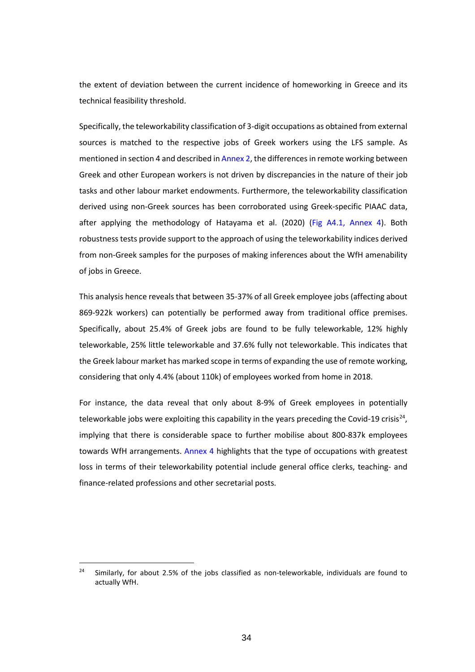the extent of deviation between the current incidence of homeworking in Greece and its technical feasibility threshold.

Specifically, the teleworkability classification of 3-digit occupations as obtained from external sources is matched to the respective jobs of Greek workers using the LFS sample. As mentioned in section 4 and described in Annex 2, the differences in remote working between Greek and other European workers is not driven by discrepancies in the nature of their job tasks and other labour market endowments. Furthermore, the teleworkability classification derived using non-Greek sources has been corroborated using Greek-specific PIAAC data, after applying the methodology of Hatayama et al. (2020) (Fig A4.1, Annex 4). Both robustness tests provide support to the approach of using the teleworkability indices derived from non-Greek samples for the purposes of making inferences about the WfH amenability of jobs in Greece.

This analysis hence reveals that between 35-37% of all Greek employee jobs (affecting about 869-922k workers) can potentially be performed away from traditional office premises. Specifically, about 25.4% of Greek jobs are found to be fully teleworkable, 12% highly teleworkable, 25% little teleworkable and 37.6% fully not teleworkable. This indicates that the Greek labour market has marked scope in terms of expanding the use of remote working, considering that only 4.4% (about 110k) of employees worked from home in 2018.

For instance, the data reveal that only about 8-9% of Greek employees in potentially teleworkable jobs were exploiting this capability in the years preceding the Covid-19 crisis<sup>[24](#page-34-0)</sup>, implying that there is considerable space to further mobilise about 800-837k employees towards WfH arrangements. Annex 4 highlights that the type of occupations with greatest loss in terms of their teleworkability potential include general office clerks, teaching- and finance-related professions and other secretarial posts.

<span id="page-34-0"></span> $24$  Similarly, for about 2.5% of the jobs classified as non-teleworkable, individuals are found to actually WfH.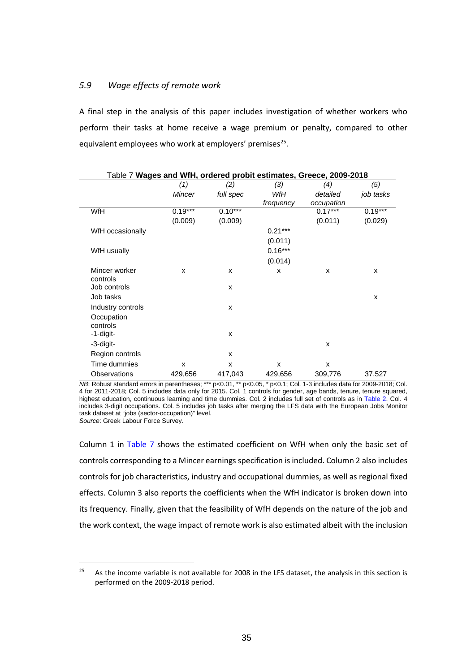#### *5.9 Wage effects of remote work*

A final step in the analysis of this paper includes investigation of whether workers who perform their tasks at home receive a wage premium or penalty, compared to other equivalent employees who work at employers' premises $25$ .

| Table 7 Wages and WfH, ordered probit estimates, Greece, 2009-2018 |               |           |           |            |           |  |  |  |
|--------------------------------------------------------------------|---------------|-----------|-----------|------------|-----------|--|--|--|
|                                                                    | (1)           | (2)       | (3)       | (4)        | (5)       |  |  |  |
|                                                                    | <b>Mincer</b> | full spec | WfH       | detailed   | job tasks |  |  |  |
|                                                                    |               |           | frequency | occupation |           |  |  |  |
| WfH                                                                | $0.19***$     | $0.10***$ |           | $0.17***$  | $0.19***$ |  |  |  |
|                                                                    | (0.009)       | (0.009)   |           | (0.011)    | (0.029)   |  |  |  |
| WfH occasionally                                                   |               |           | $0.21***$ |            |           |  |  |  |
|                                                                    |               |           | (0.011)   |            |           |  |  |  |
| WfH usually                                                        |               |           | $0.16***$ |            |           |  |  |  |
|                                                                    |               |           | (0.014)   |            |           |  |  |  |
| Mincer worker<br>controls                                          | X             | X         | X         | X          | x         |  |  |  |
| Job controls                                                       |               | X         |           |            |           |  |  |  |
| Job tasks                                                          |               |           |           |            | X         |  |  |  |
| Industry controls                                                  |               | X         |           |            |           |  |  |  |
| Occupation<br>controls                                             |               |           |           |            |           |  |  |  |
| -1-digit-                                                          |               | X         |           |            |           |  |  |  |
| -3-digit-                                                          |               |           |           | X          |           |  |  |  |
| Region controls                                                    |               | X         |           |            |           |  |  |  |
| Time dummies                                                       | X             | X         | X         | X          |           |  |  |  |
| Observations                                                       | 429,656       | 417,043   | 429,656   | 309,776    | 37,527    |  |  |  |

*NB*: Robust standard errors in parentheses; \*\*\* p<0.01, \*\* p<0.05, \* p<0.1; Col. 1-3 includes data for 2009-2018; Col. 4 for 2011-2018; Col. 5 includes data only for 2015. Col. 1 controls for gender, age bands, tenure, tenure squared, highest education, continuous learning and time dummies. Col. 2 includes full set of controls as in Table 2. Col. 4 includes 3-digit occupations. Col. 5 includes job tasks after merging the LFS data with the European Jobs Monitor task dataset at "jobs (sector-occupation)" level.

*Source*: Greek Labour Force Survey.

Column 1 in Table 7 shows the estimated coefficient on WfH when only the basic set of controls corresponding to a Mincer earnings specification is included. Column 2 also includes controls for job characteristics, industry and occupational dummies, as well as regional fixed effects. Column 3 also reports the coefficients when the WfH indicator is broken down into its frequency. Finally, given that the feasibility of WfH depends on the nature of the job and the work context, the wage impact of remote work is also estimated albeit with the inclusion

<span id="page-35-0"></span> $25$  As the income variable is not available for 2008 in the LFS dataset, the analysis in this section is performed on the 2009-2018 period.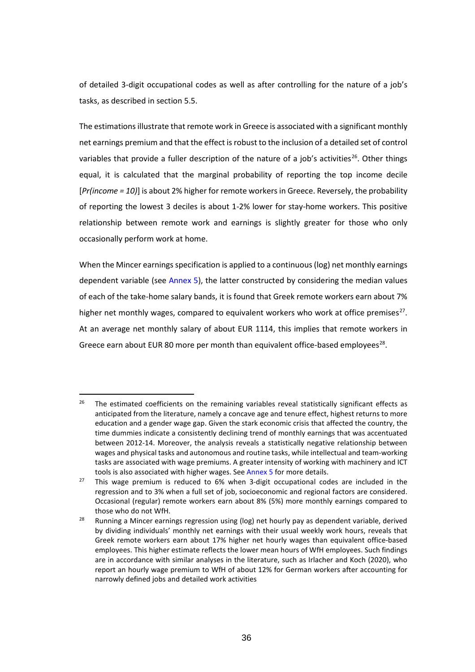of detailed 3-digit occupational codes as well as after controlling for the nature of a job's tasks, as described in section 5.5.

The estimations illustrate that remote work in Greece is associated with a significant monthly net earnings premium and that the effect is robust to the inclusion of a detailed set of control variables that provide a fuller description of the nature of a job's activities<sup>26</sup>. Other things equal, it is calculated that the marginal probability of reporting the top income decile [*Pr(income = 10)*] is about 2% higher for remote workers in Greece. Reversely, the probability of reporting the lowest 3 deciles is about 1-2% lower for stay-home workers. This positive relationship between remote work and earnings is slightly greater for those who only occasionally perform work at home.

When the Mincer earnings specification is applied to a continuous (log) net monthly earnings dependent variable (see Annex 5), the latter constructed by considering the median values of each of the take-home salary bands, it is found that Greek remote workers earn about 7% higher net monthly wages, compared to equivalent workers who work at office premises<sup>[27](#page-36-1)</sup>. At an average net monthly salary of about EUR 1114, this implies that remote workers in Greece earn about EUR 80 more per month than equivalent office-based employees<sup>28</sup>.

<span id="page-36-0"></span> $26$  The estimated coefficients on the remaining variables reveal statistically significant effects as anticipated from the literature, namely a concave age and tenure effect, highest returns to more education and a gender wage gap. Given the stark economic crisis that affected the country, the time dummies indicate a consistently declining trend of monthly earnings that was accentuated between 2012-14. Moreover, the analysis reveals a statistically negative relationship between wages and physical tasks and autonomous and routine tasks, while intellectual and team-working tasks are associated with wage premiums. A greater intensity of working with machinery and ICT tools is also associated with higher wages. See Annex 5 for more details.

<span id="page-36-1"></span><sup>&</sup>lt;sup>27</sup> This wage premium is reduced to 6% when 3-digit occupational codes are included in the regression and to 3% when a full set of job, socioeconomic and regional factors are considered. Occasional (regular) remote workers earn about 8% (5%) more monthly earnings compared to those who do not WfH.

<span id="page-36-2"></span><sup>&</sup>lt;sup>28</sup> Running a Mincer earnings regression using (log) net hourly pay as dependent variable, derived by dividing individuals' monthly net earnings with their usual weekly work hours, reveals that Greek remote workers earn about 17% higher net hourly wages than equivalent office-based employees. This higher estimate reflects the lower mean hours of WfH employees. Such findings are in accordance with similar analyses in the literature, such as Irlacher and Koch (2020), who report an hourly wage premium to WfH of about 12% for German workers after accounting for narrowly defined jobs and detailed work activities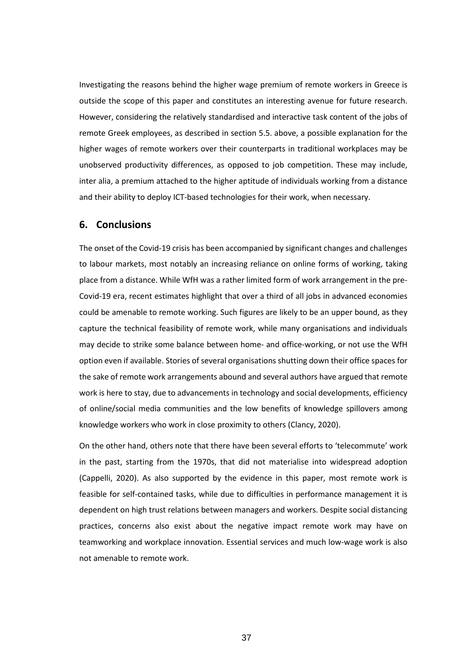Investigating the reasons behind the higher wage premium of remote workers in Greece is outside the scope of this paper and constitutes an interesting avenue for future research. However, considering the relatively standardised and interactive task content of the jobs of remote Greek employees, as described in section 5.5. above, a possible explanation for the higher wages of remote workers over their counterparts in traditional workplaces may be unobserved productivity differences, as opposed to job competition. These may include, inter alia, a premium attached to the higher aptitude of individuals working from a distance and their ability to deploy ICT-based technologies for their work, when necessary.

## **6. Conclusions**

The onset of the Covid-19 crisis has been accompanied by significant changes and challenges to labour markets, most notably an increasing reliance on online forms of working, taking place from a distance. While WfH was a rather limited form of work arrangement in the pre-Covid-19 era, recent estimates highlight that over a third of all jobs in advanced economies could be amenable to remote working. Such figures are likely to be an upper bound, as they capture the technical feasibility of remote work, while many organisations and individuals may decide to strike some balance between home- and office-working, or not use the WfH option even if available. Stories of several organisations shutting down their office spaces for the sake of remote work arrangements abound and several authors have argued that remote work is here to stay, due to advancements in technology and social developments, efficiency of online/social media communities and the low benefits of knowledge spillovers among knowledge workers who work in close proximity to others (Clancy, 2020).

On the other hand, others note that there have been several efforts to 'telecommute' work in the past, starting from the 1970s, that did not materialise into widespread adoption (Cappelli, 2020). As also supported by the evidence in this paper, most remote work is feasible for self-contained tasks, while due to difficulties in performance management it is dependent on high trust relations between managers and workers. Despite social distancing practices, concerns also exist about the negative impact remote work may have on teamworking and workplace innovation. Essential services and much low-wage work is also not amenable to remote work.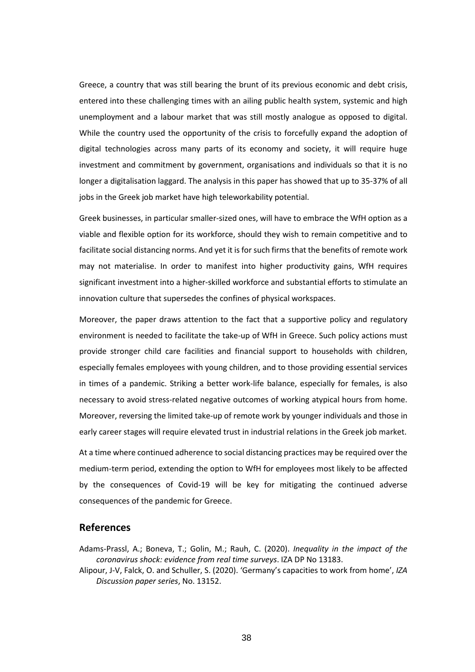Greece, a country that was still bearing the brunt of its previous economic and debt crisis, entered into these challenging times with an ailing public health system, systemic and high unemployment and a labour market that was still mostly analogue as opposed to digital. While the country used the opportunity of the crisis to forcefully expand the adoption of digital technologies across many parts of its economy and society, it will require huge investment and commitment by government, organisations and individuals so that it is no longer a digitalisation laggard. The analysis in this paper has showed that up to 35-37% of all jobs in the Greek job market have high teleworkability potential.

Greek businesses, in particular smaller-sized ones, will have to embrace the WfH option as a viable and flexible option for its workforce, should they wish to remain competitive and to facilitate social distancing norms. And yet it is for such firms that the benefits of remote work may not materialise. In order to manifest into higher productivity gains, WfH requires significant investment into a higher-skilled workforce and substantial efforts to stimulate an innovation culture that supersedes the confines of physical workspaces.

Moreover, the paper draws attention to the fact that a supportive policy and regulatory environment is needed to facilitate the take-up of WfH in Greece. Such policy actions must provide stronger child care facilities and financial support to households with children, especially females employees with young children, and to those providing essential services in times of a pandemic. Striking a better work-life balance, especially for females, is also necessary to avoid stress-related negative outcomes of working atypical hours from home. Moreover, reversing the limited take-up of remote work by younger individuals and those in early career stages will require elevated trust in industrial relations in the Greek job market.

At a time where continued adherence to social distancing practices may be required over the medium-term period, extending the option to WfH for employees most likely to be affected by the consequences of Covid-19 will be key for mitigating the continued adverse consequences of the pandemic for Greece.

### **References**

Adams-Prassl, A.; Boneva, T.; Golin, M.; Rauh, C. (2020). *Inequality in the impact of the coronavirus shock: evidence from real time surveys*. IZA DP No 13183.

Alipour, J-V, Falck, O. and Schuller, S. (2020). 'Germany's capacities to work from home', *IZA Discussion paper series*, No. 13152.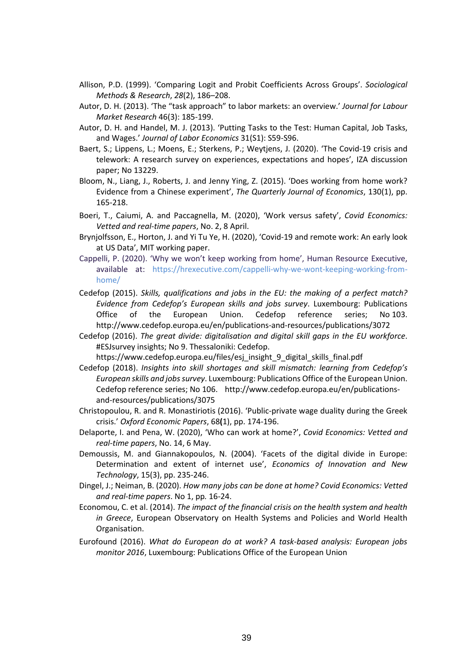- Allison, P.D. (1999). 'Comparing Logit and Probit Coefficients Across Groups'. *Sociological Methods & Research*, *28*(2), 186–208.
- Autor, D. H. (2013). 'The "task approach" to labor markets: an overview.' *Journal for Labour Market Research* 46(3): 185-199.
- Autor, D. H. and Handel, M. J. (2013). 'Putting Tasks to the Test: Human Capital, Job Tasks, and Wages.' *Journal of Labor Economics* 31(S1): S59-S96.
- Baert, S.; Lippens, L.; Moens, E.; Sterkens, P.; Weytjens, J. (2020). 'The Covid-19 crisis and telework: A research survey on experiences, expectations and hopes', IZA discussion paper; No 13229.
- Bloom, N., Liang, J., Roberts, J. and Jenny Ying, Z. (2015). 'Does working from home work? Evidence from a Chinese experiment', *The Quarterly Journal of Economics*, 130(1), pp. 165-218.
- Boeri, T., Caiumi, A. and Paccagnella, M. (2020), 'Work versus safety', *Covid Economics: Vetted and real-time papers*, No. 2, 8 April.
- Brynjolfsson, E., Horton, J. and Yi Tu Ye, H. (2020), 'Covid-19 and remote work: An early look at US Data', MIT working paper.
- Cappelli, P. (2020). 'Why we won't keep working from home', Human Resource Executive, available at: [https://hrexecutive.com/cappelli-why-we-wont-keeping-working-from](https://hrexecutive.com/cappelli-why-we-wont-keeping-working-from-home/)[home/](https://hrexecutive.com/cappelli-why-we-wont-keeping-working-from-home/)
- Cedefop (2015). *Skills, qualifications and jobs in the EU: the making of a perfect match? Evidence from Cedefop's European skills and jobs survey*. Luxembourg: Publications Office of the European Union. Cedefop reference series; No 103. <http://www.cedefop.europa.eu/en/publications-and-resources/publications/3072>
- Cedefop (2016). *The great divide: digitalisation and digital skill gaps in the EU workforce*. #ESJsurvey insights; No 9. Thessaloniki: Cedefop.

[https://www.cedefop.europa.eu/files/esj\\_insight\\_9\\_digital\\_skills\\_final.pdf](https://www.cedefop.europa.eu/files/esj_insight_9_digital_skills_final.pdf)

- Cedefop (2018). *Insights into skill shortages and skill mismatch: learning from Cedefop's European skills and jobs survey*. Luxembourg: Publications Office of the European Union. Cedefop reference series; No 106. [http://www.cedefop.europa.eu/en/publications](http://www.cedefop.europa.eu/en/publications-and-resources/publications/3075)[and-resources/publications/3075](http://www.cedefop.europa.eu/en/publications-and-resources/publications/3075)
- Christopoulou, R. and R. Monastiriotis (2016). 'Public-private wage duality during the Greek crisis.' *Oxford Economic Papers*, 68**(**1), pp. 174-196.
- Delaporte, I. and Pena, W. (2020), 'Who can work at home?', *Covid Economics: Vetted and real-time papers*, No. 14, 6 May.
- Demoussis, M. and Giannakopoulos, N. (2004). 'Facets of the digital divide in Europe: Determination and extent of internet use', *Economics of Innovation and New Technology*, 15(3), pp. 235-246.
- Dingel, J.; Neiman, B. (2020). *How many jobs can be done at home? Covid Economics: Vetted and real-time papers*. No 1, pp*.* 16-24.
- Economou, C. et al. (2014). *The impact of the financial crisis on the health system and health in Greece*, European Observatory on Health Systems and Policies and World Health Organisation.
- Eurofound (2016). *What do European do at work? A task-based analysis: European jobs monitor 2016*, Luxembourg: Publications Office of the European Union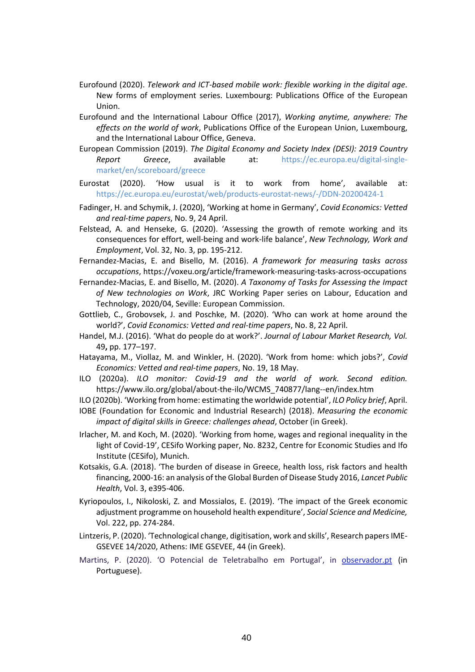- Eurofound (2020). *Telework and ICT-based mobile work: flexible working in the digital age*. New forms of employment series. Luxembourg: Publications Office of the European Union.
- Eurofound and the International Labour Office (2017), *Working anytime, anywhere: The effects on the world of work*, Publications Office of the European Union, Luxembourg, and the International Labour Office, Geneva.
- European Commission (2019). *The Digital Economy and Society Index (DESI): 2019 Country Report Greece*, available at: [https://ec.europa.eu/digital-single](https://ec.europa.eu/digital-single-market/en/scoreboard/greece)[market/en/scoreboard/greece](https://ec.europa.eu/digital-single-market/en/scoreboard/greece)
- Eurostat (2020). 'How usual is it to work from home', available at: <https://ec.europa.eu/eurostat/web/products-eurostat-news/-/DDN-20200424-1>
- Fadinger, H. and Schymik, J. (2020), 'Working at home in Germany', *Covid Economics: Vetted and real-time papers*, No. 9, 24 April.
- Felstead, A. and Henseke, G. (2020). 'Assessing the growth of remote working and its consequences for effort, well-being and work-life balance', *New Technology, Work and Employment*, Vol. 32, No. 3, pp. 195-212.
- Fernandez-Macias, E. and Bisello, M. (2016). *A framework for measuring tasks across occupations*,<https://voxeu.org/article/framework-measuring-tasks-across-occupations>
- Fernandez-Macias, E. and Bisello, M. (2020). *A Taxonomy of Tasks for Assessing the Impact of New technologies on Work*, JRC Working Paper series on Labour, Education and Technology, 2020/04, Seville: European Commission.
- Gottlieb, C., Grobovsek, J. and Poschke, M. (2020). 'Who can work at home around the world?', *Covid Economics: Vetted and real-time papers*, No. 8, 22 April.
- Handel, M.J. (2016). 'What do people do at work?'. *Journal of Labour Market Research, Vol.* 49**,** pp. 177–197.
- Hatayama, M., Viollaz, M. and Winkler, H. (2020). 'Work from home: which jobs?', *Covid Economics: Vetted and real-time papers*, No. 19, 18 May.
- ILO (2020a). *ILO monitor: Covid-19 and the world of work. Second edition.* [https://www.ilo.org/global/about-the-ilo/WCMS\\_740877/lang--en/index.htm](https://www.ilo.org/global/about-the-ilo/WCMS_740877/lang--en/index.htm)
- ILO (2020b). 'Working from home: estimating the worldwide potential', *ILO Policy brief*, April.
- IOBE (Foundation for Economic and Industrial Research) (2018). *Measuring the economic impact of digital skills in Greece: challenges ahead*, October (in Greek).
- Irlacher, M. and Koch, M. (2020). 'Working from home, wages and regional inequality in the light of Covid-19', CESifo Working paper, No. 8232, Centre for Economic Studies and Ifo Institute (CESifo), Munich.
- Kotsakis, G.A. (2018). 'The burden of disease in Greece, health loss, risk factors and health financing, 2000-16: an analysis of the Global Burden of Disease Study 2016, *Lancet Public Health*, Vol. 3, e395-406.
- Kyriopoulos, I., Nikoloski, Z. and Mossialos, E. (2019). 'The impact of the Greek economic adjustment programme on household health expenditure', *Social Science and Medicine,*  Vol. 222, pp. 274-284.
- Lintzeris, P. (2020). 'Technological change, digitisation, work and skills', Research papers IME-GSEVEE 14/2020, Athens: IME GSEVEE, 44 (in Greek).
- Martins, P. (2020). 'O Potencial de Teletrabalho em Portugal', in observador.pt (in Portuguese).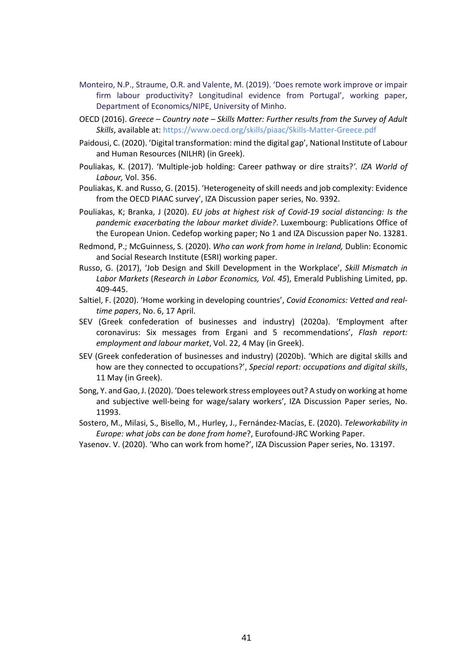- Monteiro, N.P., Straume, O.R. and Valente, M. (2019). 'Does remote work improve or impair firm labour productivity? Longitudinal evidence from Portugal', working paper, Department of Economics/NIPE, University of Minho.
- OECD (2016). *Greece – Country note – Skills Matter: Further results from the Survey of Adult Skills*, available at:<https://www.oecd.org/skills/piaac/Skills-Matter-Greece.pdf>
- Paidousi, C. (2020). 'Digital transformation: mind the digital gap', National Institute of Labour and Human Resources (NILHR) (in Greek).
- Pouliakas, K. (2017). 'Multiple-job holding: Career pathway or dire straits?*'. IZA World of Labour,* Vol. 356.
- Pouliakas, K. and Russo, G. (2015). 'Heterogeneity of skill needs and job complexity: Evidence from the OECD PIAAC survey', IZA Discussion paper series, No. 9392.
- Pouliakas, K; Branka, J (2020). *EU jobs at highest risk of Covid-19 social distancing: Is the pandemic exacerbating the labour market divide?*. Luxembourg: Publications Office of the European Union. Cedefop working paper; No 1 and IZA Discussion paper No. 13281.
- Redmond, P.; McGuinness, S. (2020). *Who can work from home in Ireland,* Dublin: Economic and Social Research Institute (ESRI) working paper.
- Russo, G. (2017), 'Job Design and Skill Development in the Workplace', *Skill Mismatch in Labor Markets* (*Research in Labor Economics, Vol. 45*), Emerald Publishing Limited, pp. 409-445.
- Saltiel, F. (2020). 'Home working in developing countries', *Covid Economics: Vetted and realtime papers*, No. 6, 17 April.
- SEV (Greek confederation of businesses and industry) (2020a). 'Employment after coronavirus: Six messages from Ergani and 5 recommendations', *Flash report: employment and labour market*, Vol. 22, 4 May (in Greek).
- SEV (Greek confederation of businesses and industry) (2020b). 'Which are digital skills and how are they connected to occupations?', *Special report: occupations and digital skills*, 11 May (in Greek).
- Song, Y. and Gao, J. (2020). 'Does telework stress employees out? A study on working at home and subjective well-being for wage/salary workers', IZA Discussion Paper series, No. 11993.
- Sostero, M., Milasi, S., Bisello, M., Hurley, J., Fernández-Macías, E. (2020). *Teleworkability in Europe: what jobs can be done from home*?, Eurofound-JRC Working Paper.
- Yasenov. V. (2020). 'Who can work from home?', IZA Discussion Paper series, No. 13197.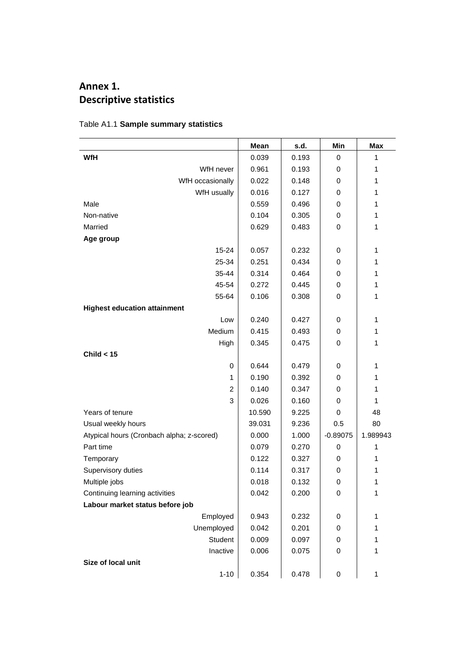# **Annex 1. Descriptive statistics**

|                                           | Mean   | s.d.  | <b>Min</b> | Max      |
|-------------------------------------------|--------|-------|------------|----------|
| <b>WfH</b>                                | 0.039  | 0.193 | 0          | 1        |
| WfH never                                 | 0.961  | 0.193 | 0          | 1        |
| WfH occasionally                          | 0.022  | 0.148 | 0          | 1        |
| WfH usually                               | 0.016  | 0.127 | 0          | 1        |
| Male                                      | 0.559  | 0.496 | 0          | 1        |
| Non-native                                | 0.104  | 0.305 | 0          | 1        |
| Married                                   | 0.629  | 0.483 | 0          | 1        |
| Age group                                 |        |       |            |          |
| $15 - 24$                                 | 0.057  | 0.232 | 0          | 1        |
| 25-34                                     | 0.251  | 0.434 | 0          | 1        |
| 35-44                                     | 0.314  | 0.464 | 0          | 1        |
| 45-54                                     | 0.272  | 0.445 | 0          | 1        |
| 55-64                                     | 0.106  | 0.308 | 0          | 1        |
| <b>Highest education attainment</b>       |        |       |            |          |
| Low                                       | 0.240  | 0.427 | 0          | 1        |
| Medium                                    | 0.415  | 0.493 | 0          | 1        |
| High                                      | 0.345  | 0.475 | 0          | 1        |
| Child $<$ 15                              |        |       |            |          |
| 0                                         | 0.644  | 0.479 | 0          | 1        |
| 1                                         | 0.190  | 0.392 | 0          | 1        |
| $\overline{2}$                            | 0.140  | 0.347 | 0          | 1        |
| 3                                         | 0.026  | 0.160 | 0          | 1        |
| Years of tenure                           | 10.590 | 9.225 | 0          | 48       |
| Usual weekly hours                        | 39.031 | 9.236 | 0.5        | 80       |
| Atypical hours (Cronbach alpha; z-scored) | 0.000  | 1.000 | $-0.89075$ | 1.989943 |
| Part time                                 | 0.079  | 0.270 | 0          | 1        |
| Temporary                                 | 0.122  | 0.327 | 0          | 1        |
| Supervisory duties                        | 0.114  | 0.317 | 0          | 1        |
| Multiple jobs                             | 0.018  | 0.132 | 0          | 1        |
| Continuing learning activities            | 0.042  | 0.200 | 0          | 1        |
| Labour market status before job           |        |       |            |          |
| Employed                                  | 0.943  | 0.232 | 0          | 1        |
| Unemployed                                | 0.042  | 0.201 | 0          | 1        |
| Student                                   | 0.009  | 0.097 | 0          | 1        |
| Inactive                                  | 0.006  | 0.075 | 0          | 1        |
| Size of local unit                        |        |       |            |          |
| $1 - 10$                                  | 0.354  | 0.478 | 0          | 1        |

Table A1.1 **Sample summary statistics**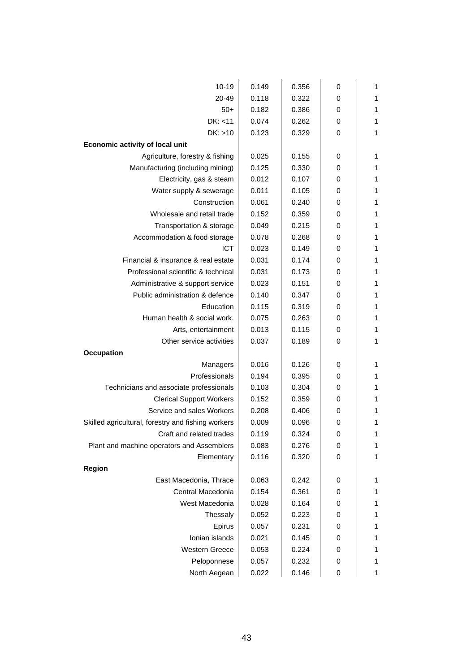| $10 - 19$                                          | 0.149 | 0.356 | 0 | 1 |
|----------------------------------------------------|-------|-------|---|---|
| 20-49                                              | 0.118 | 0.322 | 0 | 1 |
| $50+$                                              | 0.182 | 0.386 | 0 | 1 |
| DK: < 11                                           | 0.074 | 0.262 | 0 | 1 |
| DK: >10                                            | 0.123 | 0.329 | 0 | 1 |
| Economic activity of local unit                    |       |       |   |   |
| Agriculture, forestry & fishing                    | 0.025 | 0.155 | 0 | 1 |
| Manufacturing (including mining)                   | 0.125 | 0.330 | 0 | 1 |
| Electricity, gas & steam                           | 0.012 | 0.107 | 0 | 1 |
| Water supply & sewerage                            | 0.011 | 0.105 | 0 | 1 |
| Construction                                       | 0.061 | 0.240 | 0 | 1 |
| Wholesale and retail trade                         | 0.152 | 0.359 | 0 | 1 |
| Transportation & storage                           | 0.049 | 0.215 | 0 | 1 |
| Accommodation & food storage                       | 0.078 | 0.268 | 0 | 1 |
| ICT                                                | 0.023 | 0.149 | 0 | 1 |
| Financial & insurance & real estate                | 0.031 | 0.174 | 0 | 1 |
| Professional scientific & technical                | 0.031 | 0.173 | 0 | 1 |
| Administrative & support service                   | 0.023 | 0.151 | 0 | 1 |
| Public administration & defence                    | 0.140 | 0.347 | 0 | 1 |
| Education                                          | 0.115 | 0.319 | 0 | 1 |
| Human health & social work.                        | 0.075 | 0.263 | 0 | 1 |
| Arts, entertainment                                | 0.013 | 0.115 | 0 | 1 |
| Other service activities                           | 0.037 | 0.189 | 0 | 1 |
| <b>Occupation</b>                                  |       |       |   |   |
| Managers                                           | 0.016 | 0.126 | 0 | 1 |
| Professionals                                      | 0.194 | 0.395 | 0 | 1 |
| Technicians and associate professionals            | 0.103 | 0.304 | 0 | 1 |
| <b>Clerical Support Workers</b>                    | 0.152 | 0.359 | 0 | 1 |
| Service and sales Workers                          | 0.208 | 0.406 | 0 | 1 |
| Skilled agricultural, forestry and fishing workers | 0.009 | 0.096 | 0 | 1 |
| Craft and related trades                           | 0.119 | 0.324 | 0 | 1 |
| Plant and machine operators and Assemblers         | 0.083 | 0.276 | 0 | 1 |
| Elementary                                         | 0.116 | 0.320 | 0 | 1 |
| Region                                             |       |       |   |   |
| East Macedonia, Thrace                             | 0.063 | 0.242 | 0 | 1 |
| Central Macedonia                                  | 0.154 | 0.361 | 0 | 1 |
| West Macedonia                                     | 0.028 | 0.164 | 0 | 1 |
| Thessaly                                           | 0.052 | 0.223 | 0 | 1 |
| Epirus                                             | 0.057 | 0.231 | 0 | 1 |
| Ionian islands                                     | 0.021 | 0.145 | 0 | 1 |
| <b>Western Greece</b>                              | 0.053 | 0.224 | 0 | 1 |
| Peloponnese                                        | 0.057 | 0.232 | 0 | 1 |
| North Aegean                                       | 0.022 | 0.146 | 0 | 1 |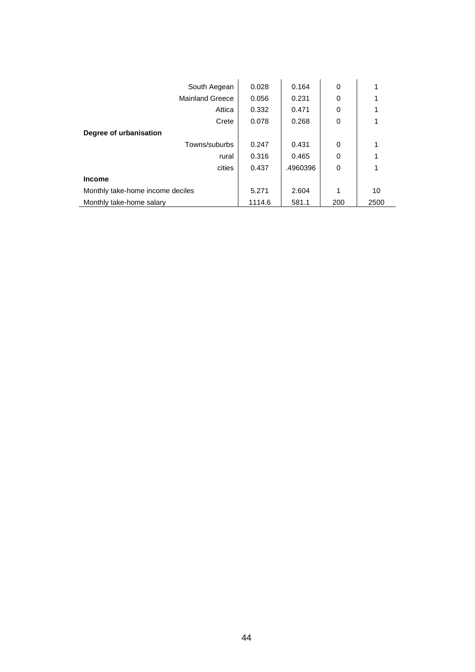| South Aegean                     | 0.028  | 0.164    | 0        |      |
|----------------------------------|--------|----------|----------|------|
| <b>Mainland Greece</b>           | 0.056  | 0.231    | $\Omega$ |      |
| Attica                           | 0.332  | 0.471    | 0        |      |
| Crete                            | 0.078  | 0.268    | 0        |      |
| Degree of urbanisation           |        |          |          |      |
| Towns/suburbs                    | 0.247  | 0.431    | 0        | 1    |
| rural                            | 0.316  | 0.465    | 0        |      |
| cities                           | 0.437  | .4960396 | 0        |      |
| <b>Income</b>                    |        |          |          |      |
| Monthly take-home income deciles | 5.271  | 2.604    | 1        | 10   |
| Monthly take-home salary         | 1114.6 | 581.1    | 200      | 2500 |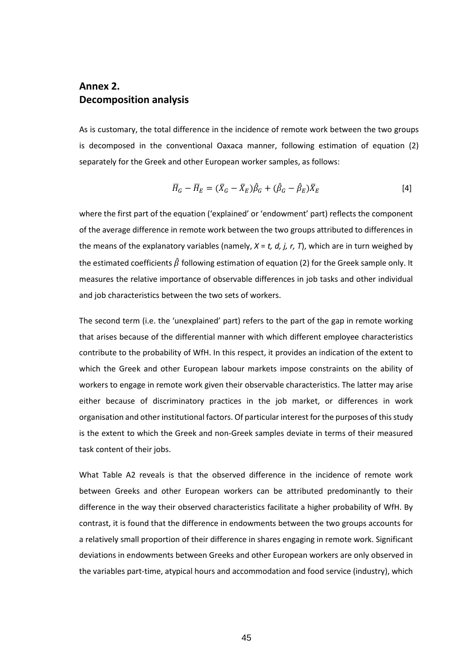# **Annex 2. Decomposition analysis**

As is customary, the total difference in the incidence of remote work between the two groups is decomposed in the conventional Oaxaca manner, following estimation of equation (2) separately for the Greek and other European worker samples, as follows:

$$
\overline{H}_G - \overline{H}_E = (\overline{X}_G - \overline{X}_E)\hat{\beta}_G + (\hat{\beta}_G - \hat{\beta}_E)\overline{X}_E
$$
\n<sup>[4]</sup>

where the first part of the equation ('explained' or 'endowment' part) reflects the component of the average difference in remote work between the two groups attributed to differences in the means of the explanatory variables (namely, *X* = *t, d, j, r, T*), which are in turn weighed by the estimated coefficients  $\hat{\beta}$  following estimation of equation (2) for the Greek sample only. It measures the relative importance of observable differences in job tasks and other individual and job characteristics between the two sets of workers.

The second term (i.e. the 'unexplained' part) refers to the part of the gap in remote working that arises because of the differential manner with which different employee characteristics contribute to the probability of WfH. In this respect, it provides an indication of the extent to which the Greek and other European labour markets impose constraints on the ability of workers to engage in remote work given their observable characteristics. The latter may arise either because of discriminatory practices in the job market, or differences in work organisation and other institutional factors. Of particular interest for the purposes of this study is the extent to which the Greek and non-Greek samples deviate in terms of their measured task content of their jobs.

What Table A2 reveals is that the observed difference in the incidence of remote work between Greeks and other European workers can be attributed predominantly to their difference in the way their observed characteristics facilitate a higher probability of WfH. By contrast, it is found that the difference in endowments between the two groups accounts for a relatively small proportion of their difference in shares engaging in remote work. Significant deviations in endowments between Greeks and other European workers are only observed in the variables part-time, atypical hours and accommodation and food service (industry), which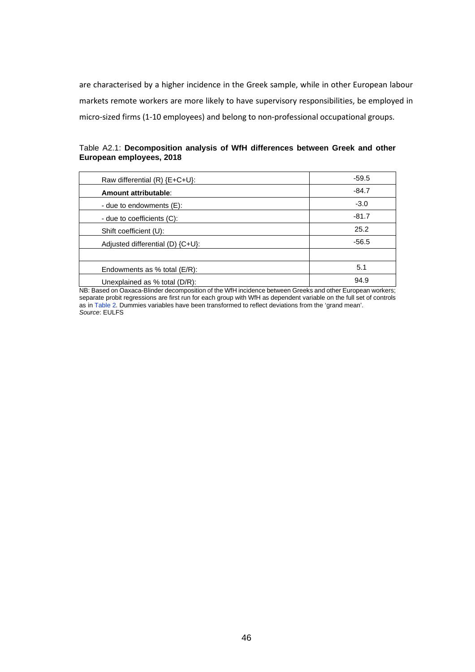are characterised by a higher incidence in the Greek sample, while in other European labour markets remote workers are more likely to have supervisory responsibilities, be employed in micro-sized firms (1-10 employees) and belong to non-professional occupational groups.

| Table A2.1: Decomposition analysis of WfH differences between Greek and other |  |  |  |  |
|-------------------------------------------------------------------------------|--|--|--|--|
| European employees, 2018                                                      |  |  |  |  |

| Raw differential (R) {E+C+U}:      | $-59.5$ |
|------------------------------------|---------|
| Amount attributable:               | $-84.7$ |
| - due to endowments (E):           | $-3.0$  |
| - due to coefficients (C):         | $-81.7$ |
| Shift coefficient (U):             | 25.2    |
| Adjusted differential (D) {C+U}:   | $-56.5$ |
|                                    |         |
| Endowments as $%$ total ( $E/R$ ): | 5.1     |
| Unexplained as % total (D/R):      | 94.9    |

NB: Based on Oaxaca-Blinder decomposition of the WfH incidence between Greeks and other European workers; separate probit regressions are first run for each group with WfH as dependent variable on the full set of controls as in Table 2. Dummies variables have been transformed to reflect deviations from the 'grand mean'. *Source*: EULFS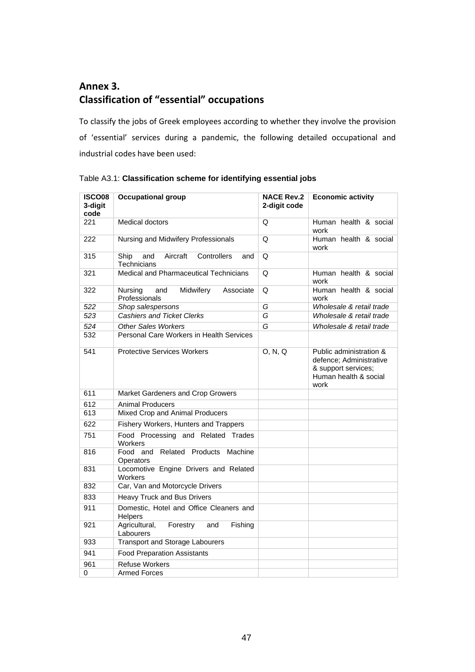# **Annex 3. Classification of "essential" occupations**

To classify the jobs of Greek employees according to whether they involve the provision of 'essential' services during a pandemic, the following detailed occupational and industrial codes have been used:

| <b>ISCO08</b><br>3-digit<br>code | <b>Occupational group</b>                                    | <b>NACE Rev.2</b><br>2-digit code | <b>Economic activity</b>                                                                                   |
|----------------------------------|--------------------------------------------------------------|-----------------------------------|------------------------------------------------------------------------------------------------------------|
| 221                              | <b>Medical doctors</b>                                       | Q                                 | Human health & social<br>work                                                                              |
| 222                              | Nursing and Midwifery Professionals                          | Q                                 | Human health & social<br>work                                                                              |
| 315                              | Aircraft<br>Controllers<br>Ship<br>and<br>and<br>Technicians | Q                                 |                                                                                                            |
| 321                              | Medical and Pharmaceutical Technicians                       | Q                                 | Human health & social<br>work                                                                              |
| 322                              | Nursing<br>Midwifery<br>Associate<br>and<br>Professionals    | Q                                 | Human health & social<br>work                                                                              |
| 522                              | Shop salespersons                                            | G                                 | Wholesale & retail trade                                                                                   |
| 523                              | <b>Cashiers and Ticket Clerks</b>                            | G                                 | Wholesale & retail trade                                                                                   |
| 524                              | <b>Other Sales Workers</b>                                   | $\overline{G}$                    | Wholesale & retail trade                                                                                   |
| 532                              | Personal Care Workers in Health Services                     |                                   |                                                                                                            |
| 541                              | <b>Protective Services Workers</b>                           | O, N, Q                           | Public administration &<br>defence; Administrative<br>& support services;<br>Human health & social<br>work |
| 611                              | Market Gardeners and Crop Growers                            |                                   |                                                                                                            |
| 612                              | <b>Animal Producers</b>                                      |                                   |                                                                                                            |
| 613                              | Mixed Crop and Animal Producers                              |                                   |                                                                                                            |
| 622                              | Fishery Workers, Hunters and Trappers                        |                                   |                                                                                                            |
| 751                              | Food Processing and Related Trades<br><b>Workers</b>         |                                   |                                                                                                            |
| 816                              | Food and Related Products Machine<br>Operators               |                                   |                                                                                                            |
| 831                              | Locomotive Engine Drivers and Related<br><b>Workers</b>      |                                   |                                                                                                            |
| 832                              | Car, Van and Motorcycle Drivers                              |                                   |                                                                                                            |
| 833                              | <b>Heavy Truck and Bus Drivers</b>                           |                                   |                                                                                                            |
| 911                              | Domestic, Hotel and Office Cleaners and<br>Helpers           |                                   |                                                                                                            |
| 921                              | Agricultural,<br>Forestry<br>and<br>Fishing<br>Labourers     |                                   |                                                                                                            |
| 933                              | <b>Transport and Storage Labourers</b>                       |                                   |                                                                                                            |
| 941                              | <b>Food Preparation Assistants</b>                           |                                   |                                                                                                            |
| 961                              | <b>Refuse Workers</b>                                        |                                   |                                                                                                            |
| 0                                | <b>Armed Forces</b>                                          |                                   |                                                                                                            |

Table A3.1: **Classification scheme for identifying essential jobs**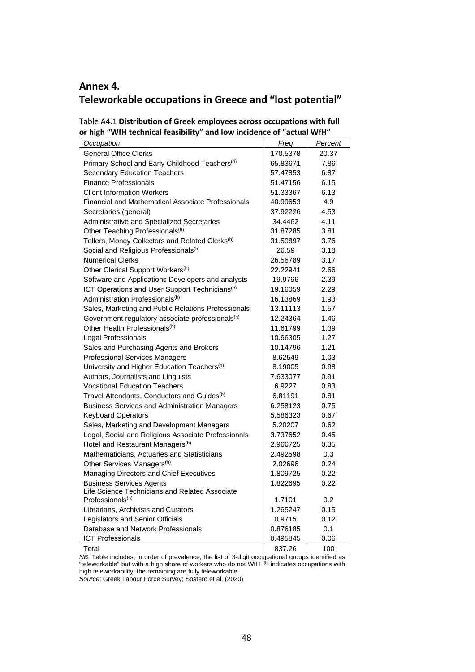# **Annex 4. Teleworkable occupations in Greece and "lost potential"**

| Table A4.1 Distribution of Greek employees across occupations with full |
|-------------------------------------------------------------------------|
| or high "WfH technical feasibility" and low incidence of "actual WfH"   |
|                                                                         |

| Occupation                                                                     | Freq     | Percent |
|--------------------------------------------------------------------------------|----------|---------|
| <b>General Office Clerks</b>                                                   | 170.5378 | 20.37   |
| Primary School and Early Childhood Teachers <sup>(h)</sup>                     | 65.83671 | 7.86    |
| <b>Secondary Education Teachers</b>                                            | 57.47853 | 6.87    |
| <b>Finance Professionals</b>                                                   | 51.47156 | 6.15    |
| <b>Client Information Workers</b>                                              | 51.33367 | 6.13    |
| Financial and Mathematical Associate Professionals                             | 40.99653 | 4.9     |
| Secretaries (general)                                                          | 37.92226 | 4.53    |
| Administrative and Specialized Secretaries                                     | 34.4462  | 4.11    |
| Other Teaching Professionals <sup>(h)</sup>                                    | 31.87285 | 3.81    |
| Tellers, Money Collectors and Related Clerks <sup>(h)</sup>                    | 31.50897 | 3.76    |
| Social and Religious Professionals(h)                                          | 26.59    | 3.18    |
| <b>Numerical Clerks</b>                                                        | 26.56789 | 3.17    |
| Other Clerical Support Workers <sup>(h)</sup>                                  | 22.22941 | 2.66    |
| Software and Applications Developers and analysts                              | 19.9796  | 2.39    |
| ICT Operations and User Support Technicians <sup>(h)</sup>                     | 19.16059 | 2.29    |
| Administration Professionals <sup>(h)</sup>                                    | 16.13869 | 1.93    |
| Sales, Marketing and Public Relations Professionals                            | 13.11113 | 1.57    |
| Government regulatory associate professionals <sup>(h)</sup>                   | 12.24364 | 1.46    |
| Other Health Professionals <sup>(h)</sup>                                      | 11.61799 | 1.39    |
| Legal Professionals                                                            | 10.66305 | 1.27    |
| Sales and Purchasing Agents and Brokers                                        | 10.14796 | 1.21    |
| <b>Professional Services Managers</b>                                          | 8.62549  | 1.03    |
| University and Higher Education Teachers <sup>(h)</sup>                        | 8.19005  | 0.98    |
| Authors, Journalists and Linguists                                             | 7.633077 | 0.91    |
| <b>Vocational Education Teachers</b>                                           | 6.9227   | 0.83    |
| Travel Attendants, Conductors and Guides <sup>(h)</sup>                        | 6.81191  | 0.81    |
| <b>Business Services and Administration Managers</b>                           | 6.258123 | 0.75    |
| <b>Keyboard Operators</b>                                                      | 5.586323 | 0.67    |
| Sales, Marketing and Development Managers                                      | 5.20207  | 0.62    |
| Legal, Social and Religious Associate Professionals                            | 3.737652 | 0.45    |
| Hotel and Restaurant Managers <sup>(h)</sup>                                   | 2.966725 | 0.35    |
| Mathematicians, Actuaries and Statisticians                                    | 2.492598 | 0.3     |
| Other Services Managers <sup>(h)</sup>                                         | 2.02696  | 0.24    |
| Managing Directors and Chief Executives                                        | 1.809725 | 0.22    |
| <b>Business Services Agents</b>                                                | 1.822695 | 0.22    |
| Life Science Technicians and Related Associate<br>Professionals <sup>(h)</sup> | 1.7101   | 0.2     |
| Librarians, Archivists and Curators                                            | 1.265247 | 0.15    |
| Legislators and Senior Officials                                               | 0.9715   | 0.12    |
| Database and Network Professionals                                             | 0.876185 | 0.1     |
| <b>ICT Professionals</b>                                                       | 0.495845 | 0.06    |
| Total                                                                          | 837.26   | 100     |

*NB*: Table includes, in order of prevalence, the list of 3-digit occupational groups identified as "teleworkable" but with a high share of workers who do not WfH. <sup>(h)</sup> indicates occupations with high teleworkability, the remaining are fully teleworkable.

*Source*: Greek Labour Force Survey; Sostero et al. (2020)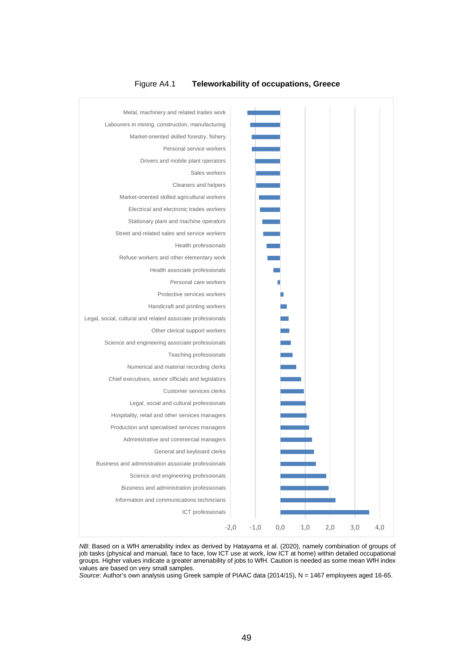

# Figure A4.1 **Teleworkability of occupations, Greece**



Source: Author's own analysis using Greek sample of PIAAC data (2014/15), N = 1467 employees aged 16-65.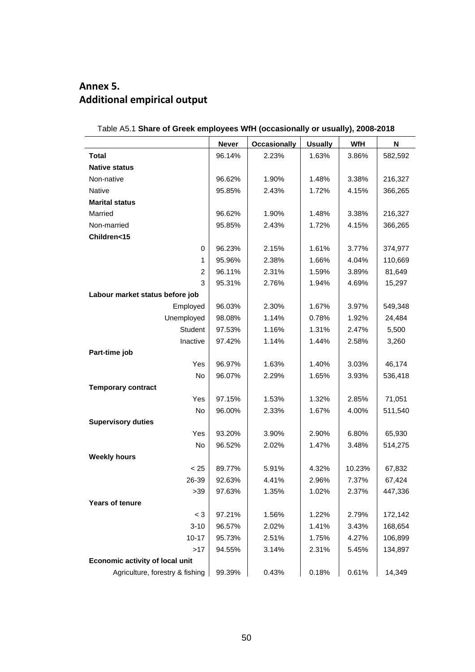# **Annex 5. Additional empirical output**

|                                 | <b>Never</b> | <b>Occasionally</b> | <b>Usually</b> | WfH    | N       |
|---------------------------------|--------------|---------------------|----------------|--------|---------|
| Total                           | 96.14%       | 2.23%               | 1.63%          | 3.86%  | 582,592 |
| <b>Native status</b>            |              |                     |                |        |         |
| Non-native                      | 96.62%       | 1.90%               | 1.48%          | 3.38%  | 216,327 |
| Native                          | 95.85%       | 2.43%               | 1.72%          | 4.15%  | 366,265 |
| <b>Marital status</b>           |              |                     |                |        |         |
| Married                         | 96.62%       | 1.90%               | 1.48%          | 3.38%  | 216,327 |
| Non-married                     | 95.85%       | 2.43%               | 1.72%          | 4.15%  | 366,265 |
| Children<15                     |              |                     |                |        |         |
| 0                               | 96.23%       | 2.15%               | 1.61%          | 3.77%  | 374,977 |
| 1                               | 95.96%       | 2.38%               | 1.66%          | 4.04%  | 110,669 |
| $\overline{2}$                  | 96.11%       | 2.31%               | 1.59%          | 3.89%  | 81,649  |
| 3                               | 95.31%       | 2.76%               | 1.94%          | 4.69%  | 15,297  |
| Labour market status before job |              |                     |                |        |         |
| Employed                        | 96.03%       | 2.30%               | 1.67%          | 3.97%  | 549,348 |
| Unemployed                      | 98.08%       | 1.14%               | 0.78%          | 1.92%  | 24,484  |
| Student                         | 97.53%       | 1.16%               | 1.31%          | 2.47%  | 5,500   |
| Inactive                        | 97.42%       | 1.14%               | 1.44%          | 2.58%  | 3,260   |
| Part-time job                   |              |                     |                |        |         |
| Yes                             | 96.97%       | 1.63%               | 1.40%          | 3.03%  | 46,174  |
| No                              | 96.07%       | 2.29%               | 1.65%          | 3.93%  | 536,418 |
| <b>Temporary contract</b>       |              |                     |                |        |         |
| Yes                             | 97.15%       | 1.53%               | 1.32%          | 2.85%  | 71,051  |
| No                              | 96.00%       | 2.33%               | 1.67%          | 4.00%  | 511,540 |
| <b>Supervisory duties</b>       |              |                     |                |        |         |
| Yes                             | 93.20%       | 3.90%               | 2.90%          | 6.80%  | 65,930  |
| No                              | 96.52%       | 2.02%               | 1.47%          | 3.48%  | 514,275 |
| <b>Weekly hours</b>             |              |                     |                |        |         |
| < 25                            | 89.77%       | 5.91%               | 4.32%          | 10.23% | 67,832  |
| 26-39                           | 92.63%       | 4.41%               | 2.96%          | 7.37%  | 67,424  |
| >39                             | 97.63%       | 1.35%               | 1.02%          | 2.37%  | 447,336 |
| <b>Years of tenure</b>          |              |                     |                |        |         |
| $<$ 3                           | 97.21%       | 1.56%               | 1.22%          | 2.79%  | 172,142 |
| $3 - 10$                        | 96.57%       | 2.02%               | 1.41%          | 3.43%  | 168,654 |
| $10 - 17$                       | 95.73%       | 2.51%               | 1.75%          | 4.27%  | 106,899 |
| >17                             | 94.55%       | 3.14%               | 2.31%          | 5.45%  | 134,897 |
| Economic activity of local unit |              |                     |                |        |         |
| Agriculture, forestry & fishing | 99.39%       | 0.43%               | 0.18%          | 0.61%  | 14,349  |

# Table A5.1 **Share of Greek employees WfH (occasionally or usually), 2008-2018**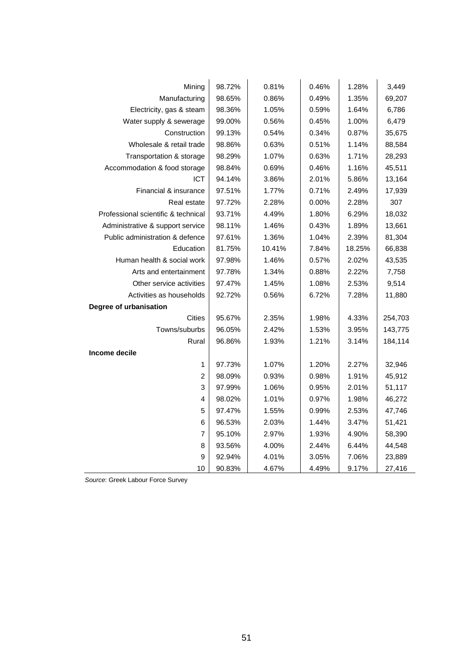| Mining                              | 98.72% | 0.81%  | 0.46% | 1.28%  | 3,449   |
|-------------------------------------|--------|--------|-------|--------|---------|
| Manufacturing                       | 98.65% | 0.86%  | 0.49% | 1.35%  | 69,207  |
| Electricity, gas & steam            | 98.36% | 1.05%  | 0.59% | 1.64%  | 6,786   |
| Water supply & sewerage             | 99.00% | 0.56%  | 0.45% | 1.00%  | 6,479   |
| Construction                        | 99.13% | 0.54%  | 0.34% | 0.87%  | 35,675  |
| Wholesale & retail trade            | 98.86% | 0.63%  | 0.51% | 1.14%  | 88,584  |
| Transportation & storage            | 98.29% | 1.07%  | 0.63% | 1.71%  | 28,293  |
| Accommodation & food storage        | 98.84% | 0.69%  | 0.46% | 1.16%  | 45,511  |
| ICT                                 | 94.14% | 3.86%  | 2.01% | 5.86%  | 13,164  |
| Financial & insurance               | 97.51% | 1.77%  | 0.71% | 2.49%  | 17,939  |
| Real estate                         | 97.72% | 2.28%  | 0.00% | 2.28%  | 307     |
| Professional scientific & technical | 93.71% | 4.49%  | 1.80% | 6.29%  | 18,032  |
| Administrative & support service    | 98.11% | 1.46%  | 0.43% | 1.89%  | 13,661  |
| Public administration & defence     | 97.61% | 1.36%  | 1.04% | 2.39%  | 81,304  |
| Education                           | 81.75% | 10.41% | 7.84% | 18.25% | 66,838  |
| Human health & social work          | 97.98% | 1.46%  | 0.57% | 2.02%  | 43,535  |
| Arts and entertainment              | 97.78% | 1.34%  | 0.88% | 2.22%  | 7,758   |
| Other service activities            | 97.47% | 1.45%  | 1.08% | 2.53%  | 9,514   |
| Activities as households            | 92.72% | 0.56%  | 6.72% | 7.28%  | 11,880  |
| Degree of urbanisation              |        |        |       |        |         |
| <b>Cities</b>                       | 95.67% | 2.35%  | 1.98% | 4.33%  | 254,703 |
| Towns/suburbs                       | 96.05% | 2.42%  | 1.53% | 3.95%  | 143,775 |
| Rural                               | 96.86% | 1.93%  | 1.21% | 3.14%  | 184,114 |
| Income decile                       |        |        |       |        |         |
| 1                                   | 97.73% | 1.07%  | 1.20% | 2.27%  | 32,946  |
| $\overline{\mathbf{c}}$             | 98.09% | 0.93%  | 0.98% | 1.91%  | 45,912  |
| 3                                   | 97.99% | 1.06%  | 0.95% | 2.01%  | 51,117  |
| 4                                   | 98.02% | 1.01%  | 0.97% | 1.98%  | 46,272  |
| 5                                   | 97.47% | 1.55%  | 0.99% | 2.53%  | 47,746  |
| 6                                   | 96.53% | 2.03%  | 1.44% | 3.47%  | 51,421  |
| 7                                   | 95.10% | 2.97%  | 1.93% | 4.90%  | 58,390  |
| 8                                   | 93.56% | 4.00%  | 2.44% | 6.44%  | 44,548  |
| 9                                   | 92.94% | 4.01%  | 3.05% | 7.06%  | 23,889  |
| 10                                  | 90.83% | 4.67%  | 4.49% | 9.17%  | 27,416  |

*Source*: Greek Labour Force Survey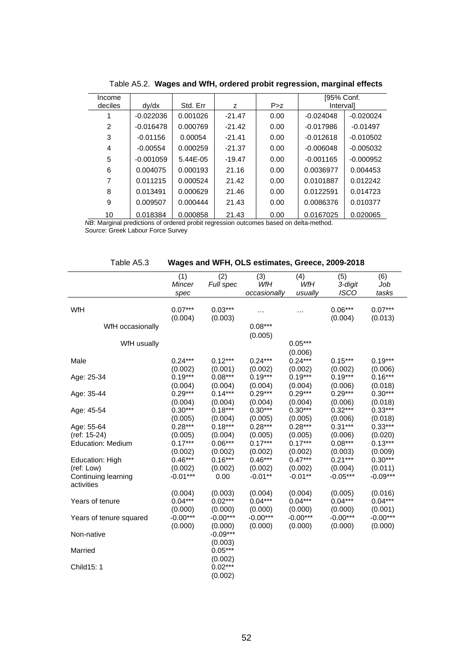| Income        |             |          |          |       | [95% Conf.  |             |
|---------------|-------------|----------|----------|-------|-------------|-------------|
| deciles       | dy/dx       | Std. Err | z        | P > Z | Intervall   |             |
|               | $-0.022036$ | 0.001026 | $-21.47$ | 0.00  | $-0.024048$ | $-0.020024$ |
| $\mathcal{P}$ | $-0.016478$ | 0.000769 | $-21.42$ | 0.00  | $-0.017986$ | $-0.01497$  |
| 3             | $-0.01156$  | 0.00054  | $-21.41$ | 0.00  | $-0.012618$ | $-0.010502$ |
| 4             | $-0.00554$  | 0.000259 | $-21.37$ | 0.00  | $-0.006048$ | $-0.005032$ |
| 5             | $-0.001059$ | 5.44E-05 | $-19.47$ | 0.00  | $-0.001165$ | $-0.000952$ |
| 6             | 0.004075    | 0.000193 | 21.16    | 0.00  | 0.0036977   | 0.004453    |
|               | 0.011215    | 0.000524 | 21.42    | 0.00  | 0.0101887   | 0.012242    |
| 8             | 0.013491    | 0.000629 | 21.46    | 0.00  | 0.0122591   | 0.014723    |
| 9             | 0.009507    | 0.000444 | 21.43    | 0.00  | 0.0086376   | 0.010377    |
| 10            | 0.018384    | 0.000858 | 21.43    | 0.00  | 0.0167025   | 0.020065    |

Table A5.2. **Wages and WfH, ordered probit regression, marginal effects**

*NB*: Marginal predictions of ordered probit regression outcomes based on delta-method.

*Source*: Greek Labour Force Survey

| Table A5.3 | Wages and WFH, OLS estimates, Greece, 2009-2018 |
|------------|-------------------------------------------------|
|------------|-------------------------------------------------|

| WfH<br>Mincer<br>Full spec<br>WfH<br>3-digit<br>Job<br><b>ISCO</b><br>occasionally<br>usually<br>tasks<br>spec<br>WfH<br>$0.06***$<br>$0.07***$<br>$0.07***$<br>$0.03***$<br><br>$\cdots$<br>(0.004)<br>(0.003)<br>(0.004)<br>(0.013)<br>$0.08***$<br>WfH occasionally<br>(0.005)<br>$0.05***$<br>WfH usually<br>(0.006)<br>$0.12***$<br>$0.24***$<br>$0.24***$<br>$0.24***$<br>$0.15***$<br>$0.19***$<br>Male<br>(0.002)<br>(0.001)<br>(0.002)<br>(0.002)<br>(0.002)<br>(0.006)<br>$0.19***$<br>$0.08***$<br>$0.19***$<br>$0.19***$<br>$0.16***$<br>$0.19***$<br>Age: 25-34<br>(0.004)<br>(0.004)<br>(0.006)<br>(0.018)<br>(0.004)<br>(0.004)<br>$0.14***$<br>$0.30***$<br>$0.29***$<br>$0.29***$<br>$0.29***$<br>$0.29***$<br>Age: 35-44<br>(0.004)<br>(0.018)<br>(0.004)<br>(0.004)<br>(0.004)<br>(0.006) |
|--------------------------------------------------------------------------------------------------------------------------------------------------------------------------------------------------------------------------------------------------------------------------------------------------------------------------------------------------------------------------------------------------------------------------------------------------------------------------------------------------------------------------------------------------------------------------------------------------------------------------------------------------------------------------------------------------------------------------------------------------------------------------------------------------------------|
|                                                                                                                                                                                                                                                                                                                                                                                                                                                                                                                                                                                                                                                                                                                                                                                                              |
|                                                                                                                                                                                                                                                                                                                                                                                                                                                                                                                                                                                                                                                                                                                                                                                                              |
|                                                                                                                                                                                                                                                                                                                                                                                                                                                                                                                                                                                                                                                                                                                                                                                                              |
|                                                                                                                                                                                                                                                                                                                                                                                                                                                                                                                                                                                                                                                                                                                                                                                                              |
|                                                                                                                                                                                                                                                                                                                                                                                                                                                                                                                                                                                                                                                                                                                                                                                                              |
|                                                                                                                                                                                                                                                                                                                                                                                                                                                                                                                                                                                                                                                                                                                                                                                                              |
|                                                                                                                                                                                                                                                                                                                                                                                                                                                                                                                                                                                                                                                                                                                                                                                                              |
|                                                                                                                                                                                                                                                                                                                                                                                                                                                                                                                                                                                                                                                                                                                                                                                                              |
|                                                                                                                                                                                                                                                                                                                                                                                                                                                                                                                                                                                                                                                                                                                                                                                                              |
|                                                                                                                                                                                                                                                                                                                                                                                                                                                                                                                                                                                                                                                                                                                                                                                                              |
|                                                                                                                                                                                                                                                                                                                                                                                                                                                                                                                                                                                                                                                                                                                                                                                                              |
|                                                                                                                                                                                                                                                                                                                                                                                                                                                                                                                                                                                                                                                                                                                                                                                                              |
|                                                                                                                                                                                                                                                                                                                                                                                                                                                                                                                                                                                                                                                                                                                                                                                                              |
|                                                                                                                                                                                                                                                                                                                                                                                                                                                                                                                                                                                                                                                                                                                                                                                                              |
| $0.30***$<br>$0.18***$<br>$0.30***$<br>$0.30***$<br>$0.32***$<br>$0.33***$<br>Age: 45-54                                                                                                                                                                                                                                                                                                                                                                                                                                                                                                                                                                                                                                                                                                                     |
| (0.005)<br>(0.005)<br>(0.005)<br>(0.006)<br>(0.018)<br>(0.004)                                                                                                                                                                                                                                                                                                                                                                                                                                                                                                                                                                                                                                                                                                                                               |
| $0.28***$<br>$0.28***$<br>$0.31***$<br>$0.33***$<br>$0.18***$<br>$0.28***$<br>Age: 55-64                                                                                                                                                                                                                                                                                                                                                                                                                                                                                                                                                                                                                                                                                                                     |
| (0.005)<br>(0.006)<br>(0.020)<br>(ref: 15-24)<br>(0.005)<br>(0.004)<br>(0.005)                                                                                                                                                                                                                                                                                                                                                                                                                                                                                                                                                                                                                                                                                                                               |
| $0.17***$<br>$0.06***$<br>$0.17***$<br>$0.17***$<br>$0.08***$<br>$0.13***$<br><b>Education: Medium</b>                                                                                                                                                                                                                                                                                                                                                                                                                                                                                                                                                                                                                                                                                                       |
| (0.002)<br>(0.002)<br>(0.003)<br>(0.009)<br>(0.002)<br>(0.002)                                                                                                                                                                                                                                                                                                                                                                                                                                                                                                                                                                                                                                                                                                                                               |
| $0.47***$<br>$0.21***$<br>$0.30***$<br>$0.46***$<br>$0.16***$<br>$0.46***$<br>Education: High                                                                                                                                                                                                                                                                                                                                                                                                                                                                                                                                                                                                                                                                                                                |
| (0.004)<br>(ref: Low)<br>(0.002)<br>(0.002)<br>(0.002)<br>(0.002)<br>(0.011)                                                                                                                                                                                                                                                                                                                                                                                                                                                                                                                                                                                                                                                                                                                                 |
| $-0.01***$<br>$-0.01**$<br>$-0.05***$<br>$-0.09***$<br>0.00<br>$-0.01**$<br>Continuing learning                                                                                                                                                                                                                                                                                                                                                                                                                                                                                                                                                                                                                                                                                                              |
| activities                                                                                                                                                                                                                                                                                                                                                                                                                                                                                                                                                                                                                                                                                                                                                                                                   |
| (0.003)<br>(0.004)<br>(0.005)<br>(0.004)<br>(0.004)<br>(0.016)<br>$0.04***$<br>$0.02***$<br>$0.04***$<br>$0.04***$<br>$0.04***$<br>$0.04***$<br>Years of tenure                                                                                                                                                                                                                                                                                                                                                                                                                                                                                                                                                                                                                                              |
| (0.000)<br>(0.000)<br>(0.000)<br>(0.000)<br>(0.000)<br>(0.001)                                                                                                                                                                                                                                                                                                                                                                                                                                                                                                                                                                                                                                                                                                                                               |
| $-0.00***$<br>$-0.00***$<br>$-0.00***$<br>$-0.00***$<br>$-0.00***$<br>$-0.00***$<br>Years of tenure squared                                                                                                                                                                                                                                                                                                                                                                                                                                                                                                                                                                                                                                                                                                  |
| (0.000)<br>(0.000)<br>(0.000)<br>(0.000)<br>(0.000)<br>(0.000)                                                                                                                                                                                                                                                                                                                                                                                                                                                                                                                                                                                                                                                                                                                                               |
| $-0.09***$<br>Non-native                                                                                                                                                                                                                                                                                                                                                                                                                                                                                                                                                                                                                                                                                                                                                                                     |
| (0.003)                                                                                                                                                                                                                                                                                                                                                                                                                                                                                                                                                                                                                                                                                                                                                                                                      |
| $0.05***$<br>Married                                                                                                                                                                                                                                                                                                                                                                                                                                                                                                                                                                                                                                                                                                                                                                                         |
| (0.002)                                                                                                                                                                                                                                                                                                                                                                                                                                                                                                                                                                                                                                                                                                                                                                                                      |
| $0.02***$<br>Child15: 1                                                                                                                                                                                                                                                                                                                                                                                                                                                                                                                                                                                                                                                                                                                                                                                      |
| (0.002)                                                                                                                                                                                                                                                                                                                                                                                                                                                                                                                                                                                                                                                                                                                                                                                                      |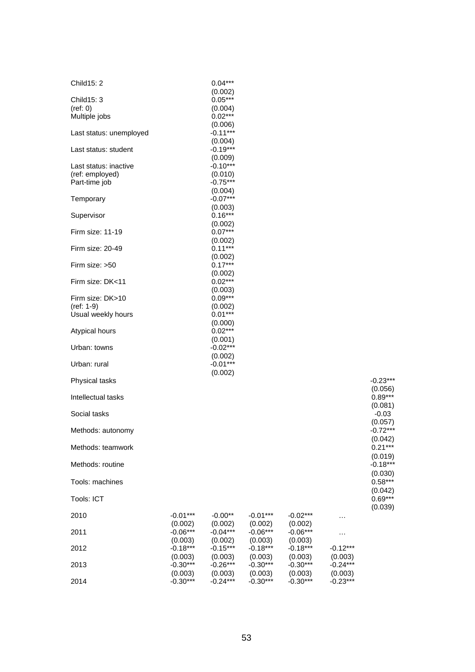| Child15: 2              |            | $0.04***$            |            |            |            |            |
|-------------------------|------------|----------------------|------------|------------|------------|------------|
| Child15: 3              |            | (0.002)<br>$0.05***$ |            |            |            |            |
| (ref: 0)                |            | (0.004)              |            |            |            |            |
| Multiple jobs           |            | $0.02***$            |            |            |            |            |
|                         |            | (0.006)              |            |            |            |            |
| Last status: unemployed |            | $-0.11***$           |            |            |            |            |
|                         |            | (0.004)              |            |            |            |            |
|                         |            | $-0.19***$           |            |            |            |            |
| Last status: student    |            |                      |            |            |            |            |
|                         |            | (0.009)              |            |            |            |            |
| Last status: inactive   |            | $-0.10***$           |            |            |            |            |
| (ref: employed)         |            | (0.010)              |            |            |            |            |
| Part-time job           |            | $-0.75***$           |            |            |            |            |
|                         |            | (0.004)              |            |            |            |            |
| Temporary               |            | $-0.07***$           |            |            |            |            |
|                         |            | (0.003)              |            |            |            |            |
| Supervisor              |            | $0.16***$            |            |            |            |            |
|                         |            | (0.002)              |            |            |            |            |
| Firm size: 11-19        |            | $0.07***$            |            |            |            |            |
|                         |            | (0.002)              |            |            |            |            |
| Firm size: 20-49        |            | $0.11***$            |            |            |            |            |
|                         |            | (0.002)              |            |            |            |            |
| Firm size: >50          |            | $0.17***$            |            |            |            |            |
|                         |            | (0.002)              |            |            |            |            |
| Firm size: DK<11        |            | $0.02***$            |            |            |            |            |
|                         |            | (0.003)              |            |            |            |            |
| Firm size: DK>10        |            | $0.09***$            |            |            |            |            |
| (ref: 1-9)              |            | (0.002)              |            |            |            |            |
| Usual weekly hours      |            | $0.01***$            |            |            |            |            |
|                         |            | (0.000)              |            |            |            |            |
| Atypical hours          |            | $0.02***$            |            |            |            |            |
|                         |            | (0.001)              |            |            |            |            |
| Urban: towns            |            | $-0.02***$           |            |            |            |            |
|                         |            | (0.002)              |            |            |            |            |
| Urban: rural            |            | $-0.01***$           |            |            |            |            |
|                         |            | (0.002)              |            |            |            |            |
| Physical tasks          |            |                      |            |            |            | $-0.23***$ |
|                         |            |                      |            |            |            | (0.056)    |
| Intellectual tasks      |            |                      |            |            |            | $0.89***$  |
|                         |            |                      |            |            |            | (0.081)    |
| Social tasks            |            |                      |            |            |            | $-0.03$    |
|                         |            |                      |            |            |            | (0.057)    |
| Methods: autonomy       |            |                      |            |            |            | $-0.72***$ |
|                         |            |                      |            |            |            | (0.042)    |
| Methods: teamwork       |            |                      |            |            |            | $0.21***$  |
|                         |            |                      |            |            |            | (0.019)    |
| Methods: routine        |            |                      |            |            |            | $-0.18***$ |
|                         |            |                      |            |            |            |            |
|                         |            |                      |            |            |            | (0.030)    |
| Tools: machines         |            |                      |            |            |            | $0.58***$  |
|                         |            |                      |            |            |            | (0.042)    |
| Tools: ICT              |            |                      |            |            |            | $0.69***$  |
|                         |            |                      |            |            |            | (0.039)    |
| 2010                    | $-0.01***$ | $-0.00**$            | $-0.01***$ | $-0.02***$ | .          |            |
|                         | (0.002)    | (0.002)              | (0.002)    | (0.002)    |            |            |
| 2011                    | $-0.06***$ | $-0.04***$           | $-0.06***$ | $-0.06***$ | .          |            |
|                         | (0.003)    | (0.002)              | (0.003)    | (0.003)    |            |            |
| 2012                    | $-0.18***$ | $-0.15***$           | $-0.18***$ | $-0.18***$ | $-0.12***$ |            |
|                         | (0.003)    | (0.003)              | (0.003)    | (0.003)    | (0.003)    |            |
| 2013                    | $-0.30***$ | $-0.26***$           | $-0.30***$ | $-0.30***$ | $-0.24***$ |            |
|                         | (0.003)    | (0.003)              | (0.003)    | (0.003)    | (0.003)    |            |
| 2014                    | $-0.30***$ | $-0.24***$           | $-0.30***$ | $-0.30***$ | $-0.23***$ |            |